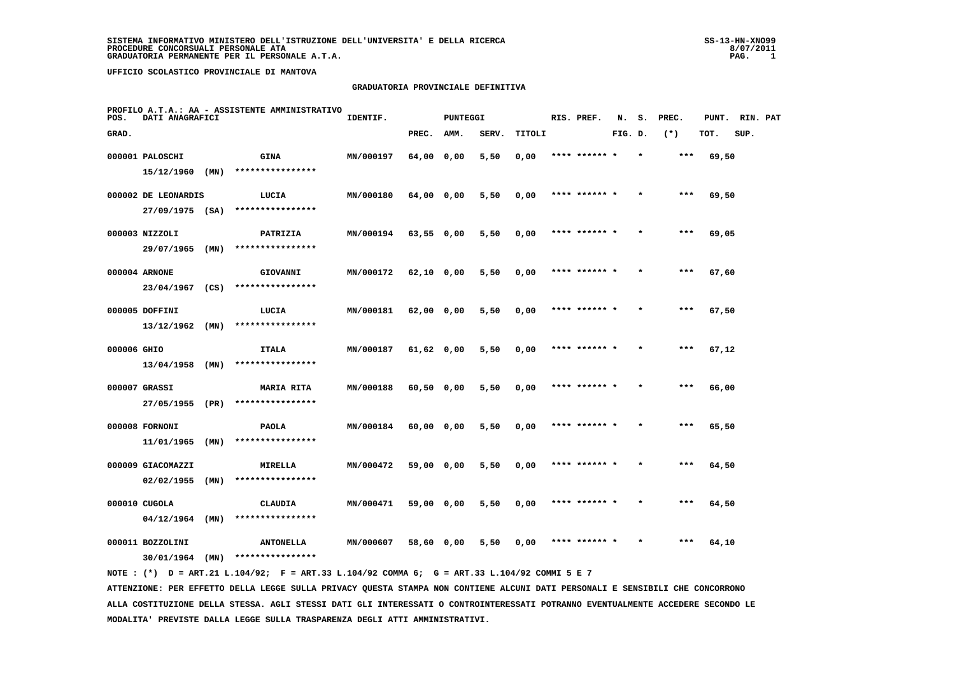#### **GRADUATORIA PROVINCIALE DEFINITIVA**

| POS.        | DATI ANAGRAFICI     |      | PROFILO A.T.A.: AA - ASSISTENTE AMMINISTRATIVO                                              | IDENTIF.  |              | <b>PUNTEGGI</b> |       |        | RIS. PREF.    | N.      | s.      | PREC. | PUNT. | RIN. PAT |  |
|-------------|---------------------|------|---------------------------------------------------------------------------------------------|-----------|--------------|-----------------|-------|--------|---------------|---------|---------|-------|-------|----------|--|
| GRAD.       |                     |      |                                                                                             |           | PREC.        | AMM.            | SERV. | TITOLI |               | FIG. D. |         | $(*)$ | TOT.  | SUP.     |  |
|             | 000001 PALOSCHI     |      | <b>GINA</b>                                                                                 | MN/000197 | 64,00 0,00   |                 | 5,50  | 0,00   | **** ****** * |         | $\star$ | ***   | 69,50 |          |  |
|             | 15/12/1960          | (MN) | ****************                                                                            |           |              |                 |       |        |               |         |         |       |       |          |  |
|             | 000002 DE LEONARDIS |      | LUCIA                                                                                       | MN/000180 | 64,00 0,00   |                 | 5,50  | 0,00   | **** ****** * |         |         | $***$ | 69,50 |          |  |
|             | $27/09/1975$ (SA)   |      | ****************                                                                            |           |              |                 |       |        |               |         |         |       |       |          |  |
|             | 000003 NIZZOLI      |      | PATRIZIA                                                                                    | MN/000194 | $63,55$ 0,00 |                 | 5,50  | 0,00   | **** ****** * |         |         | $***$ | 69,05 |          |  |
|             | 29/07/1965 (MN)     |      | ****************                                                                            |           |              |                 |       |        |               |         |         |       |       |          |  |
|             | 000004 ARNONE       |      | GIOVANNI                                                                                    | MN/000172 | 62,10 0,00   |                 | 5,50  | 0,00   | **** ******   |         |         | ***   | 67,60 |          |  |
|             | 23/04/1967 (CS)     |      | ****************                                                                            |           |              |                 |       |        |               |         |         |       |       |          |  |
|             | 000005 DOFFINI      |      | LUCIA                                                                                       | MN/000181 | 62,00 0,00   |                 | 5,50  | 0,00   | **** ****** * |         |         | ***   | 67,50 |          |  |
|             | $13/12/1962$ (MN)   |      | ****************                                                                            |           |              |                 |       |        |               |         |         |       |       |          |  |
| 000006 GHIO |                     |      | <b>ITALA</b>                                                                                | MN/000187 | 61,62 0,00   |                 | 5,50  | 0,00   | **** ****** * |         |         | $***$ | 67,12 |          |  |
|             | 13/04/1958          | (MN) | ****************                                                                            |           |              |                 |       |        |               |         |         |       |       |          |  |
|             | 000007 GRASSI       |      | <b>MARIA RITA</b>                                                                           | MN/000188 | $60,50$ 0,00 |                 | 5,50  | 0,00   | **** ****** * |         |         | $***$ | 66,00 |          |  |
|             | 27/05/1955 (PR)     |      | ****************                                                                            |           |              |                 |       |        |               |         |         |       |       |          |  |
|             | 000008 FORNONI      |      | <b>PAOLA</b>                                                                                | MN/000184 | 60,00 0,00   |                 | 5,50  | 0,00   | **** ****** * |         |         | ***   | 65,50 |          |  |
|             | 11/01/1965          | (MN) | ****************                                                                            |           |              |                 |       |        |               |         |         |       |       |          |  |
|             | 000009 GIACOMAZZI   |      | MIRELLA                                                                                     | MN/000472 | 59,00 0,00   |                 | 5,50  | 0,00   | **** ****** * |         |         | $***$ | 64,50 |          |  |
|             | 02/02/1955          | (MN) | ****************                                                                            |           |              |                 |       |        |               |         |         |       |       |          |  |
|             | 000010 CUGOLA       |      | <b>CLAUDIA</b>                                                                              | MN/000471 | 59,00 0,00   |                 | 5,50  | 0,00   | **** ****** * |         |         | $***$ | 64,50 |          |  |
|             | 04/12/1964          | (MN) | ****************                                                                            |           |              |                 |       |        |               |         |         |       |       |          |  |
|             | 000011 BOZZOLINI    |      | <b>ANTONELLA</b>                                                                            | MN/000607 | 58,60 0,00   |                 | 5,50  | 0,00   |               |         |         | ***   | 64,10 |          |  |
|             | $30/01/1964$ (MN)   |      | ****************                                                                            |           |              |                 |       |        |               |         |         |       |       |          |  |
|             |                     |      | NOTE: (*) D = ART.21 L.104/92; F = ART.33 L.104/92 COMMA 6; G = ART.33 L.104/92 COMMI 5 E 7 |           |              |                 |       |        |               |         |         |       |       |          |  |

 **ATTENZIONE: PER EFFETTO DELLA LEGGE SULLA PRIVACY QUESTA STAMPA NON CONTIENE ALCUNI DATI PERSONALI E SENSIBILI CHE CONCORRONO ALLA COSTITUZIONE DELLA STESSA. AGLI STESSI DATI GLI INTERESSATI O CONTROINTERESSATI POTRANNO EVENTUALMENTE ACCEDERE SECONDO LE MODALITA' PREVISTE DALLA LEGGE SULLA TRASPARENZA DEGLI ATTI AMMINISTRATIVI.**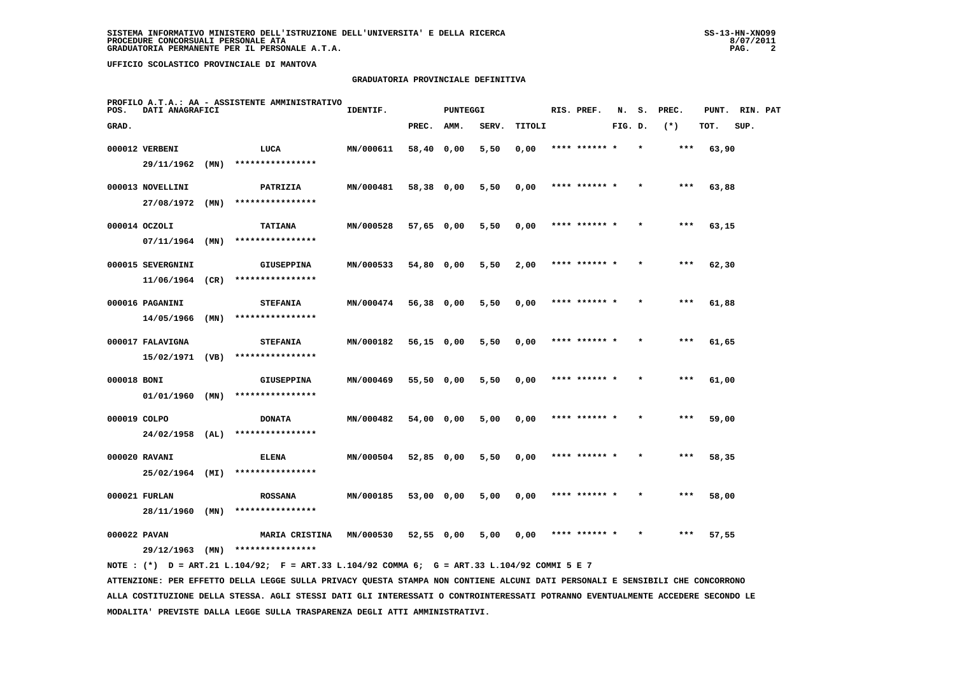#### **GRADUATORIA PROVINCIALE DEFINITIVA**

| POS.         | DATI ANAGRAFICI   |      | PROFILO A.T.A.: AA - ASSISTENTE AMMINISTRATIVO | IDENTIF.         |              | <b>PUNTEGGI</b> |       |        | RIS. PREF.    | N.      | s.      | PREC. | PUNT. | RIN. PAT |  |
|--------------|-------------------|------|------------------------------------------------|------------------|--------------|-----------------|-------|--------|---------------|---------|---------|-------|-------|----------|--|
| GRAD.        |                   |      |                                                |                  | PREC.        | AMM.            | SERV. | TITOLI |               | FIG. D. |         | $(*)$ | TOT.  | SUP.     |  |
|              | 000012 VERBENI    |      | LUCA                                           | MN/000611        | 58,40 0,00   |                 | 5,50  | 0,00   | **** ****** * |         | $\star$ | $***$ | 63,90 |          |  |
|              | 29/11/1962        | (MN) | ****************                               |                  |              |                 |       |        |               |         |         |       |       |          |  |
|              | 000013 NOVELLINI  |      | PATRIZIA                                       | MN/000481        | 58,38 0,00   |                 | 5,50  | 0,00   | **** ****** * |         |         | ***   | 63,88 |          |  |
|              | 27/08/1972        | (MN) | ****************                               |                  |              |                 |       |        |               |         |         |       |       |          |  |
|              | 000014 OCZOLI     |      | <b>TATIANA</b>                                 | MN/000528        | $57,65$ 0,00 |                 | 5,50  | 0,00   | **** ****** * |         |         | $***$ | 63,15 |          |  |
|              | 07/11/1964        | (MN) | ****************                               |                  |              |                 |       |        |               |         |         |       |       |          |  |
|              | 000015 SEVERGNINI |      | <b>GIUSEPPINA</b>                              | MN/000533        | 54,80 0,00   |                 | 5,50  | 2,00   | **** ****** * |         |         | $***$ | 62,30 |          |  |
|              | 11/06/1964        | (CR) | ****************                               |                  |              |                 |       |        |               |         |         |       |       |          |  |
|              | 000016 PAGANINI   |      | <b>STEFANIA</b>                                | MN/000474        | 56,38 0,00   |                 | 5,50  | 0,00   | **** ****** * |         |         | $***$ | 61,88 |          |  |
|              | 14/05/1966        | (MN) | ****************                               |                  |              |                 |       |        |               |         |         |       |       |          |  |
|              | 000017 FALAVIGNA  |      | <b>STEFANIA</b>                                | MN/000182        | 56,15 0,00   |                 | 5,50  | 0,00   | **** ****** * |         |         | $***$ | 61,65 |          |  |
|              | 15/02/1971        | (VB) | ****************                               |                  |              |                 |       |        |               |         |         |       |       |          |  |
| 000018 BONI  |                   |      | <b>GIUSEPPINA</b>                              | MN/000469        | 55,50 0,00   |                 | 5,50  | 0,00   | **** ******   |         |         | $***$ | 61,00 |          |  |
|              | $01/01/1960$ (MN) |      | ****************                               |                  |              |                 |       |        |               |         |         |       |       |          |  |
| 000019 COLPO |                   |      | <b>DONATA</b>                                  | MN/000482        | 54,00 0,00   |                 | 5,00  | 0,00   | **** ****** * |         |         | $***$ | 59,00 |          |  |
|              | 24/02/1958        | (AL) | ****************                               |                  |              |                 |       |        |               |         |         |       |       |          |  |
|              | 000020 RAVANI     |      | <b>ELENA</b>                                   | MN/000504        | 52,85 0,00   |                 | 5,50  | 0,00   | **** ****** * |         | $\star$ | $***$ | 58,35 |          |  |
|              | 25/02/1964 (MI)   |      | ****************                               |                  |              |                 |       |        |               |         |         |       |       |          |  |
|              | 000021 FURLAN     |      | <b>ROSSANA</b><br>****************             | MN/000185        | 53,00 0,00   |                 | 5,00  | 0,00   | **** ****** * |         |         | $***$ | 58,00 |          |  |
|              | 28/11/1960 (MN)   |      |                                                |                  |              |                 |       |        |               |         |         |       |       |          |  |
| 000022 PAVAN | 29/12/1963        | (MN) | MARIA CRISTINA<br>****************             | <b>MN/000530</b> | 52,55 0,00   |                 | 5,00  | 0.00   | **** ****** * |         |         | $***$ | 57,55 |          |  |
|              |                   |      |                                                |                  |              |                 |       |        |               |         |         |       |       |          |  |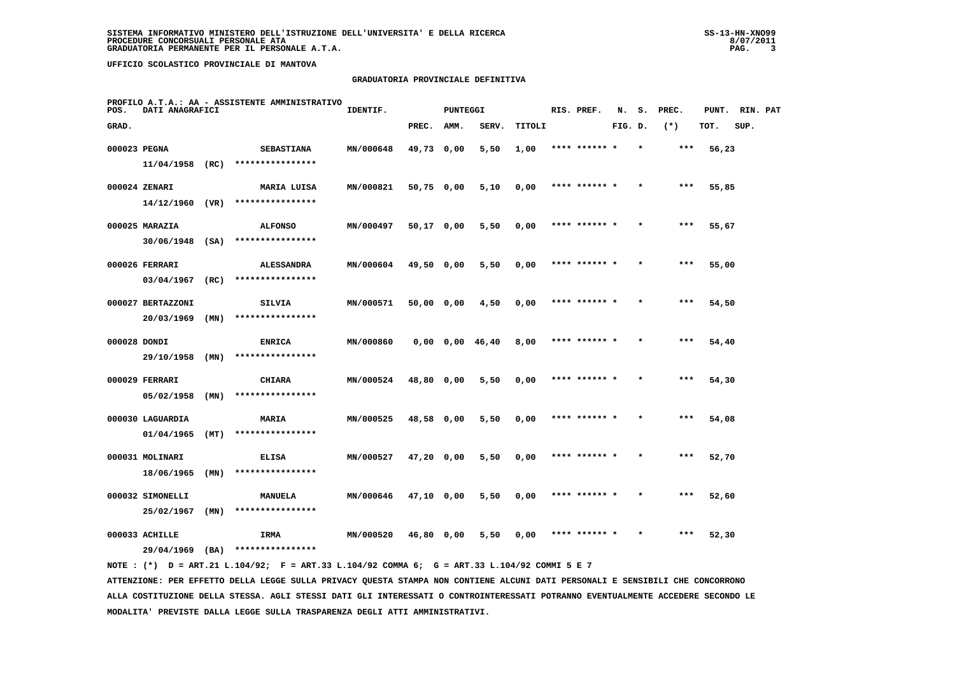#### **GRADUATORIA PROVINCIALE DEFINITIVA**

| POS.         | DATI ANAGRAFICI                |      | PROFILO A.T.A.: AA - ASSISTENTE AMMINISTRATIVO | IDENTIF.  |              | <b>PUNTEGGI</b>       |       |        | RIS. PREF.    | N.      | s.      | PREC. | PUNT. | RIN. PAT |  |
|--------------|--------------------------------|------|------------------------------------------------|-----------|--------------|-----------------------|-------|--------|---------------|---------|---------|-------|-------|----------|--|
| GRAD.        |                                |      |                                                |           | PREC.        | AMM.                  | SERV. | TITOLI |               | FIG. D. |         | $(*)$ | TOT.  | SUP.     |  |
| 000023 PEGNA |                                |      | <b>SEBASTIANA</b>                              | MN/000648 | 49,73 0,00   |                       | 5,50  | 1,00   | **** ****** * |         | $\star$ | ***   | 56,23 |          |  |
|              | $11/04/1958$ (RC)              |      | ****************                               |           |              |                       |       |        |               |         |         |       |       |          |  |
|              | 000024 ZENARI                  |      | <b>MARIA LUISA</b>                             | MN/000821 | 50,75 0,00   |                       | 5,10  | 0,00   | **** ****** * |         |         | ***   | 55,85 |          |  |
|              | $14/12/1960$ (VR)              |      | ****************                               |           |              |                       |       |        |               |         |         |       |       |          |  |
|              | 000025 MARAZIA                 |      | <b>ALFONSO</b>                                 | MN/000497 | $50,17$ 0,00 |                       | 5,50  | 0,00   | **** ****** * |         |         | $***$ | 55,67 |          |  |
|              | 30/06/1948                     | (SA) | ****************                               |           |              |                       |       |        |               |         |         |       |       |          |  |
|              | 000026 FERRARI                 |      | <b>ALESSANDRA</b>                              | MN/000604 | 49,50 0,00   |                       | 5,50  | 0,00   | **** ****** * |         |         | $***$ | 55,00 |          |  |
|              | 03/04/1967                     | (RC) | ****************                               |           |              |                       |       |        |               |         |         |       |       |          |  |
|              | 000027 BERTAZZONI              |      | SILVIA                                         | MN/000571 | 50,00 0,00   |                       | 4,50  | 0,00   | **** ****** * |         |         | $***$ | 54,50 |          |  |
|              | 20/03/1969                     | (MN) | ****************                               |           |              |                       |       |        |               |         |         |       |       |          |  |
| 000028 DONDI |                                |      | <b>ENRICA</b>                                  | MN/000860 |              | $0,00$ $0,00$ $46,40$ |       | 8,00   | **** ****** * |         |         | ***   | 54,40 |          |  |
|              | 29/10/1958                     | (MN) | ****************                               |           |              |                       |       |        |               |         |         |       |       |          |  |
|              | 000029 FERRARI                 |      | <b>CHIARA</b>                                  | MN/000524 | 48,80 0,00   |                       | 5,50  | 0,00   | **** ****** * |         |         | $***$ | 54,30 |          |  |
|              | 05/02/1958                     | (MN) | ****************                               |           |              |                       |       |        |               |         |         |       |       |          |  |
|              | 000030 LAGUARDIA               |      | <b>MARIA</b>                                   | MN/000525 | 48,58 0,00   |                       | 5,50  | 0,00   | **** ****** * |         |         | ***   | 54,08 |          |  |
|              | 01/04/1965                     | (MT) | ****************                               |           |              |                       |       |        |               |         |         |       |       |          |  |
|              | 000031 MOLINARI                |      | <b>ELISA</b><br>****************               | MN/000527 | $47,20$ 0,00 |                       | 5,50  | 0,00   | **** ****** * |         |         | $***$ | 52,70 |          |  |
|              | 18/06/1965                     | (MN) |                                                |           |              |                       |       |        |               |         |         |       |       |          |  |
|              | 000032 SIMONELLI<br>25/02/1967 | (MN) | MANUELA<br>****************                    | MN/000646 | $47,10$ 0,00 |                       | 5,50  | 0,00   | **** ****** * |         |         | ***   | 52,60 |          |  |
|              |                                |      |                                                |           |              |                       |       |        |               |         |         |       |       |          |  |
|              | 000033 ACHILLE                 |      | IRMA                                           | MN/000520 | 46,80 0,00   |                       | 5,50  | 0,00   | **** ****** * |         |         | ***   | 52,30 |          |  |
|              | 29/04/1969                     | (BA) | ****************                               |           |              |                       |       |        |               |         |         |       |       |          |  |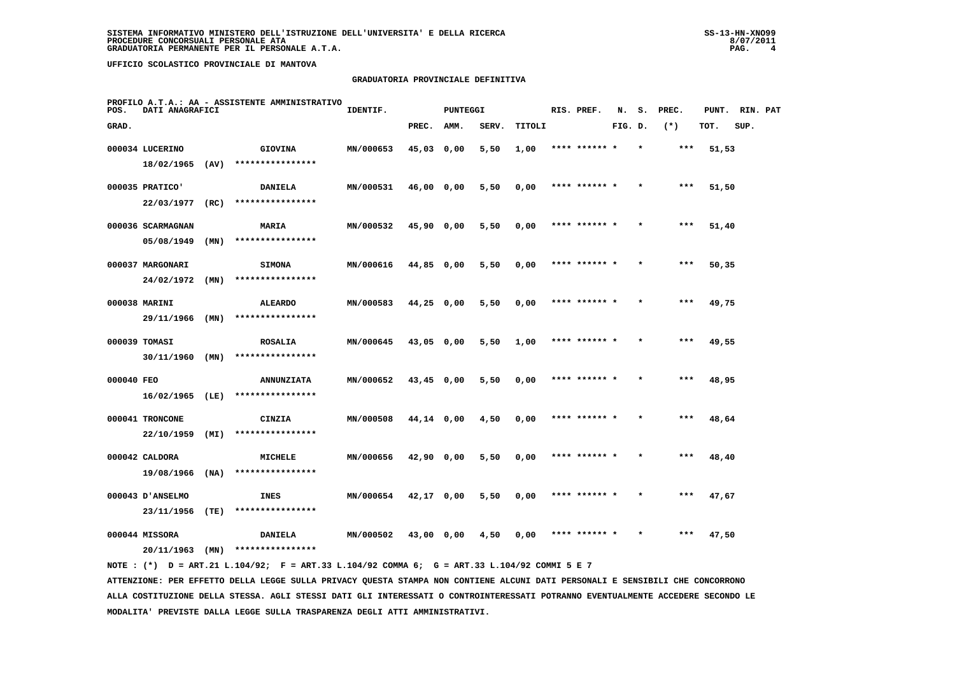### **GRADUATORIA PROVINCIALE DEFINITIVA**

| POS.       | DATI ANAGRAFICI                    |      | PROFILO A.T.A.: AA - ASSISTENTE AMMINISTRATIVO | IDENTIF.  |              | PUNTEGGI |       |        | RIS. PREF.    | N.      | s.      | PREC. | PUNT. | RIN. PAT |  |
|------------|------------------------------------|------|------------------------------------------------|-----------|--------------|----------|-------|--------|---------------|---------|---------|-------|-------|----------|--|
| GRAD.      |                                    |      |                                                |           | PREC.        | AMM.     | SERV. | TITOLI |               | FIG. D. |         | $(*)$ | TOT.  | SUP.     |  |
|            | 000034 LUCERINO<br>18/02/1965 (AV) |      | <b>GIOVINA</b><br>****************             | MN/000653 | $45,03$ 0,00 |          | 5,50  | 1,00   | **** ******   |         |         | $***$ | 51,53 |          |  |
|            | 000035 PRATICO'                    |      | <b>DANIELA</b><br>****************             | MN/000531 | 46,00 0,00   |          | 5,50  | 0,00   | **** ****** * |         |         | ***   | 51,50 |          |  |
|            | 22/03/1977<br>000036 SCARMAGNAN    | (RC) | <b>MARIA</b>                                   | MN/000532 | 45,90 0,00   |          | 5,50  | 0,00   | **** ****** * |         | $\star$ | $***$ | 51,40 |          |  |
|            | 05/08/1949<br>000037 MARGONARI     | (MN) | ****************<br><b>SIMONA</b>              | MN/000616 | 44,85 0,00   |          | 5,50  | 0,00   | **** ****** * |         |         | $***$ | 50,35 |          |  |
|            | 24/02/1972<br>000038 MARINI        | (MN) | ****************<br><b>ALEARDO</b>             | MN/000583 | $44,25$ 0,00 |          | 5,50  | 0,00   | **** ****** * |         |         | $***$ | 49,75 |          |  |
|            | 29/11/1966                         | (MN) | ****************                               |           |              |          |       |        |               |         |         |       |       |          |  |
|            | 000039 TOMASI<br>30/11/1960        | (MN) | <b>ROSALIA</b><br>****************             | MN/000645 | 43,05 0,00   |          | 5,50  | 1,00   | **** ****** * |         | $\star$ | ***   | 49,55 |          |  |
| 000040 FEO | 16/02/1965 (LE)                    |      | <b>ANNUNZIATA</b><br>****************          | MN/000652 | $43,45$ 0,00 |          | 5,50  | 0,00   | **** ******   |         |         | ***   | 48,95 |          |  |
|            | 000041 TRONCONE<br>22/10/1959      | (MI) | <b>CINZIA</b><br>****************              | MN/000508 | 44,14 0,00   |          | 4,50  | 0,00   | **** ****** * |         |         | $***$ | 48,64 |          |  |
|            | 000042 CALDORA<br>19/08/1966       | (NA) | MICHELE<br>****************                    | MN/000656 | 42,90 0,00   |          | 5,50  | 0,00   | **** ****** * |         | $\star$ | $***$ | 48,40 |          |  |
|            | 000043 D'ANSELMO                   |      | <b>INES</b>                                    | MN/000654 | 42,17 0,00   |          | 5,50  | 0,00   | **** ****** * |         |         | ***   | 47,67 |          |  |
|            | 23/11/1956<br>000044 MISSORA       | (TE) | ****************<br><b>DANIELA</b>             | MN/000502 | 43,00 0,00   |          | 4,50  | 0,00   | **** ****** * |         |         | ***   | 47,50 |          |  |
|            | 20/11/1963                         | (MN) | ****************                               |           |              |          |       |        |               |         |         |       |       |          |  |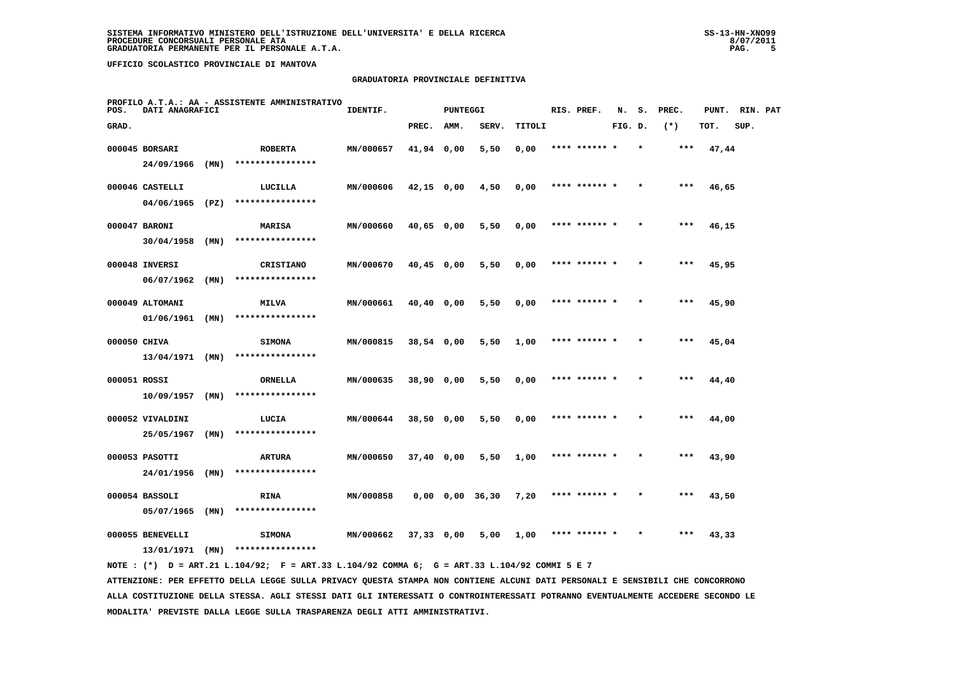#### **GRADUATORIA PROVINCIALE DEFINITIVA**

| POS.         | DATI ANAGRAFICI   |      | PROFILO A.T.A.: AA - ASSISTENTE AMMINISTRATIVO | IDENTIF.  |              | <b>PUNTEGGI</b>       |       |        | RIS. PREF.    | N.      | s.      | PREC. | PUNT. | RIN. PAT |  |
|--------------|-------------------|------|------------------------------------------------|-----------|--------------|-----------------------|-------|--------|---------------|---------|---------|-------|-------|----------|--|
| GRAD.        |                   |      |                                                |           | PREC.        | AMM.                  | SERV. | TITOLI |               | FIG. D. |         | $(*)$ | TOT.  | SUP.     |  |
|              | 000045 BORSARI    |      | <b>ROBERTA</b>                                 | MN/000657 | 41,94 0,00   |                       | 5,50  | 0,00   | **** ****** * |         | $\star$ | ***   | 47,44 |          |  |
|              | 24/09/1966        | (MN) | ****************                               |           |              |                       |       |        |               |         |         |       |       |          |  |
|              | 000046 CASTELLI   |      | LUCILLA                                        | MN/000606 | $42,15$ 0,00 |                       | 4,50  | 0,00   | **** ****** * |         |         | $***$ | 46,65 |          |  |
|              | $04/06/1965$ (PZ) |      | ****************                               |           |              |                       |       |        |               |         |         |       |       |          |  |
|              | 000047 BARONI     |      | <b>MARISA</b>                                  | MN/000660 | 40,65 0,00   |                       | 5,50  | 0,00   | **** ****** * |         |         | $***$ | 46,15 |          |  |
|              | 30/04/1958        | (MN) | ****************                               |           |              |                       |       |        |               |         |         |       |       |          |  |
|              | 000048 INVERSI    |      | CRISTIANO                                      | MN/000670 | $40,45$ 0,00 |                       | 5,50  | 0,00   | **** ****** * |         |         | ***   | 45,95 |          |  |
|              | 06/07/1962        | (MN) | ****************                               |           |              |                       |       |        |               |         |         |       |       |          |  |
|              | 000049 ALTOMANI   |      | <b>MILVA</b>                                   | MN/000661 | $40,40$ 0,00 |                       | 5,50  | 0,00   | **** ****** * |         |         | $***$ | 45,90 |          |  |
|              | $01/06/1961$ (MN) |      | ****************                               |           |              |                       |       |        |               |         |         |       |       |          |  |
| 000050 CHIVA |                   |      | <b>SIMONA</b>                                  | MN/000815 | 38,54 0,00   |                       | 5,50  | 1,00   | **** ****** * |         |         | $***$ | 45,04 |          |  |
|              | $13/04/1971$ (MN) |      | ****************                               |           |              |                       |       |        |               |         |         |       |       |          |  |
| 000051 ROSSI |                   |      | ORNELLA                                        | MN/000635 | 38,90 0,00   |                       | 5,50  | 0,00   | **** ****** * |         |         | ***   | 44,40 |          |  |
|              | 10/09/1957        | (MN) | ****************                               |           |              |                       |       |        |               |         |         |       |       |          |  |
|              | 000052 VIVALDINI  |      | LUCIA                                          | MN/000644 | $38,50$ 0,00 |                       | 5,50  | 0,00   | **** ****** * |         |         | ***   | 44,00 |          |  |
|              | 25/05/1967        | (MN) | ****************                               |           |              |                       |       |        |               |         |         |       |       |          |  |
|              | 000053 PASOTTI    |      | <b>ARTURA</b>                                  | MN/000650 | $37,40$ 0,00 |                       | 5,50  | 1,00   | **** ****** * |         |         | $***$ | 43,90 |          |  |
|              | 24/01/1956        | (MN) | ****************                               |           |              |                       |       |        |               |         |         |       |       |          |  |
|              | 000054 BASSOLI    |      | <b>RINA</b>                                    | MN/000858 |              | $0,00$ $0,00$ $36,30$ |       | 7,20   | **** ****** * |         |         | ***   | 43,50 |          |  |
|              | 05/07/1965        | (MN) | ****************                               |           |              |                       |       |        |               |         |         |       |       |          |  |
|              | 000055 BENEVELLI  |      | <b>SIMONA</b>                                  | MN/000662 | $37,33$ 0,00 |                       | 5,00  | 1,00   | **** ****** * |         |         | ***   | 43,33 |          |  |
|              | 13/01/1971        | (MN) | ****************                               |           |              |                       |       |        |               |         |         |       |       |          |  |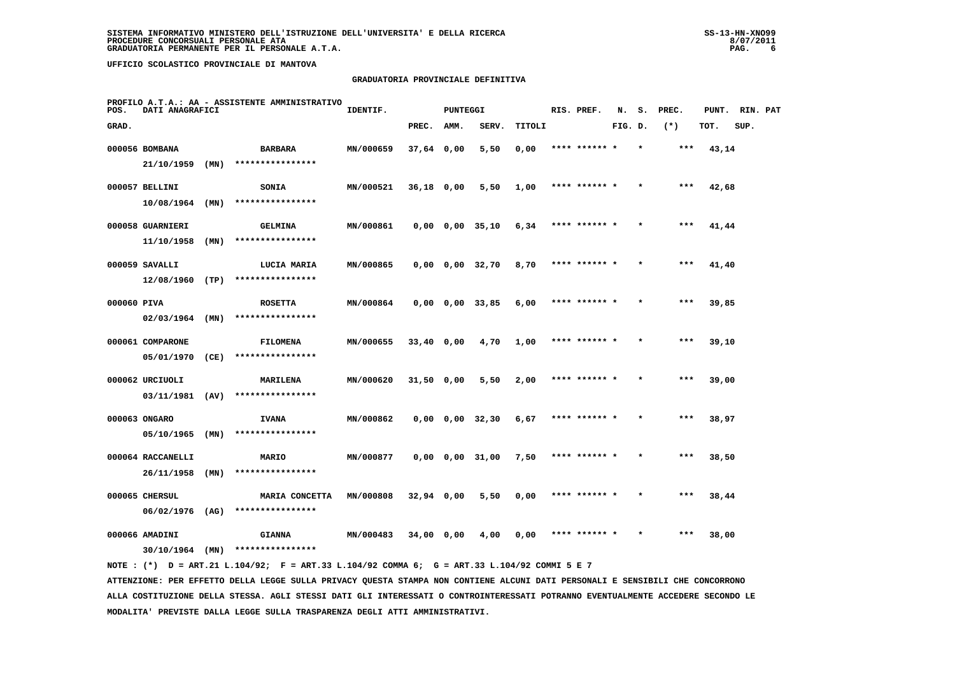#### **GRADUATORIA PROVINCIALE DEFINITIVA**

| POS.        | DATI ANAGRAFICI   |      | PROFILO A.T.A.: AA - ASSISTENTE AMMINISTRATIVO | IDENTIF.  |              | <b>PUNTEGGI</b> |                         |        | RIS. PREF.    | N.      | s.      | PREC. | PUNT. | RIN. PAT |  |
|-------------|-------------------|------|------------------------------------------------|-----------|--------------|-----------------|-------------------------|--------|---------------|---------|---------|-------|-------|----------|--|
| GRAD.       |                   |      |                                                |           | PREC.        | AMM.            | SERV.                   | TITOLI |               | FIG. D. |         | $(*)$ | TOT.  | SUP.     |  |
|             | 000056 BOMBANA    |      | <b>BARBARA</b>                                 | MN/000659 | 37,64 0,00   |                 | 5,50                    | 0,00   | **** ****** * |         | $\star$ | ***   | 43,14 |          |  |
|             | 21/10/1959        | (MN) | ****************                               |           |              |                 |                         |        |               |         |         |       |       |          |  |
|             | 000057 BELLINI    |      | SONIA                                          | MN/000521 | 36,18 0,00   |                 | 5,50                    | 1,00   | **** ****** * |         |         | $***$ | 42,68 |          |  |
|             | 10/08/1964        | (MN) | ****************                               |           |              |                 |                         |        |               |         |         |       |       |          |  |
|             | 000058 GUARNIERI  |      | <b>GELMINA</b>                                 | MN/000861 |              |                 | $0,00$ $0,00$ $35,10$   | 6,34   | **** ****** * |         |         | ***   | 41,44 |          |  |
|             | 11/10/1958        | (MN) | ****************                               |           |              |                 |                         |        |               |         |         |       |       |          |  |
|             | 000059 SAVALLI    |      | LUCIA MARIA                                    | MN/000865 |              |                 | $0,00$ $0,00$ $32,70$   | 8,70   | **** ****** * |         | $\star$ | ***   | 41,40 |          |  |
|             | 12/08/1960        | (TP) | ****************                               |           |              |                 |                         |        |               |         |         |       |       |          |  |
| 000060 PIVA |                   |      | <b>ROSETTA</b>                                 | MN/000864 |              |                 | $0,00$ $0,00$ $33,85$   | 6,00   | **** ****** * |         |         | $***$ | 39,85 |          |  |
|             | $02/03/1964$ (MN) |      | ****************                               |           |              |                 |                         |        |               |         |         |       |       |          |  |
|             | 000061 COMPARONE  |      | <b>FILOMENA</b>                                | MN/000655 | $33,40$ 0,00 |                 | 4,70                    | 1,00   | **** ******   |         |         | $***$ | 39,10 |          |  |
|             | 05/01/1970        | (CE) | ****************                               |           |              |                 |                         |        |               |         |         |       |       |          |  |
|             | 000062 URCIUOLI   |      | <b>MARILENA</b>                                | MN/000620 | 31,50 0,00   |                 | 5,50                    | 2,00   | **** ******   |         |         | ***   | 39,00 |          |  |
|             | 03/11/1981 (AV)   |      | ****************                               |           |              |                 |                         |        |               |         |         |       |       |          |  |
|             | 000063 ONGARO     |      | <b>IVANA</b>                                   | MN/000862 |              |                 | $0,00 \t 0,00 \t 32,30$ | 6,67   | **** ****** * |         |         | $***$ | 38,97 |          |  |
|             | 05/10/1965        | (MN) | ****************                               |           |              |                 |                         |        |               |         |         |       |       |          |  |
|             | 000064 RACCANELLI |      | <b>MARIO</b>                                   | MN/000877 |              |                 | $0,00$ $0,00$ $31,00$   | 7,50   | **** ****** * |         | $\star$ | ***   | 38,50 |          |  |
|             | 26/11/1958        | (MN) | ****************                               |           |              |                 |                         |        |               |         |         |       |       |          |  |
|             | 000065 CHERSUL    |      | MARIA CONCETTA                                 | MN/000808 | $32,94$ 0,00 |                 | 5,50                    | 0,00   | **** ****** * |         |         | ***   | 38,44 |          |  |
|             | 06/02/1976        | (AG) | ****************                               |           |              |                 |                         |        |               |         |         |       |       |          |  |
|             | 000066 AMADINI    |      | <b>GIANNA</b>                                  | MN/000483 | 34,00 0,00   |                 | 4,00                    | 0,00   | **** ****** * |         |         | ***   | 38,00 |          |  |
|             | 30/10/1964        | (MN) | ****************                               |           |              |                 |                         |        |               |         |         |       |       |          |  |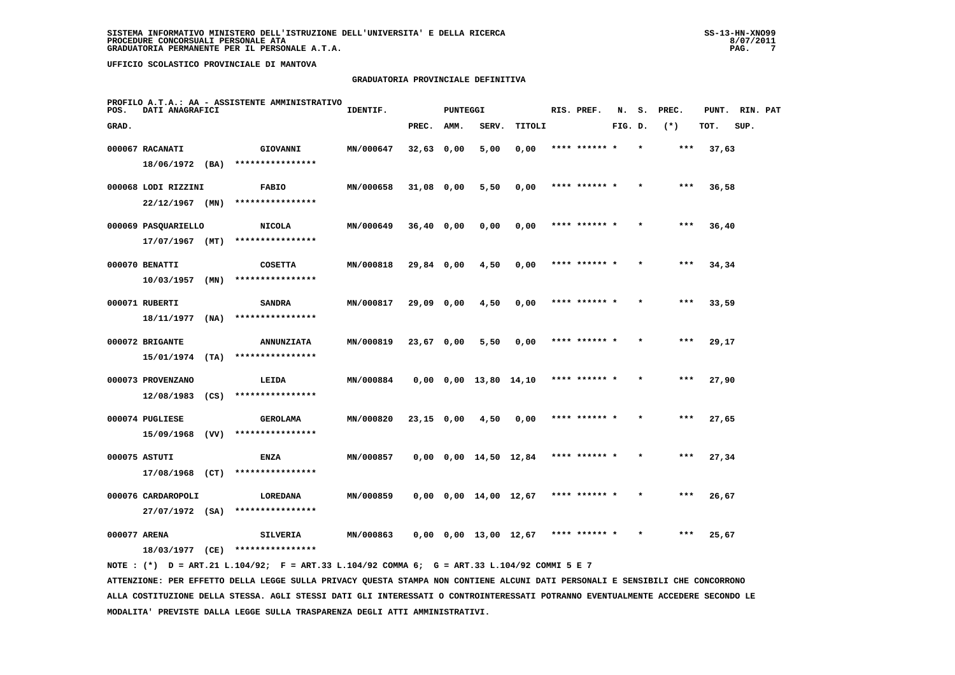#### **GRADUATORIA PROVINCIALE DEFINITIVA**

| POS.         | DATI ANAGRAFICI     |      | PROFILO A.T.A.: AA - ASSISTENTE AMMINISTRATIVO | IDENTIF.  |              | PUNTEGGI |                                  |        | RIS. PREF.    | N.      | s.      | PREC. | PUNT. | RIN. PAT |  |
|--------------|---------------------|------|------------------------------------------------|-----------|--------------|----------|----------------------------------|--------|---------------|---------|---------|-------|-------|----------|--|
| GRAD.        |                     |      |                                                |           | PREC.        | AMM.     | SERV.                            | TITOLI |               | FIG. D. |         | $(*)$ | TOT.  | SUP.     |  |
|              | 000067 RACANATI     |      | GIOVANNI                                       | MN/000647 | $32,63$ 0,00 |          | 5,00                             | 0,00   | **** ******   |         |         | $***$ | 37,63 |          |  |
|              | 18/06/1972 (BA)     |      | ****************                               |           |              |          |                                  |        |               |         |         |       |       |          |  |
|              | 000068 LODI RIZZINI |      | <b>FABIO</b>                                   | MN/000658 | $31,08$ 0,00 |          | 5,50                             | 0,00   | **** ******   |         |         | $***$ | 36,58 |          |  |
|              | $22/12/1967$ (MN)   |      | ****************                               |           |              |          |                                  |        |               |         |         |       |       |          |  |
|              | 000069 PASQUARIELLO |      | <b>NICOLA</b>                                  | MN/000649 | $36,40$ 0,00 |          | 0,00                             | 0,00   | **** ****** * |         | $\star$ | ***   | 36,40 |          |  |
|              | $17/07/1967$ (MT)   |      | ****************                               |           |              |          |                                  |        |               |         |         |       |       |          |  |
|              | 000070 BENATTI      |      | <b>COSETTA</b>                                 | MN/000818 | 29,84 0,00   |          | 4,50                             | 0,00   | **** ****** * |         |         | $***$ | 34,34 |          |  |
|              | 10/03/1957          | (MN) | ****************                               |           |              |          |                                  |        |               |         |         |       |       |          |  |
|              | 000071 RUBERTI      |      | <b>SANDRA</b>                                  | MN/000817 | 29,09 0,00   |          | 4,50                             | 0,00   | **** ****** * |         |         | $***$ | 33,59 |          |  |
|              | 18/11/1977          | (NA) | ****************                               |           |              |          |                                  |        |               |         |         |       |       |          |  |
|              | 000072 BRIGANTE     |      | <b>ANNUNZIATA</b>                              | MN/000819 | 23,67 0,00   |          | 5,50                             | 0,00   | **** ****** * |         | $\star$ | ***   | 29,17 |          |  |
|              | $15/01/1974$ (TA)   |      | ****************                               |           |              |          |                                  |        |               |         |         |       |       |          |  |
|              | 000073 PROVENZANO   |      | LEIDA                                          | MN/000884 |              |          | $0,00$ $0,00$ $13,80$ $14,10$    |        | **** ******   |         |         | $***$ | 27,90 |          |  |
|              | 12/08/1983          | (CS) | ****************                               |           |              |          |                                  |        |               |         |         |       |       |          |  |
|              | 000074 PUGLIESE     |      | <b>GEROLAMA</b>                                | MN/000820 | $23,15$ 0,00 |          | 4,50                             | 0,00   | **** ****** * |         |         | $***$ | 27,65 |          |  |
|              | 15/09/1968          | (VV) | ****************                               |           |              |          |                                  |        |               |         |         |       |       |          |  |
|              | 000075 ASTUTI       |      | <b>ENZA</b>                                    | MN/000857 |              |          | $0,00$ $0,00$ $14,50$ $12,84$    |        | **** ****** * |         | $\star$ | ***   | 27,34 |          |  |
|              | 17/08/1968 (CT)     |      | ****************                               |           |              |          |                                  |        |               |         |         |       |       |          |  |
|              | 000076 CARDAROPOLI  |      | LOREDANA                                       | MN/000859 |              |          | $0,00$ $0,00$ $14,00$ $12,67$    |        | **** ****** * |         |         | $***$ | 26,67 |          |  |
|              | 27/07/1972 (SA)     |      | ****************                               |           |              |          |                                  |        |               |         |         |       |       |          |  |
| 000077 ARENA |                     |      | <b>SILVERIA</b>                                | MN/000863 |              |          | $0.00 \t 0.00 \t 13.00 \t 12.67$ |        | **** ****** * |         |         | $***$ | 25,67 |          |  |
|              | 18/03/1977          | (CE) | ****************                               |           |              |          |                                  |        |               |         |         |       |       |          |  |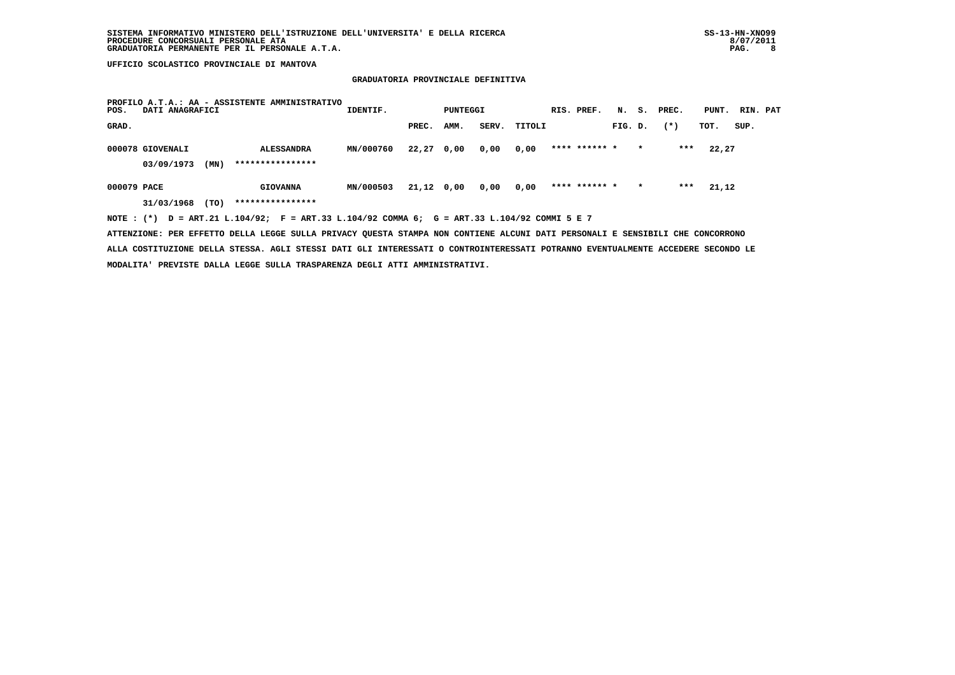# **GRADUATORIA PROVINCIALE DEFINITIVA**

| POS.        | DATI ANAGRAFICI  |      | PROFILO A.T.A.: AA - ASSISTENTE AMMINISTRATIVO                                              | IDENTIF.  |              | PUNTEGGI |       |        | RIS. PREF.    | N.      | s.      | PREC. | PUNT. | RIN. PAT |  |
|-------------|------------------|------|---------------------------------------------------------------------------------------------|-----------|--------------|----------|-------|--------|---------------|---------|---------|-------|-------|----------|--|
| GRAD.       |                  |      |                                                                                             |           | PREC.        | AMM.     | SERV. | TITOLI |               | FIG. D. |         | $(*)$ | TOT.  | SUP.     |  |
|             | 000078 GIOVENALI |      | <b>ALESSANDRA</b>                                                                           | MN/000760 | $22,27$ 0,00 |          | 0,00  | 0,00   | **** ****** * |         | $\star$ | ***   | 22,27 |          |  |
|             | 03/09/1973       | (MN) | ****************                                                                            |           |              |          |       |        |               |         |         |       |       |          |  |
| 000079 PACE |                  |      | <b>GIOVANNA</b>                                                                             | MN/000503 | 21,12 0,00   |          | 0,00  | 0,00   | **** ****** * |         | $\star$ | ***   | 21,12 |          |  |
|             | 31/03/1968       | (TO) | ****************                                                                            |           |              |          |       |        |               |         |         |       |       |          |  |
|             |                  |      | NOTE: (*) D = ART.21 L.104/92; F = ART.33 L.104/92 COMMA 6; G = ART.33 L.104/92 COMMI 5 E 7 |           |              |          |       |        |               |         |         |       |       |          |  |

 **ATTENZIONE: PER EFFETTO DELLA LEGGE SULLA PRIVACY QUESTA STAMPA NON CONTIENE ALCUNI DATI PERSONALI E SENSIBILI CHE CONCORRONO ALLA COSTITUZIONE DELLA STESSA. AGLI STESSI DATI GLI INTERESSATI O CONTROINTERESSATI POTRANNO EVENTUALMENTE ACCEDERE SECONDO LE MODALITA' PREVISTE DALLA LEGGE SULLA TRASPARENZA DEGLI ATTI AMMINISTRATIVI.**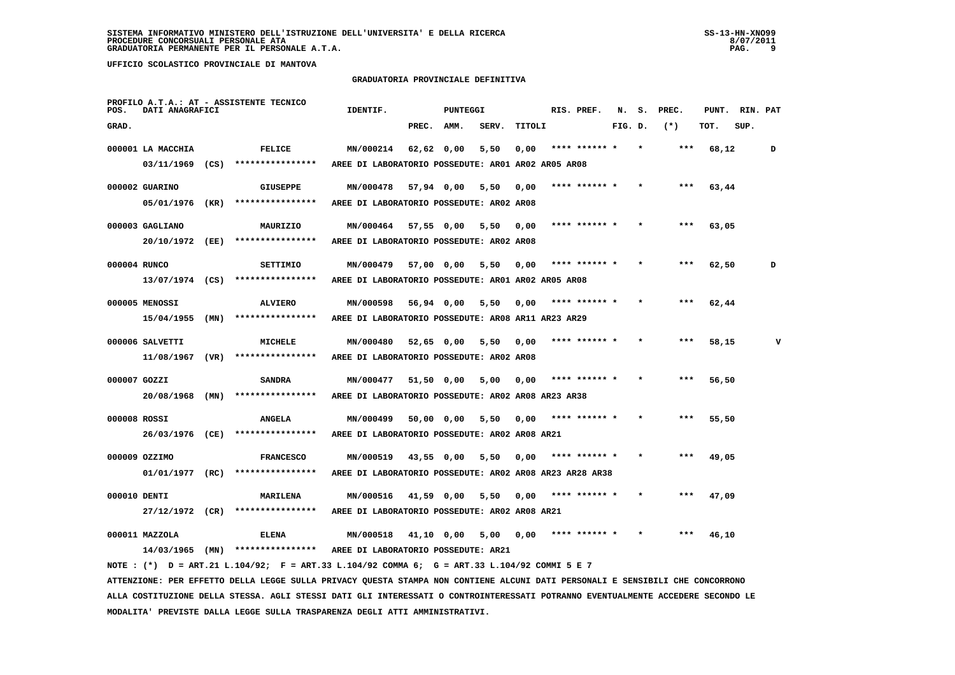### **GRADUATORIA PROVINCIALE DEFINITIVA**

| POS.         | DATI ANAGRAFICI                  | PROFILO A.T.A.: AT - ASSISTENTE TECNICO                                                     | IDENTIF.                                                             |            | PUNTEGGI   |       |        | RIS. PREF.    | N.      | s. | PREC. | PUNT. | RIN. PAT |   |
|--------------|----------------------------------|---------------------------------------------------------------------------------------------|----------------------------------------------------------------------|------------|------------|-------|--------|---------------|---------|----|-------|-------|----------|---|
| GRAD.        |                                  |                                                                                             |                                                                      | PREC. AMM. |            | SERV. | TITOLI |               | FIG. D. |    | $(*)$ | TOT.  | SUP.     |   |
|              | 000001 LA MACCHIA                | FELICE                                                                                      | MN/000214                                                            | 62,62 0,00 |            | 5,50  | 0,00   | **** ****** * |         |    | ***   | 68,12 |          | D |
|              | $03/11/1969$ (CS)                | ****************                                                                            | AREE DI LABORATORIO POSSEDUTE: AR01 AR02 AR05 AR08                   |            |            |       |        |               |         |    |       |       |          |   |
|              | 000002 GUARINO                   | <b>GIUSEPPE</b>                                                                             | MN/000478                                                            | 57,94 0,00 |            | 5,50  | 0.00   | **** ****** * |         |    | ***   | 63,44 |          |   |
|              | 05/01/1976 (KR)                  | ****************                                                                            | AREE DI LABORATORIO POSSEDUTE: AR02 AR08                             |            |            |       |        |               |         |    |       |       |          |   |
|              | 000003 GAGLIANO                  | MAURIZIO                                                                                    | MN/000464 57,55 0,00                                                 |            |            | 5,50  | 0,00   | **** ****** * |         |    | ***   | 63,05 |          |   |
|              | 20/10/1972 (EE)                  | ****************                                                                            | AREE DI LABORATORIO POSSEDUTE: AR02 AR08                             |            |            |       |        |               |         |    |       |       |          |   |
|              |                                  |                                                                                             |                                                                      |            |            |       |        |               |         |    |       |       |          |   |
| 000004 RUNCO |                                  | <b>SETTIMIO</b>                                                                             | MN/000479                                                            | 57,00 0,00 |            | 5,50  | 0,00   | **** ****** * |         |    |       | 62,50 |          | D |
|              |                                  | $13/07/1974$ (CS) ****************                                                          | AREE DI LABORATORIO POSSEDUTE: AR01 AR02 AR05 AR08                   |            |            |       |        |               |         |    |       |       |          |   |
|              | 000005 MENOSSI                   | <b>ALVIERO</b>                                                                              | MN/000598                                                            | 56,94 0,00 |            | 5,50  | 0,00   | **** ****** * |         |    |       | 62,44 |          |   |
|              | $15/04/1955$ (MN)                | ****************                                                                            | AREE DI LABORATORIO POSSEDUTE: AR08 AR11 AR23 AR29                   |            |            |       |        |               |         |    |       |       |          |   |
|              | 000006 SALVETTI                  | MICHELE                                                                                     | MN/000480                                                            | 52,65 0,00 |            | 5,50  | 0,00   |               |         |    |       | 58,15 |          | v |
|              | $11/08/1967$ (VR)                | ****************                                                                            | AREE DI LABORATORIO POSSEDUTE: AR02 AR08                             |            |            |       |        |               |         |    |       |       |          |   |
|              |                                  |                                                                                             |                                                                      |            |            |       |        |               |         |    |       |       |          |   |
| 000007 GOZZI |                                  | <b>SANDRA</b>                                                                               | MN/000477                                                            |            | 51,50 0,00 | 5,00  | 0,00   | **** ****** * |         |    |       | 56,50 |          |   |
|              | 20/08/1968 (MN)                  | ****************                                                                            | AREE DI LABORATORIO POSSEDUTE: AR02 AR08 AR23 AR38                   |            |            |       |        |               |         |    |       |       |          |   |
| 000008 ROSSI |                                  | <b>ANGELA</b>                                                                               | MN/000499                                                            |            | 50,00 0,00 | 5,50  | 0,00   | **** ****** * |         |    |       | 55,50 |          |   |
|              | 26/03/1976 (CE)                  | ****************                                                                            | AREE DI LABORATORIO POSSEDUTE: AR02 AR08 AR21                        |            |            |       |        |               |         |    |       |       |          |   |
|              |                                  |                                                                                             |                                                                      |            |            |       |        | **** ****** * |         |    |       |       |          |   |
|              | 000009 OZZIMO<br>01/01/1977 (RC) | <b>FRANCESCO</b><br>****************                                                        | MN/000519<br>AREE DI LABORATORIO POSSEDUTE: AR02 AR08 AR23 AR28 AR38 | 43,55 0,00 |            | 5,50  | 0,00   |               |         |    |       | 49,05 |          |   |
|              |                                  |                                                                                             |                                                                      |            |            |       |        |               |         |    |       |       |          |   |
| 000010 DENTI |                                  | MARILENA                                                                                    | MN/000516                                                            |            | 41,59 0,00 | 5,50  | 0,00   | **** ****** * |         |    | ***   | 47,09 |          |   |
|              | 27/12/1972 (CR)                  | ****************                                                                            | AREE DI LABORATORIO POSSEDUTE: AR02 AR08 AR21                        |            |            |       |        |               |         |    |       |       |          |   |
|              | 000011 MAZZOLA                   | <b>ELENA</b>                                                                                | MN/000518                                                            | 41,10 0,00 |            | 5,00  | 0,00   | **** ****** * |         |    |       | 46,10 |          |   |
|              |                                  | 14/03/1965 (MN) ****************                                                            | AREE DI LABORATORIO POSSEDUTE: AR21                                  |            |            |       |        |               |         |    |       |       |          |   |
|              |                                  | NOTE: (*) D = ART.21 L.104/92; F = ART.33 L.104/92 COMMA 6; G = ART.33 L.104/92 COMMI 5 E 7 |                                                                      |            |            |       |        |               |         |    |       |       |          |   |

 **ATTENZIONE: PER EFFETTO DELLA LEGGE SULLA PRIVACY QUESTA STAMPA NON CONTIENE ALCUNI DATI PERSONALI E SENSIBILI CHE CONCORRONO ALLA COSTITUZIONE DELLA STESSA. AGLI STESSI DATI GLI INTERESSATI O CONTROINTERESSATI POTRANNO EVENTUALMENTE ACCEDERE SECONDO LE MODALITA' PREVISTE DALLA LEGGE SULLA TRASPARENZA DEGLI ATTI AMMINISTRATIVI.**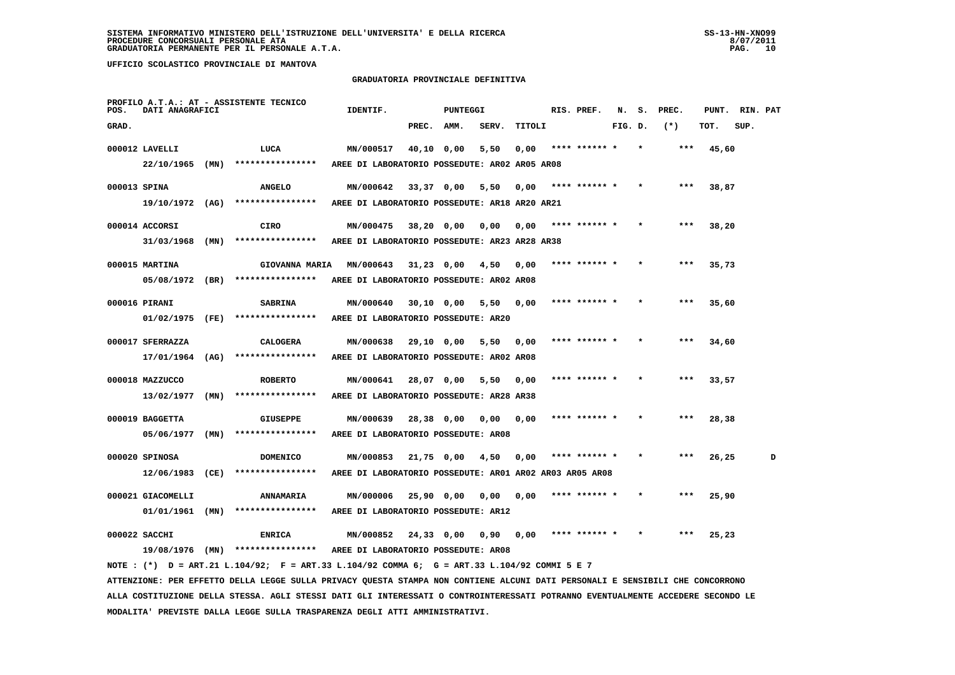### **GRADUATORIA PROVINCIALE DEFINITIVA**

| POS.         | DATI ANAGRAFICI   |      | PROFILO A.T.A.: AT - ASSISTENTE TECNICO                                                                                         | IDENTIF.                                                |              | <b>PUNTEGGI</b> |       |        | RIS. PREF.    | N.      | s. | PREC. | PUNT. | RIN. PAT |   |
|--------------|-------------------|------|---------------------------------------------------------------------------------------------------------------------------------|---------------------------------------------------------|--------------|-----------------|-------|--------|---------------|---------|----|-------|-------|----------|---|
| GRAD.        |                   |      |                                                                                                                                 |                                                         | PREC.        | AMM.            | SERV. | TITOLI |               | FIG. D. |    | $(*)$ | TOT.  | SUP.     |   |
|              | 000012 LAVELLI    |      | LUCA                                                                                                                            | MN/000517                                               | 40,10 0,00   |                 | 5,50  | 0,00   | **** ****** * |         |    |       | 45,60 |          |   |
|              | 22/10/1965        | (MN) | ****************                                                                                                                | AREE DI LABORATORIO POSSEDUTE: AR02 AR05 AR08           |              |                 |       |        |               |         |    |       |       |          |   |
| 000013 SPINA |                   |      | <b>ANGELO</b>                                                                                                                   | MN/000642                                               | 33,37 0,00   |                 | 5,50  | 0,00   | **** ****** * |         |    | ***   | 38,87 |          |   |
|              | $19/10/1972$ (AG) |      | ****************                                                                                                                | AREE DI LABORATORIO POSSEDUTE: AR18 AR20 AR21           |              |                 |       |        |               |         |    |       |       |          |   |
|              | 000014 ACCORSI    |      | CIRO                                                                                                                            | MN/000475                                               | 38,20 0,00   |                 | 0,00  | 0,00   | **** ****** * |         |    | ***   | 38,20 |          |   |
|              | $31/03/1968$ (MN) |      | ****************                                                                                                                | AREE DI LABORATORIO POSSEDUTE: AR23 AR28 AR38           |              |                 |       |        |               |         |    |       |       |          |   |
|              |                   |      |                                                                                                                                 |                                                         |              |                 |       |        |               |         |    |       |       |          |   |
|              | 000015 MARTINA    |      | <b>GIOVANNA MARIA</b>                                                                                                           | MN/000643                                               | $31,23$ 0,00 |                 | 4,50  | 0.00   | **** ****** * |         |    | ***   | 35,73 |          |   |
|              | 05/08/1972 (BR)   |      | ****************                                                                                                                | AREE DI LABORATORIO POSSEDUTE: AR02 AR08                |              |                 |       |        |               |         |    |       |       |          |   |
|              | 000016 PIRANI     |      | <b>SABRINA</b>                                                                                                                  | MN/000640                                               | 30,10 0,00   |                 | 5,50  | 0,00   |               |         |    | ***   | 35,60 |          |   |
|              | 01/02/1975 (FE)   |      | ****************                                                                                                                | AREE DI LABORATORIO POSSEDUTE: AR20                     |              |                 |       |        |               |         |    |       |       |          |   |
|              | 000017 SFERRAZZA  |      | <b>CALOGERA</b>                                                                                                                 | MN/000638                                               | 29,10 0,00   |                 | 5,50  | 0,00   | **** ****** * |         |    |       | 34,60 |          |   |
|              | 17/01/1964        | (AG) | ****************                                                                                                                | AREE DI LABORATORIO POSSEDUTE: AR02 AR08                |              |                 |       |        |               |         |    |       |       |          |   |
|              | 000018 MAZZUCCO   |      | <b>ROBERTO</b>                                                                                                                  | MN/000641                                               | 28,07 0,00   |                 | 5,50  | 0,00   |               |         |    |       | 33,57 |          |   |
|              | 13/02/1977        | (MN) | ****************                                                                                                                | AREE DI LABORATORIO POSSEDUTE: AR28 AR38                |              |                 |       |        |               |         |    |       |       |          |   |
|              | 000019 BAGGETTA   |      | <b>GIUSEPPE</b>                                                                                                                 | MN/000639                                               | 28,38 0,00   |                 | 0.00  | 0,00   |               |         |    |       | 28,38 |          |   |
|              | 05/06/1977        | (MN) | ****************                                                                                                                | AREE DI LABORATORIO POSSEDUTE: AR08                     |              |                 |       |        |               |         |    |       |       |          |   |
|              |                   |      |                                                                                                                                 |                                                         |              |                 |       |        |               |         |    |       |       |          |   |
|              | 000020 SPINOSA    |      | <b>DOMENICO</b>                                                                                                                 | MN/000853                                               | $21,75$ 0,00 |                 | 4,50  | 0,00   | **** ****** * |         |    | ***   | 26,25 |          | D |
|              | $12/06/1983$ (CE) |      | ****************                                                                                                                | AREE DI LABORATORIO POSSEDUTE: AR01 AR02 AR03 AR05 AR08 |              |                 |       |        |               |         |    |       |       |          |   |
|              | 000021 GIACOMELLI |      | <b>ANNAMARIA</b>                                                                                                                | MN/000006                                               | 25,90 0,00   |                 | 0,00  | 0,00   |               |         |    |       | 25,90 |          |   |
|              | $01/01/1961$ (MN) |      | ****************                                                                                                                | AREE DI LABORATORIO POSSEDUTE: AR12                     |              |                 |       |        |               |         |    |       |       |          |   |
|              | 000022 SACCHI     |      | <b>ENRICA</b>                                                                                                                   | MN/000852                                               | 24,33 0,00   |                 | 0,90  | 0,00   | **** ****** * |         |    |       | 25,23 |          |   |
|              |                   |      | 19/08/1976 (MN) ****************                                                                                                | AREE DI LABORATORIO POSSEDUTE: AR08                     |              |                 |       |        |               |         |    |       |       |          |   |
|              |                   |      | NOTE : $(*)$ D = ART.21 L.104/92; F = ART.33 L.104/92 COMMA 6; G = ART.33 L.104/92 COMMI 5 E 7                                  |                                                         |              |                 |       |        |               |         |    |       |       |          |   |
|              |                   |      | ATTENZIONE: PER EFFETTO DELLA LEGGE SULLA PRIVACY QUESTA STAMPA NON CONTIENE ALCUNI DATI PERSONALI E SENSIBILI CHE CONCORRONO   |                                                         |              |                 |       |        |               |         |    |       |       |          |   |
|              |                   |      | ALLA COSTITUZIONE DELLA STESSA. AGLI STESSI DATI GLI INTERESSATI O CONTROINTERESSATI POTRANNO EVENTUALMENTE ACCEDERE SECONDO LE |                                                         |              |                 |       |        |               |         |    |       |       |          |   |

 **MODALITA' PREVISTE DALLA LEGGE SULLA TRASPARENZA DEGLI ATTI AMMINISTRATIVI.**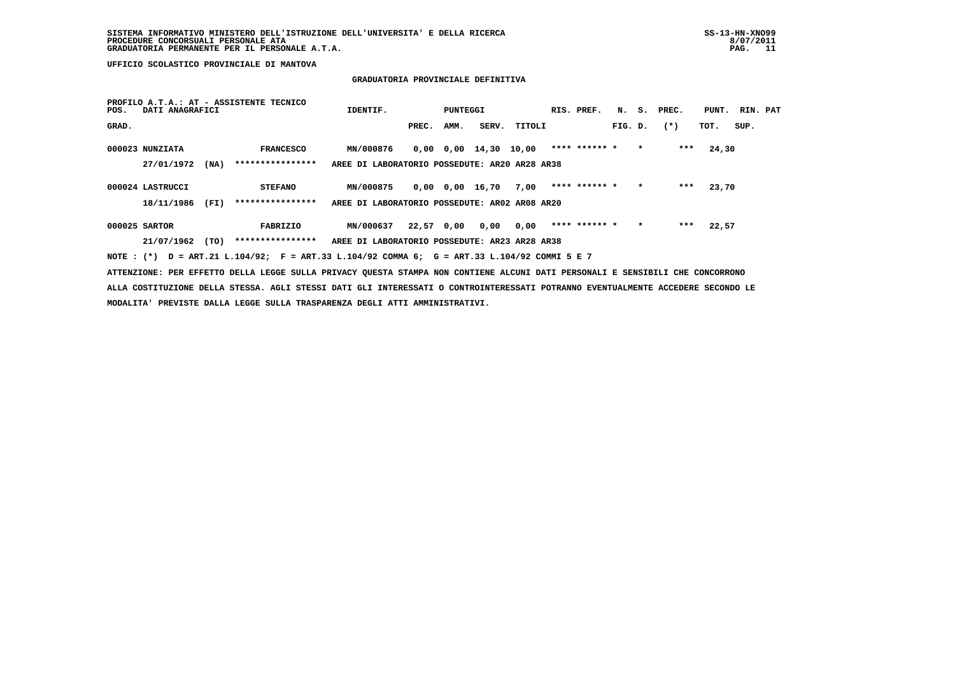## **GRADUATORIA PROVINCIALE DEFINITIVA**

| POS.  | DATI ANAGRAFICI  |      | PROFILO A.T.A.: AT - ASSISTENTE TECNICO                                                     | IDENTIF.                                      |            | PUNTEGGI |                               |        | RIS. PREF.    |         |         | N. S. PREC. | PUNT. RIN. PAT |      |  |
|-------|------------------|------|---------------------------------------------------------------------------------------------|-----------------------------------------------|------------|----------|-------------------------------|--------|---------------|---------|---------|-------------|----------------|------|--|
| GRAD. |                  |      |                                                                                             |                                               | PREC.      | AMM.     | SERV.                         | TITOLI |               | FIG. D. |         | $(*)$       | TOT.           | SUP. |  |
|       | 000023 NUNZIATA  |      | <b>FRANCESCO</b>                                                                            | <b>MN/000876</b>                              |            |          | $0,00$ $0,00$ $14,30$ $10,00$ |        | **** ****** * |         | $\star$ | ***         | 24,30          |      |  |
|       | 27/01/1972       | (NA) | ****************                                                                            | AREE DI LABORATORIO POSSEDUTE: AR20 AR28 AR38 |            |          |                               |        |               |         |         |             |                |      |  |
|       | 000024 LASTRUCCI |      | <b>STEFANO</b>                                                                              | MN/000875                                     |            |          | 0,00 0,00 16,70               | 7,00   | **** ****** * |         | $\star$ | ***         | 23,70          |      |  |
|       | 18/11/1986       | (FI) | ****************                                                                            | AREE DI LABORATORIO POSSEDUTE: AR02 AR08 AR20 |            |          |                               |        |               |         |         |             |                |      |  |
|       | 000025 SARTOR    |      | FABRIZIO                                                                                    | MN/000637                                     | 22,57 0,00 |          | 0,00                          | 0.00   | **** ****** * |         | $\star$ | ***         | 22,57          |      |  |
|       | 21/07/1962       | (TO) | ****************                                                                            | AREE DI LABORATORIO POSSEDUTE: AR23 AR28 AR38 |            |          |                               |        |               |         |         |             |                |      |  |
|       |                  |      | NOTE: (*) D = ART.21 L.104/92; F = ART.33 L.104/92 COMMA 6; G = ART.33 L.104/92 COMMI 5 E 7 |                                               |            |          |                               |        |               |         |         |             |                |      |  |

 **ATTENZIONE: PER EFFETTO DELLA LEGGE SULLA PRIVACY QUESTA STAMPA NON CONTIENE ALCUNI DATI PERSONALI E SENSIBILI CHE CONCORRONO ALLA COSTITUZIONE DELLA STESSA. AGLI STESSI DATI GLI INTERESSATI O CONTROINTERESSATI POTRANNO EVENTUALMENTE ACCEDERE SECONDO LE MODALITA' PREVISTE DALLA LEGGE SULLA TRASPARENZA DEGLI ATTI AMMINISTRATIVI.**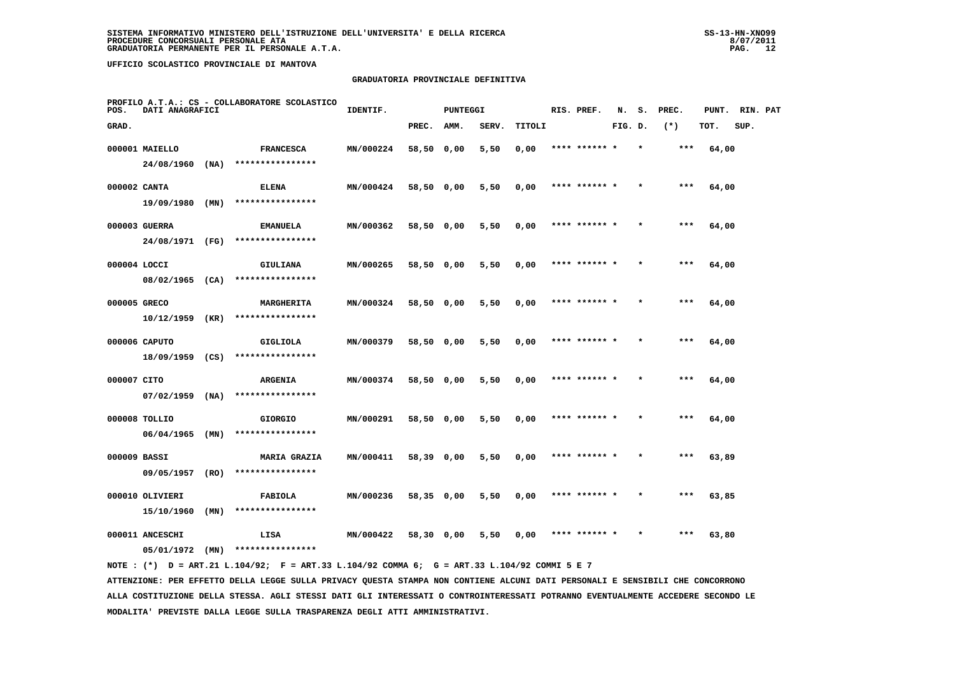#### **GRADUATORIA PROVINCIALE DEFINITIVA**

| POS.         | DATI ANAGRAFICI   |      | PROFILO A.T.A.: CS - COLLABORATORE SCOLASTICO | IDENTIF.  |            | <b>PUNTEGGI</b> |       |        | RIS. PREF.    | N.      | s.      | PREC. | PUNT. | RIN. PAT |  |
|--------------|-------------------|------|-----------------------------------------------|-----------|------------|-----------------|-------|--------|---------------|---------|---------|-------|-------|----------|--|
| GRAD.        |                   |      |                                               |           | PREC.      | AMM.            | SERV. | TITOLI |               | FIG. D. |         | $(*)$ | TOT.  | SUP.     |  |
|              | 000001 MAIELLO    |      | <b>FRANCESCA</b>                              | MN/000224 | 58,50 0,00 |                 | 5,50  | 0,00   | **** ****** * |         | $\star$ | ***   | 64,00 |          |  |
|              | $24/08/1960$ (NA) |      | ****************                              |           |            |                 |       |        |               |         |         |       |       |          |  |
| 000002 CANTA |                   |      | <b>ELENA</b>                                  | MN/000424 | 58,50 0,00 |                 | 5,50  | 0,00   | **** ****** * |         |         | $***$ | 64,00 |          |  |
|              | $19/09/1980$ (MN) |      | ****************                              |           |            |                 |       |        |               |         |         |       |       |          |  |
|              | 000003 GUERRA     |      | <b>EMANUELA</b>                               | MN/000362 | 58,50 0,00 |                 | 5,50  | 0,00   | **** ****** * |         |         | $***$ | 64,00 |          |  |
|              | 24/08/1971 (FG)   |      | ****************                              |           |            |                 |       |        |               |         |         |       |       |          |  |
| 000004 LOCCI |                   |      | GIULIANA                                      | MN/000265 | 58,50 0,00 |                 | 5,50  | 0,00   | **** ****** * |         |         | ***   | 64,00 |          |  |
|              | 08/02/1965 (CA)   |      | ****************                              |           |            |                 |       |        |               |         |         |       |       |          |  |
| 000005 GRECO |                   |      | MARGHERITA                                    | MN/000324 | 58,50 0,00 |                 | 5,50  | 0,00   | **** ****** * |         |         | $***$ | 64,00 |          |  |
|              | $10/12/1959$ (KR) |      | ****************                              |           |            |                 |       |        |               |         |         |       |       |          |  |
|              | 000006 CAPUTO     |      | GIGLIOLA                                      | MN/000379 | 58,50 0,00 |                 | 5,50  | 0,00   | **** ****** * |         |         | ***   | 64,00 |          |  |
|              | 18/09/1959 (CS)   |      | ****************                              |           |            |                 |       |        |               |         |         |       |       |          |  |
| 000007 CITO  |                   |      | <b>ARGENIA</b>                                | MN/000374 | 58,50 0,00 |                 | 5,50  | 0,00   | **** ****** * |         |         | ***   | 64,00 |          |  |
|              | $07/02/1959$ (NA) |      | ****************                              |           |            |                 |       |        |               |         |         |       |       |          |  |
|              | 000008 TOLLIO     |      | <b>GIORGIO</b>                                | MN/000291 | 58,50 0,00 |                 | 5,50  | 0,00   | **** ****** * |         |         | ***   | 64,00 |          |  |
|              | $06/04/1965$ (MN) |      | ****************                              |           |            |                 |       |        |               |         |         |       |       |          |  |
| 000009 BASSI |                   |      | <b>MARIA GRAZIA</b>                           | MN/000411 | 58,39 0,00 |                 | 5,50  | 0,00   | **** ****** * |         | $\star$ | $***$ | 63,89 |          |  |
|              | 09/05/1957        | (RO) | ****************                              |           |            |                 |       |        |               |         |         |       |       |          |  |
|              | 000010 OLIVIERI   |      | FABIOLA                                       | MN/000236 | 58,35 0,00 |                 | 5,50  | 0,00   | **** ****** * |         |         | ***   | 63,85 |          |  |
|              | 15/10/1960        | (MN) | ****************                              |           |            |                 |       |        |               |         |         |       |       |          |  |
|              | 000011 ANCESCHI   |      | LISA<br>****************                      | MN/000422 | 58,30 0,00 |                 | 5,50  | 0.00   | **** ****** * |         |         | ***   | 63,80 |          |  |
|              | 05/01/1972        | (MN) |                                               |           |            |                 |       |        |               |         |         |       |       |          |  |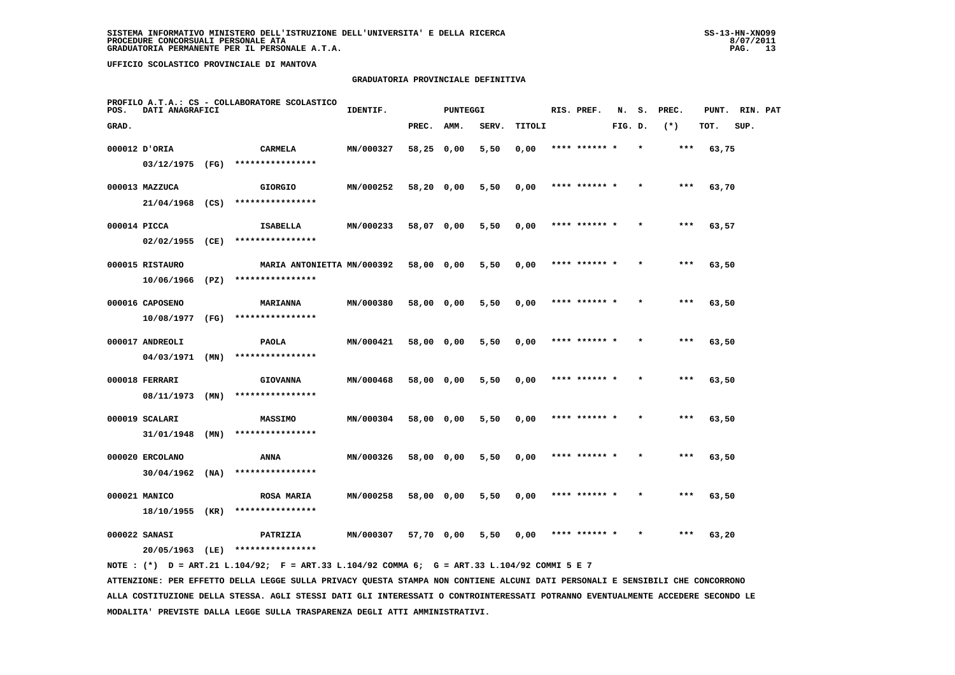#### **GRADUATORIA PROVINCIALE DEFINITIVA**

| POS.         | DATI ANAGRAFICI   |      | PROFILO A.T.A.: CS - COLLABORATORE SCOLASTICO | IDENTIF.  |            | <b>PUNTEGGI</b> |       |        | RIS. PREF.    | N.      | s.      | PREC. | PUNT. | RIN. PAT |  |
|--------------|-------------------|------|-----------------------------------------------|-----------|------------|-----------------|-------|--------|---------------|---------|---------|-------|-------|----------|--|
| GRAD.        |                   |      |                                               |           | PREC.      | AMM.            | SERV. | TITOLI |               | FIG. D. |         | $(*)$ | TOT.  | SUP.     |  |
|              | 000012 D'ORIA     |      | CARMELA                                       | MN/000327 | 58,25 0,00 |                 | 5,50  | 0,00   | **** ****** * |         | $\star$ | ***   | 63,75 |          |  |
|              | 03/12/1975 (FG)   |      | ****************                              |           |            |                 |       |        |               |         |         |       |       |          |  |
|              | 000013 MAZZUCA    |      | <b>GIORGIO</b>                                | MN/000252 | 58,20 0,00 |                 | 5,50  | 0,00   | **** ******   |         |         | ***   | 63,70 |          |  |
|              |                   |      | 21/04/1968 (CS) ****************              |           |            |                 |       |        |               |         |         |       |       |          |  |
| 000014 PICCA |                   |      | ISABELLA                                      | MN/000233 | 58,07 0,00 |                 | 5,50  | 0,00   | **** ****** * |         |         | $***$ | 63,57 |          |  |
|              | $02/02/1955$ (CE) |      | ****************                              |           |            |                 |       |        |               |         |         |       |       |          |  |
|              | 000015 RISTAURO   |      | MARIA ANTONIETTA MN/000392                    |           | 58,00 0,00 |                 | 5,50  | 0,00   | **** ****** * |         |         | ***   | 63,50 |          |  |
|              | 10/06/1966        | (PZ) | ****************                              |           |            |                 |       |        |               |         |         |       |       |          |  |
|              | 000016 CAPOSENO   |      | <b>MARIANNA</b>                               | MN/000380 | 58,00 0,00 |                 | 5,50  | 0,00   | **** ****** * |         |         | $***$ | 63,50 |          |  |
|              | 10/08/1977        | (FG) | ****************                              |           |            |                 |       |        |               |         |         |       |       |          |  |
|              | 000017 ANDREOLI   |      | <b>PAOLA</b>                                  | MN/000421 | 58,00 0,00 |                 | 5,50  | 0,00   | **** ****** * |         |         | $***$ | 63,50 |          |  |
|              | $04/03/1971$ (MN) |      | ****************                              |           |            |                 |       |        |               |         |         |       |       |          |  |
|              | 000018 FERRARI    |      | <b>GIOVANNA</b>                               | MN/000468 | 58,00 0,00 |                 | 5,50  | 0,00   | **** ****** * |         |         | $***$ | 63,50 |          |  |
|              | $08/11/1973$ (MN) |      | ****************                              |           |            |                 |       |        |               |         |         |       |       |          |  |
|              | 000019 SCALARI    |      | MASSIMO                                       | MN/000304 | 58,00 0,00 |                 | 5,50  | 0,00   | **** ******   |         |         | ***   | 63,50 |          |  |
|              | 31/01/1948        | (MN) | ****************                              |           |            |                 |       |        |               |         |         |       |       |          |  |
|              | 000020 ERCOLANO   |      | ANNA                                          | MN/000326 | 58,00 0,00 |                 | 5,50  | 0,00   | **** ****** * |         |         | ***   | 63,50 |          |  |
|              | 30/04/1962        | (NA) | ****************                              |           |            |                 |       |        |               |         |         |       |       |          |  |
|              | 000021 MANICO     |      | <b>ROSA MARIA</b>                             | MN/000258 | 58,00 0,00 |                 | 5,50  | 0,00   | **** ****** * |         |         | $***$ | 63,50 |          |  |
|              | 18/10/1955        | (KR) | ****************                              |           |            |                 |       |        |               |         |         |       |       |          |  |
|              | 000022 SANASI     |      | PATRIZIA                                      | MN/000307 | 57,70 0,00 |                 | 5,50  | 0,00   | **** ****** * |         |         | ***   | 63,20 |          |  |
|              | 20/05/1963 (LE)   |      | ****************                              |           |            |                 |       |        |               |         |         |       |       |          |  |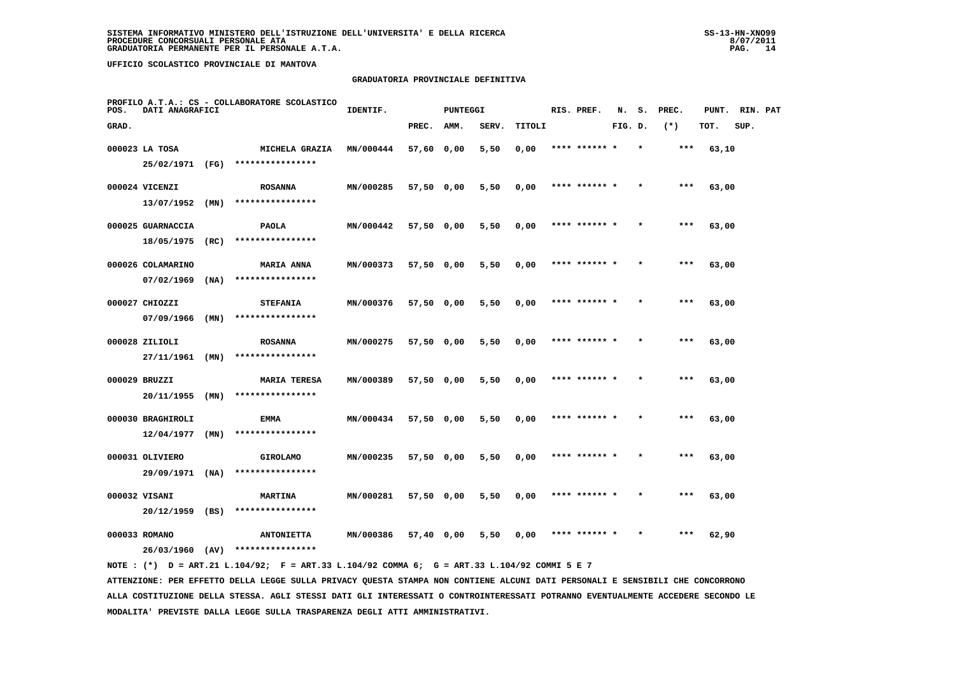#### **GRADUATORIA PROVINCIALE DEFINITIVA**

| POS.  | DATI ANAGRAFICI   |      | PROFILO A.T.A.: CS - COLLABORATORE SCOLASTICO | IDENTIF.  |            | <b>PUNTEGGI</b> |       |        | RIS. PREF.    | N.      | s.      | PREC.  | PUNT. | RIN. PAT |  |
|-------|-------------------|------|-----------------------------------------------|-----------|------------|-----------------|-------|--------|---------------|---------|---------|--------|-------|----------|--|
| GRAD. |                   |      |                                               |           | PREC.      | AMM.            | SERV. | TITOLI |               | FIG. D. |         | $(* )$ | TOT.  | SUP.     |  |
|       | 000023 LA TOSA    |      | MICHELA GRAZIA                                | MN/000444 | 57,60 0,00 |                 | 5,50  | 0,00   | **** ******   |         |         | $***$  | 63,10 |          |  |
|       | 25/02/1971 (FG)   |      | ****************                              |           |            |                 |       |        |               |         |         |        |       |          |  |
|       | 000024 VICENZI    |      | <b>ROSANNA</b>                                | MN/000285 | 57,50 0,00 |                 | 5,50  | 0,00   | **** ****** * |         |         | ***    | 63,00 |          |  |
|       | 13/07/1952        | (MN) | ****************                              |           |            |                 |       |        |               |         |         |        |       |          |  |
|       | 000025 GUARNACCIA |      | <b>PAOLA</b>                                  | MN/000442 | 57,50 0,00 |                 | 5,50  | 0,00   | **** ****** * |         |         | $***$  | 63,00 |          |  |
|       | 18/05/1975        | (RC) | ****************                              |           |            |                 |       |        |               |         |         |        |       |          |  |
|       | 000026 COLAMARINO |      | <b>MARIA ANNA</b>                             | MN/000373 | 57,50 0,00 |                 | 5,50  | 0,00   | **** ****** * |         | $\star$ | $***$  | 63,00 |          |  |
|       | 07/02/1969        | (NA) | ****************                              |           |            |                 |       |        |               |         |         |        |       |          |  |
|       | 000027 CHIOZZI    |      | <b>STEFANIA</b>                               | MN/000376 | 57,50 0,00 |                 | 5,50  | 0,00   | **** ****** * |         |         | $***$  | 63,00 |          |  |
|       | 07/09/1966        | (MN) | ****************                              |           |            |                 |       |        |               |         |         |        |       |          |  |
|       | 000028 ZILIOLI    |      | <b>ROSANNA</b>                                | MN/000275 | 57,50 0,00 |                 | 5,50  | 0,00   |               |         |         | ***    | 63,00 |          |  |
|       | 27/11/1961        | (MN) | ****************                              |           |            |                 |       |        |               |         |         |        |       |          |  |
|       | 000029 BRUZZI     |      | <b>MARIA TERESA</b>                           | MN/000389 | 57,50 0,00 |                 | 5,50  | 0,00   | **** ******   |         |         | ***    | 63,00 |          |  |
|       | $20/11/1955$ (MN) |      | ****************                              |           |            |                 |       |        |               |         |         |        |       |          |  |
|       | 000030 BRAGHIROLI |      | <b>EMMA</b>                                   | MN/000434 | 57,50 0,00 |                 | 5,50  | 0,00   | **** ******   |         |         | $***$  | 63,00 |          |  |
|       | 12/04/1977        | (MN) | ****************                              |           |            |                 |       |        |               |         |         |        |       |          |  |
|       | 000031 OLIVIERO   |      | <b>GIROLAMO</b>                               | MN/000235 | 57,50 0,00 |                 | 5,50  | 0,00   | **** ****** * |         | $\star$ | $***$  | 63,00 |          |  |
|       | 29/09/1971        | (NA) | ****************                              |           |            |                 |       |        |               |         |         |        |       |          |  |
|       | 000032 VISANI     |      | <b>MARTINA</b>                                | MN/000281 | 57,50 0,00 |                 | 5,50  | 0,00   | **** ****** * |         |         | $***$  | 63,00 |          |  |
|       | $20/12/1959$ (BS) |      | ****************                              |           |            |                 |       |        |               |         |         |        |       |          |  |
|       | 000033 ROMANO     |      | <b>ANTONIETTA</b>                             | MN/000386 | 57,40 0,00 |                 | 5,50  | 0,00   | **** ****** * |         |         | ***    | 62,90 |          |  |
|       | 26/03/1960        | (AV) | ****************                              |           |            |                 |       |        |               |         |         |        |       |          |  |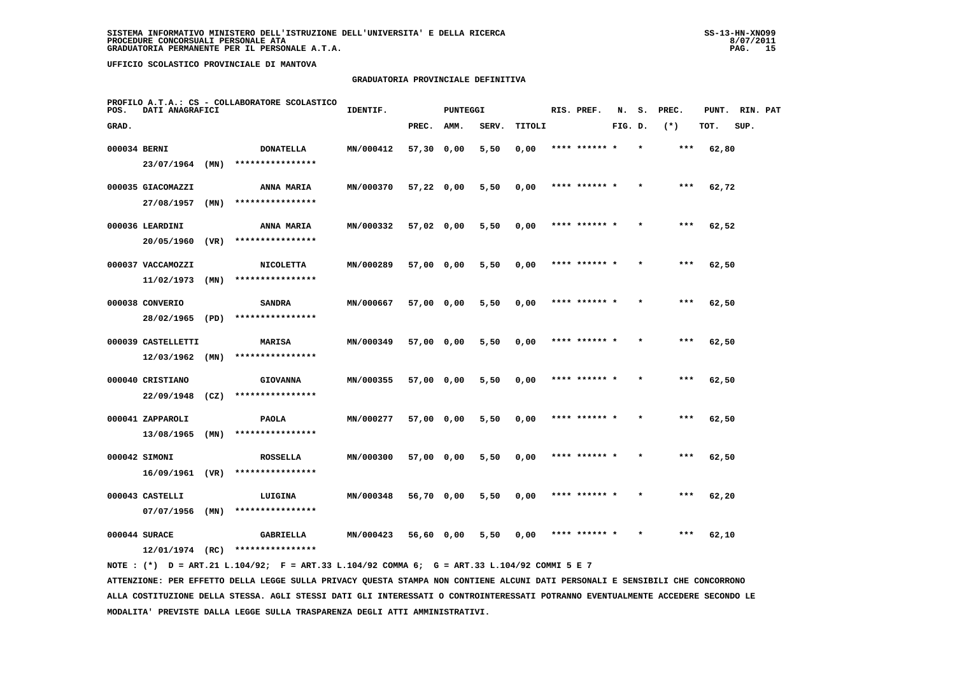#### **GRADUATORIA PROVINCIALE DEFINITIVA**

| POS.         | DATI ANAGRAFICI    |      | PROFILO A.T.A.: CS - COLLABORATORE SCOLASTICO | IDENTIF.  |            | <b>PUNTEGGI</b> |       |        | RIS. PREF.    | N.      | s.      | PREC.  | PUNT. | RIN. PAT |  |
|--------------|--------------------|------|-----------------------------------------------|-----------|------------|-----------------|-------|--------|---------------|---------|---------|--------|-------|----------|--|
| GRAD.        |                    |      |                                               |           | PREC.      | AMM.            | SERV. | TITOLI |               | FIG. D. |         | $(* )$ | TOT.  | SUP.     |  |
| 000034 BERNI |                    |      | <b>DONATELLA</b>                              | MN/000412 | 57,30 0,00 |                 | 5,50  | 0,00   | **** ******   |         |         | ***    | 62,80 |          |  |
|              | 23/07/1964         | (MN) | ****************                              |           |            |                 |       |        |               |         |         |        |       |          |  |
|              | 000035 GIACOMAZZI  |      | ANNA MARIA                                    | MN/000370 | 57,22 0,00 |                 | 5,50  | 0,00   | **** ****** * |         |         | $***$  | 62,72 |          |  |
|              | 27/08/1957         | (MN) | ****************                              |           |            |                 |       |        |               |         |         |        |       |          |  |
|              | 000036 LEARDINI    |      | <b>ANNA MARIA</b>                             | MN/000332 | 57,02 0,00 |                 | 5,50  | 0,00   | **** ******   |         |         | $***$  | 62,52 |          |  |
|              | 20/05/1960         | (VR) | ****************                              |           |            |                 |       |        |               |         |         |        |       |          |  |
|              | 000037 VACCAMOZZI  |      | <b>NICOLETTA</b>                              | MN/000289 | 57,00 0,00 |                 | 5,50  | 0,00   | **** ****** * |         |         | $***$  | 62,50 |          |  |
|              | 11/02/1973         | (MN) | ****************                              |           |            |                 |       |        |               |         |         |        |       |          |  |
|              | 000038 CONVERIO    |      | <b>SANDRA</b>                                 | MN/000667 | 57,00 0,00 |                 | 5,50  | 0,00   | **** ****** * |         |         | $***$  | 62,50 |          |  |
|              | 28/02/1965         | (PD) | ****************                              |           |            |                 |       |        |               |         |         |        |       |          |  |
|              | 000039 CASTELLETTI |      | MARISA                                        | MN/000349 | 57,00 0,00 |                 | 5,50  | 0,00   | **** ****** * |         | $\star$ | ***    | 62,50 |          |  |
|              | 12/03/1962         | (MN) | ****************                              |           |            |                 |       |        |               |         |         |        |       |          |  |
|              | 000040 CRISTIANO   |      | <b>GIOVANNA</b>                               | MN/000355 | 57,00 0,00 |                 | 5,50  | 0,00   |               |         |         | $***$  | 62,50 |          |  |
|              | 22/09/1948         | (CZ) | ****************                              |           |            |                 |       |        |               |         |         |        |       |          |  |
|              | 000041 ZAPPAROLI   |      | <b>PAOLA</b>                                  | MN/000277 | 57,00 0,00 |                 | 5,50  | 0,00   | **** ****** * |         |         | $***$  | 62,50 |          |  |
|              | 13/08/1965         | (MN) | ****************                              |           |            |                 |       |        |               |         |         |        |       |          |  |
|              | 000042 SIMONI      |      | <b>ROSSELLA</b>                               | MN/000300 | 57,00 0,00 |                 | 5,50  | 0,00   | **** ****** * |         | $\star$ | $***$  | 62,50 |          |  |
|              | 16/09/1961         | (VR) | ****************                              |           |            |                 |       |        |               |         |         |        |       |          |  |
|              | 000043 CASTELLI    |      | LUIGINA                                       | MN/000348 | 56,70 0,00 |                 | 5,50  | 0,00   | **** ****** * |         |         | $***$  | 62,20 |          |  |
|              | 07/07/1956         | (MN) | ****************                              |           |            |                 |       |        |               |         |         |        |       |          |  |
|              | 000044 SURACE      |      | GABRIELLA                                     | MN/000423 | 56,60 0,00 |                 | 5,50  | 0,00   |               |         |         | ***    | 62,10 |          |  |
|              | 12/01/1974         | (RC) | ****************                              |           |            |                 |       |        |               |         |         |        |       |          |  |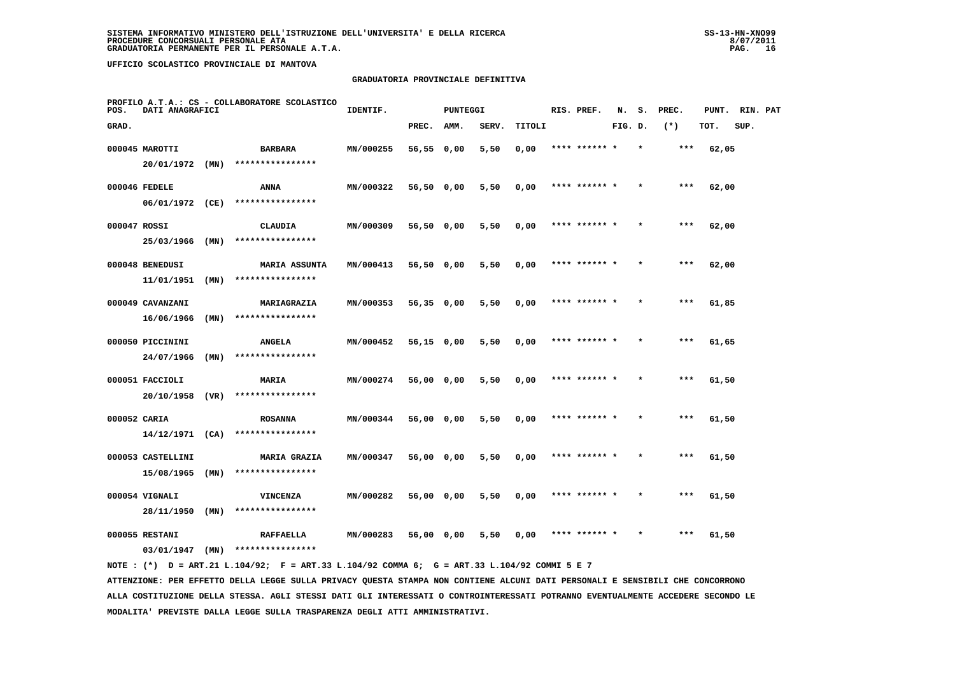#### **GRADUATORIA PROVINCIALE DEFINITIVA**

| POS.         | DATI ANAGRAFICI                 |      | PROFILO A.T.A.: CS - COLLABORATORE SCOLASTICO | IDENTIF.  |            | <b>PUNTEGGI</b> |       |        | RIS. PREF.    | N.      | s. | PREC. | PUNT. | RIN. PAT |  |
|--------------|---------------------------------|------|-----------------------------------------------|-----------|------------|-----------------|-------|--------|---------------|---------|----|-------|-------|----------|--|
| GRAD.        |                                 |      |                                               |           | PREC.      | AMM.            | SERV. | TITOLI |               | FIG. D. |    | $(*)$ | TOT.  | SUP.     |  |
|              | 000045 MAROTTI                  |      | <b>BARBARA</b>                                | MN/000255 | 56,55 0,00 |                 | 5,50  | 0,00   | **** ****** * |         |    | $***$ | 62,05 |          |  |
|              | 20/01/1972 (MN)                 |      | ****************                              |           |            |                 |       |        |               |         |    |       |       |          |  |
|              | 000046 FEDELE                   |      | ANNA                                          | MN/000322 | 56,50 0,00 |                 | 5,50  | 0,00   | **** ****** * |         |    | $***$ | 62,00 |          |  |
|              | 06/01/1972 (CE)                 |      | ****************                              |           |            |                 |       |        |               |         |    |       |       |          |  |
|              | 000047 ROSSI                    |      | CLAUDIA                                       | MN/000309 | 56,50 0,00 |                 | 5,50  | 0,00   | **** ****** * |         |    | $***$ | 62,00 |          |  |
|              | 25/03/1966                      | (MN) | ****************                              |           |            |                 |       |        |               |         |    |       |       |          |  |
|              | 000048 BENEDUSI                 |      | <b>MARIA ASSUNTA</b>                          | MN/000413 | 56,50 0,00 |                 | 5,50  | 0,00   | **** ****** * |         |    | ***   | 62,00 |          |  |
|              | 11/01/1951                      | (MN) | ****************                              |           |            |                 |       |        |               |         |    |       |       |          |  |
|              | 000049 CAVANZANI                |      | MARIAGRAZIA                                   | MN/000353 | 56,35 0,00 |                 | 5,50  | 0,00   | **** ****** * |         |    | $***$ | 61,85 |          |  |
|              | 16/06/1966                      | (MN) | ****************                              |           |            |                 |       |        |               |         |    |       |       |          |  |
|              | 000050 PICCININI                |      | <b>ANGELA</b>                                 | MN/000452 | 56,15 0,00 |                 | 5,50  | 0,00   | **** ****** * |         |    | $***$ | 61,65 |          |  |
|              | 24/07/1966                      | (MN) | ****************                              |           |            |                 |       |        |               |         |    |       |       |          |  |
|              | 000051 FACCIOLI                 |      | <b>MARIA</b>                                  | MN/000274 | 56,00 0,00 |                 | 5,50  | 0,00   | **** ******   |         |    | ***   | 61,50 |          |  |
|              | 20/10/1958                      | (VR) | ****************                              |           |            |                 |       |        |               |         |    |       |       |          |  |
| 000052 CARIA |                                 |      | <b>ROSANNA</b><br>****************            | MN/000344 | 56,00 0,00 |                 | 5,50  | 0,00   | **** ****** * |         |    | ***   | 61,50 |          |  |
|              | $14/12/1971$ (CA)               |      |                                               |           |            |                 |       |        |               |         |    |       |       |          |  |
|              | 000053 CASTELLINI<br>15/08/1965 | (MN) | <b>MARIA GRAZIA</b><br>****************       | MN/000347 | 56,00 0,00 |                 | 5,50  | 0,00   | **** ****** * |         |    | $***$ | 61,50 |          |  |
|              |                                 |      |                                               |           |            |                 |       |        |               |         |    |       |       |          |  |
|              | 000054 VIGNALI<br>28/11/1950    | (MN) | <b>VINCENZA</b><br>****************           | MN/000282 | 56,00 0,00 |                 | 5,50  | 0,00   | **** ****** * |         |    | $***$ | 61,50 |          |  |
|              |                                 |      |                                               |           |            |                 |       |        |               |         |    |       |       |          |  |
|              | 000055 RESTANI<br>03/01/1947    | (MN) | <b>RAFFAELLA</b><br>****************          | MN/000283 | 56,00 0,00 |                 | 5,50  | 0,00   | **** ****** * |         |    | ***   | 61,50 |          |  |
|              |                                 |      |                                               |           |            |                 |       |        |               |         |    |       |       |          |  |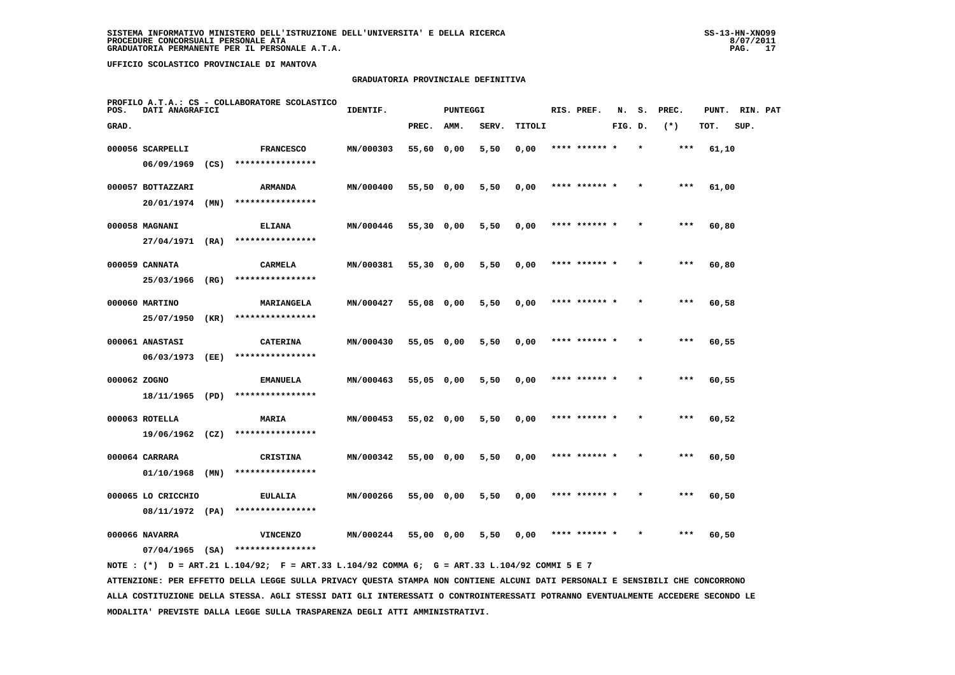#### **GRADUATORIA PROVINCIALE DEFINITIVA**

| POS.         | DATI ANAGRAFICI    |      | PROFILO A.T.A.: CS - COLLABORATORE SCOLASTICO | IDENTIF.  |              | <b>PUNTEGGI</b> |       |        | RIS. PREF.    | N.      | s. | PREC. | PUNT. | RIN. PAT |  |
|--------------|--------------------|------|-----------------------------------------------|-----------|--------------|-----------------|-------|--------|---------------|---------|----|-------|-------|----------|--|
| GRAD.        |                    |      |                                               |           | PREC.        | AMM.            | SERV. | TITOLI |               | FIG. D. |    | $(*)$ | TOT.  | SUP.     |  |
|              | 000056 SCARPELLI   |      | <b>FRANCESCO</b>                              | MN/000303 | 55,60 0,00   |                 | 5,50  | 0,00   | **** ****** * |         |    | ***   | 61,10 |          |  |
|              | 06/09/1969         | (CS) | ****************                              |           |              |                 |       |        |               |         |    |       |       |          |  |
|              | 000057 BOTTAZZARI  |      | <b>ARMANDA</b>                                | MN/000400 | 55,50 0,00   |                 | 5,50  | 0,00   | **** ****** * |         |    | ***   | 61,00 |          |  |
|              | 20/01/1974         | (MN) | ****************                              |           |              |                 |       |        |               |         |    |       |       |          |  |
|              | 000058 MAGNANI     |      | <b>ELIANA</b>                                 | MN/000446 | $55,30$ 0,00 |                 | 5,50  | 0,00   | **** ****** * |         |    | $***$ | 60,80 |          |  |
|              | 27/04/1971         | (RA) | ****************                              |           |              |                 |       |        |               |         |    |       |       |          |  |
|              | 000059 CANNATA     |      | <b>CARMELA</b>                                | MN/000381 | $55,30$ 0,00 |                 | 5,50  | 0,00   | **** ****** * |         |    | ***   | 60,80 |          |  |
|              | 25/03/1966         | (RG) | ****************                              |           |              |                 |       |        |               |         |    |       |       |          |  |
|              | 000060 MARTINO     |      | MARIANGELA                                    | MN/000427 | 55,08 0,00   |                 | 5,50  | 0,00   | **** ****** * |         |    | $***$ | 60,58 |          |  |
|              | 25/07/1950         | (KR) | ****************                              |           |              |                 |       |        |               |         |    |       |       |          |  |
|              | 000061 ANASTASI    |      | <b>CATERINA</b>                               | MN/000430 | 55,05 0,00   |                 | 5,50  | 0,00   | **** ****** * |         |    | $***$ | 60,55 |          |  |
|              | 06/03/1973         | (EE) | ****************                              |           |              |                 |       |        |               |         |    |       |       |          |  |
| 000062 ZOGNO |                    |      | <b>EMANUELA</b>                               | MN/000463 | 55,05 0,00   |                 | 5,50  | 0,00   | **** ****** * |         |    | $***$ | 60,55 |          |  |
|              | 18/11/1965         | (PD) | ****************                              |           |              |                 |       |        |               |         |    |       |       |          |  |
|              | 000063 ROTELLA     |      | MARIA                                         | MN/000453 | 55,02 0,00   |                 | 5,50  | 0,00   | **** ****** * |         |    | ***   | 60,52 |          |  |
|              | $19/06/1962$ (CZ)  |      | ****************                              |           |              |                 |       |        |               |         |    |       |       |          |  |
|              | 000064 CARRARA     |      | <b>CRISTINA</b>                               | MN/000342 | 55,00 0,00   |                 | 5,50  | 0,00   | **** ****** * |         |    | $***$ | 60,50 |          |  |
|              | 01/10/1968         | (MN) | ****************                              |           |              |                 |       |        |               |         |    |       |       |          |  |
|              | 000065 LO CRICCHIO |      | <b>EULALIA</b>                                | MN/000266 | 55,00 0,00   |                 | 5,50  | 0,00   | **** ****** * |         |    | $***$ | 60,50 |          |  |
|              | 08/11/1972 (PA)    |      | ****************                              |           |              |                 |       |        |               |         |    |       |       |          |  |
|              | 000066 NAVARRA     |      | <b>VINCENZO</b>                               | MN/000244 | 55,00 0,00   |                 | 5,50  | 0,00   | **** ****** * |         |    | ***   | 60,50 |          |  |
|              | $07/04/1965$ (SA)  |      | ****************                              |           |              |                 |       |        |               |         |    |       |       |          |  |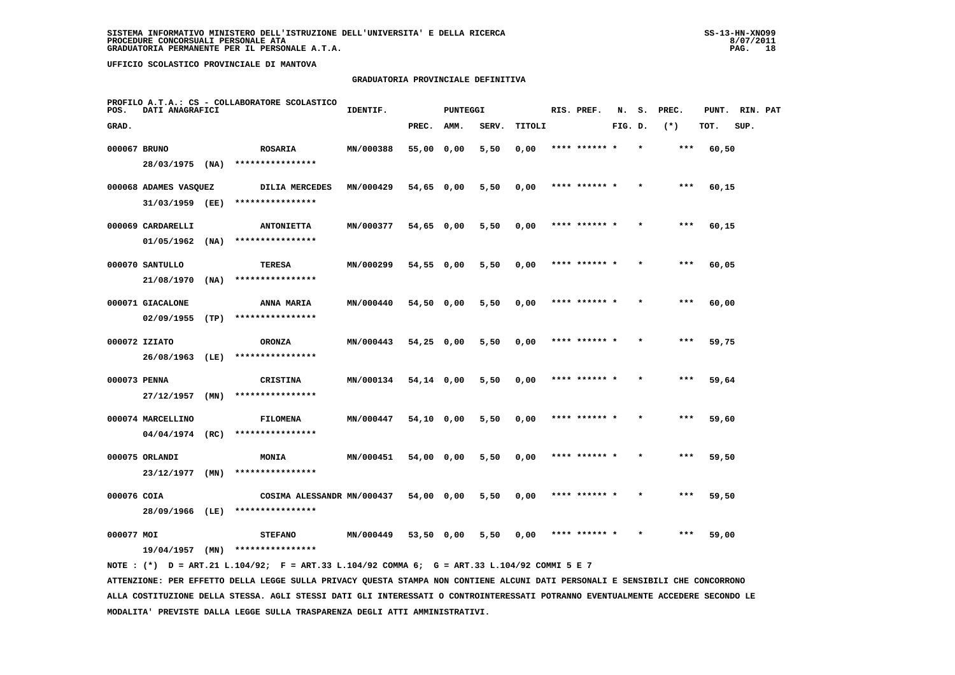#### **GRADUATORIA PROVINCIALE DEFINITIVA**

| POS.         | DATI ANAGRAFICI       |      | PROFILO A.T.A.: CS - COLLABORATORE SCOLASTICO | IDENTIF.  |              | <b>PUNTEGGI</b> |       |        | RIS. PREF.    | N.      | s.      | PREC. | PUNT. | RIN. PAT |  |
|--------------|-----------------------|------|-----------------------------------------------|-----------|--------------|-----------------|-------|--------|---------------|---------|---------|-------|-------|----------|--|
| GRAD.        |                       |      |                                               |           | PREC.        | AMM.            | SERV. | TITOLI |               | FIG. D. |         | $(*)$ | TOT.  | SUP.     |  |
| 000067 BRUNO |                       |      | <b>ROSARIA</b>                                | MN/000388 | 55,00 0,00   |                 | 5,50  | 0,00   | **** ****** * |         | $\star$ | ***   | 60,50 |          |  |
|              | 28/03/1975 (NA)       |      | ****************                              |           |              |                 |       |        |               |         |         |       |       |          |  |
|              | 000068 ADAMES VASQUEZ |      | <b>DILIA MERCEDES</b>                         | MN/000429 | 54,65 0,00   |                 | 5,50  | 0,00   | **** ****** * |         |         | ***   | 60,15 |          |  |
|              | 31/03/1959 (EE)       |      | ****************                              |           |              |                 |       |        |               |         |         |       |       |          |  |
|              | 000069 CARDARELLI     |      | <b>ANTONIETTA</b>                             | MN/000377 | 54,65 0,00   |                 | 5,50  | 0,00   | **** ****** * |         |         | $***$ | 60,15 |          |  |
|              | 01/05/1962            | (NA) | ****************                              |           |              |                 |       |        |               |         |         |       |       |          |  |
|              | 000070 SANTULLO       |      | <b>TERESA</b>                                 | MN/000299 | 54,55 0,00   |                 | 5,50  | 0,00   | **** ****** * |         |         | $***$ | 60,05 |          |  |
|              | 21/08/1970            | (NA) | ****************                              |           |              |                 |       |        |               |         |         |       |       |          |  |
|              | 000071 GIACALONE      |      | ANNA MARIA                                    | MN/000440 | 54,50 0,00   |                 | 5,50  | 0,00   | **** ****** * |         |         | $***$ | 60,00 |          |  |
|              | 02/09/1955            | (TP) | ****************                              |           |              |                 |       |        |               |         |         |       |       |          |  |
|              | 000072 IZIATO         |      | <b>ORONZA</b>                                 | MN/000443 | 54,25 0,00   |                 | 5,50  | 0,00   |               |         |         | ***   | 59,75 |          |  |
|              | 26/08/1963 (LE)       |      | ****************                              |           |              |                 |       |        |               |         |         |       |       |          |  |
| 000073 PENNA |                       |      | <b>CRISTINA</b>                               | MN/000134 | 54,14 0,00   |                 | 5,50  | 0,00   | **** ****** * |         |         | ***   | 59,64 |          |  |
|              | 27/12/1957            | (MN) | ****************                              |           |              |                 |       |        |               |         |         |       |       |          |  |
|              | 000074 MARCELLINO     |      | <b>FILOMENA</b>                               | MN/000447 | $54,10$ 0,00 |                 | 5,50  | 0,00   | **** ****** * |         |         | $***$ | 59,60 |          |  |
|              | $04/04/1974$ (RC)     |      | ****************                              |           |              |                 |       |        |               |         |         |       |       |          |  |
|              | 000075 ORLANDI        |      | <b>MONIA</b>                                  | MN/000451 | 54,00 0,00   |                 | 5,50  | 0,00   | **** ****** * |         | $\star$ | $***$ | 59,50 |          |  |
|              | 23/12/1977            | (MN) | ****************                              |           |              |                 |       |        |               |         |         |       |       |          |  |
| 000076 COIA  |                       |      | COSIMA ALESSANDR MN/000437                    |           | 54,00 0,00   |                 | 5,50  | 0,00   | **** ****** * |         |         | ***   | 59,50 |          |  |
|              | 28/09/1966 (LE)       |      | ****************                              |           |              |                 |       |        |               |         |         |       |       |          |  |
| 000077 MOI   |                       |      | <b>STEFANO</b>                                | MN/000449 | 53,50 0,00   |                 | 5,50  | 0.00   | **** ****** * |         |         | ***   | 59,00 |          |  |
|              | 19/04/1957            | (MN) | ****************                              |           |              |                 |       |        |               |         |         |       |       |          |  |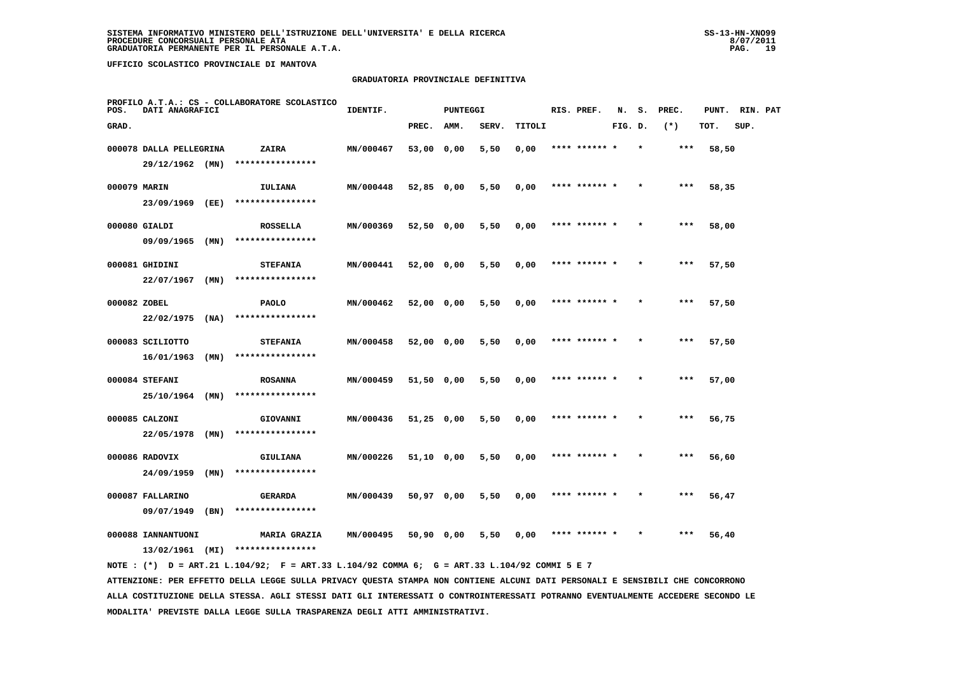#### **GRADUATORIA PROVINCIALE DEFINITIVA**

| POS.         | DATI ANAGRAFICI         |      | PROFILO A.T.A.: CS - COLLABORATORE SCOLASTICO | IDENTIF.  |              | <b>PUNTEGGI</b> |       |        |      | RIS. PREF.    | N.      | s.      | PREC. | PUNT. | RIN. PAT |  |
|--------------|-------------------------|------|-----------------------------------------------|-----------|--------------|-----------------|-------|--------|------|---------------|---------|---------|-------|-------|----------|--|
| GRAD.        |                         |      |                                               |           | PREC.        | AMM.            | SERV. | TITOLI |      |               | FIG. D. |         | $(*)$ | TOT.  | SUP.     |  |
|              | 000078 DALLA PELLEGRINA |      | ZAIRA                                         | MN/000467 | 53,00 0,00   |                 | 5,50  | 0,00   |      | **** ****** * |         | $\star$ | $***$ | 58,50 |          |  |
|              | 29/12/1962 (MN)         |      | ****************                              |           |              |                 |       |        |      |               |         |         |       |       |          |  |
| 000079 MARIN |                         |      | IULIANA                                       | MN/000448 | $52,85$ 0,00 |                 | 5,50  | 0,00   |      | **** ****** * |         |         | $***$ | 58,35 |          |  |
|              | 23/09/1969 (EE)         |      | ****************                              |           |              |                 |       |        |      |               |         |         |       |       |          |  |
|              | 000080 GIALDI           |      | <b>ROSSELLA</b>                               | MN/000369 | 52,50 0,00   |                 | 5,50  | 0,00   |      | **** ****** * |         |         | $***$ | 58,00 |          |  |
|              | 09/09/1965              | (MN) | ****************                              |           |              |                 |       |        |      |               |         |         |       |       |          |  |
|              | 000081 GHIDINI          |      | <b>STEFANIA</b>                               | MN/000441 | 52,00 0,00   |                 | 5,50  | 0,00   |      | **** ****** * |         |         | $***$ | 57,50 |          |  |
|              | 22/07/1967              | (MN) | ****************                              |           |              |                 |       |        |      |               |         |         |       |       |          |  |
| 000082 ZOBEL |                         |      | <b>PAOLO</b>                                  | MN/000462 | 52,00 0,00   |                 | 5,50  | 0,00   |      | **** ****** * |         |         | $***$ | 57,50 |          |  |
|              | 22/02/1975              | (NA) | ****************                              |           |              |                 |       |        |      |               |         |         |       |       |          |  |
|              | 000083 SCILIOTTO        |      | <b>STEFANIA</b>                               | MN/000458 | 52,00 0,00   |                 | 5,50  | 0,00   |      | **** ****** * |         | $\star$ | ***   | 57,50 |          |  |
|              | 16/01/1963              | (MN) | ****************                              |           |              |                 |       |        |      |               |         |         |       |       |          |  |
|              | 000084 STEFANI          |      | <b>ROSANNA</b>                                | MN/000459 | 51,50 0,00   |                 | 5,50  | 0,00   |      |               |         |         | ***   | 57,00 |          |  |
|              | 25/10/1964 (MN)         |      | ****************                              |           |              |                 |       |        |      |               |         |         |       |       |          |  |
|              | 000085 CALZONI          |      | GIOVANNI                                      | MN/000436 | $51,25$ 0,00 |                 | 5,50  | 0,00   |      | **** ****** * |         |         | $***$ | 56,75 |          |  |
|              | 22/05/1978              | (MN) | ****************                              |           |              |                 |       |        |      |               |         |         |       |       |          |  |
|              | 000086 RADOVIX          |      | <b>GIULIANA</b>                               | MN/000226 | 51,10 0,00   |                 | 5,50  | 0,00   |      | **** ****** * |         |         | $***$ | 56,60 |          |  |
|              | 24/09/1959              | (MN) | ****************                              |           |              |                 |       |        |      |               |         |         |       |       |          |  |
|              | 000087 FALLARINO        |      | GERARDA                                       | MN/000439 | 50,97 0,00   |                 | 5,50  | 0,00   |      | **** ****** * |         |         | $***$ | 56,47 |          |  |
|              | 09/07/1949              | (BN) | ****************                              |           |              |                 |       |        |      |               |         |         |       |       |          |  |
|              | 000088 IANNANTUONI      |      | <b>MARIA GRAZIA</b>                           | MN/000495 | 50,90 0,00   |                 | 5,50  | 0,00   | **** |               |         |         | ***   | 56,40 |          |  |
|              | 13/02/1961 (MI)         |      | ****************                              |           |              |                 |       |        |      |               |         |         |       |       |          |  |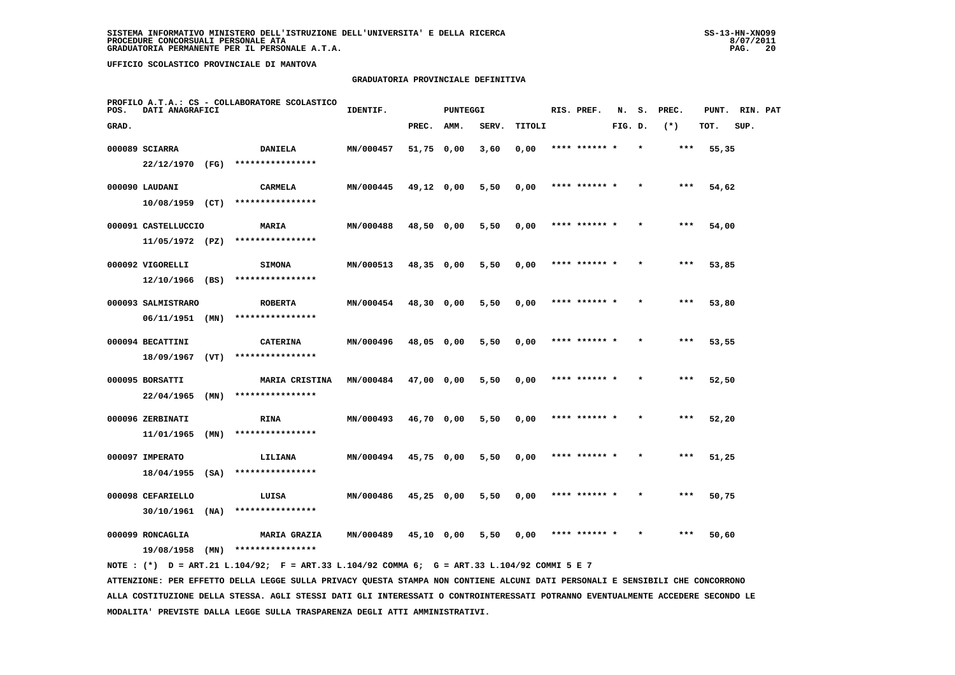#### **GRADUATORIA PROVINCIALE DEFINITIVA**

| POS.  | DATI ANAGRAFICI     |      | PROFILO A.T.A.: CS - COLLABORATORE SCOLASTICO | IDENTIF.         |            | <b>PUNTEGGI</b> |       |        | RIS. PREF.    | N.      | s.      | PREC. | PUNT. | RIN. PAT |  |
|-------|---------------------|------|-----------------------------------------------|------------------|------------|-----------------|-------|--------|---------------|---------|---------|-------|-------|----------|--|
| GRAD. |                     |      |                                               |                  | PREC.      | AMM.            | SERV. | TITOLI |               | FIG. D. |         | $(*)$ | TOT.  | SUP.     |  |
|       | 000089 SCIARRA      |      | <b>DANIELA</b>                                | MN/000457        | 51,75 0,00 |                 | 3,60  | 0,00   | **** ****** * |         | $\star$ | ***   | 55,35 |          |  |
|       | 22/12/1970 (FG)     |      | ****************                              |                  |            |                 |       |        |               |         |         |       |       |          |  |
|       | 000090 LAUDANI      |      | CARMELA                                       | MN/000445        | 49,12 0,00 |                 | 5,50  | 0,00   | **** ******   |         |         | ***   | 54,62 |          |  |
|       | $10/08/1959$ (CT)   |      | ****************                              |                  |            |                 |       |        |               |         |         |       |       |          |  |
|       | 000091 CASTELLUCCIO |      | <b>MARIA</b>                                  | MN/000488        | 48,50 0,00 |                 | 5,50  | 0,00   | **** ****** * |         |         | ***   | 54,00 |          |  |
|       | 11/05/1972 (PZ)     |      | ****************                              |                  |            |                 |       |        |               |         |         |       |       |          |  |
|       | 000092 VIGORELLI    |      | <b>SIMONA</b>                                 | MN/000513        | 48,35 0,00 |                 | 5,50  | 0,00   | **** ****** * |         |         | ***   | 53,85 |          |  |
|       | 12/10/1966          | (BS) | ****************                              |                  |            |                 |       |        |               |         |         |       |       |          |  |
|       | 000093 SALMISTRARO  |      | <b>ROBERTA</b>                                | MN/000454        | 48,30 0,00 |                 | 5,50  | 0,00   | **** ****** * |         |         | ***   | 53,80 |          |  |
|       | 06/11/1951          | (MN) | ****************                              |                  |            |                 |       |        |               |         |         |       |       |          |  |
|       | 000094 BECATTINI    |      | <b>CATERINA</b>                               | MN/000496        | 48,05 0,00 |                 | 5,50  | 0,00   | **** ****** * |         |         | ***   | 53,55 |          |  |
|       | 18/09/1967          | (VT) | ****************                              |                  |            |                 |       |        |               |         |         |       |       |          |  |
|       | 000095 BORSATTI     |      | <b>MARIA CRISTINA</b>                         | <b>MN/000484</b> | 47,00 0,00 |                 | 5,50  | 0,00   | **** ****** * |         |         | ***   | 52,50 |          |  |
|       | 22/04/1965          | (MN) | ****************                              |                  |            |                 |       |        |               |         |         |       |       |          |  |
|       | 000096 ZERBINATI    |      | <b>RINA</b>                                   | MN/000493        | 46,70 0,00 |                 | 5,50  | 0,00   |               |         |         |       | 52,20 |          |  |
|       | 11/01/1965          | (MN) | ****************                              |                  |            |                 |       |        |               |         |         |       |       |          |  |
|       | 000097 IMPERATO     |      | LILIANA                                       | MN/000494        | 45,75 0,00 |                 | 5,50  | 0,00   | **** ****** * |         |         | $***$ | 51,25 |          |  |
|       | 18/04/1955          | (SA) | ****************                              |                  |            |                 |       |        |               |         |         |       |       |          |  |
|       | 000098 CEFARIELLO   |      | LUISA                                         | MN/000486        | 45,25 0,00 |                 | 5,50  | 0,00   | **** ****** * |         |         | ***   | 50,75 |          |  |
|       | 30/10/1961          | (NA) | ****************                              |                  |            |                 |       |        |               |         |         |       |       |          |  |
|       | 000099 RONCAGLIA    |      | <b>MARIA GRAZIA</b>                           | MN/000489        | 45,10 0,00 |                 | 5,50  | 0,00   | **** ****** * |         |         | ***   | 50,60 |          |  |
|       | 19/08/1958          | (MN) | ****************                              |                  |            |                 |       |        |               |         |         |       |       |          |  |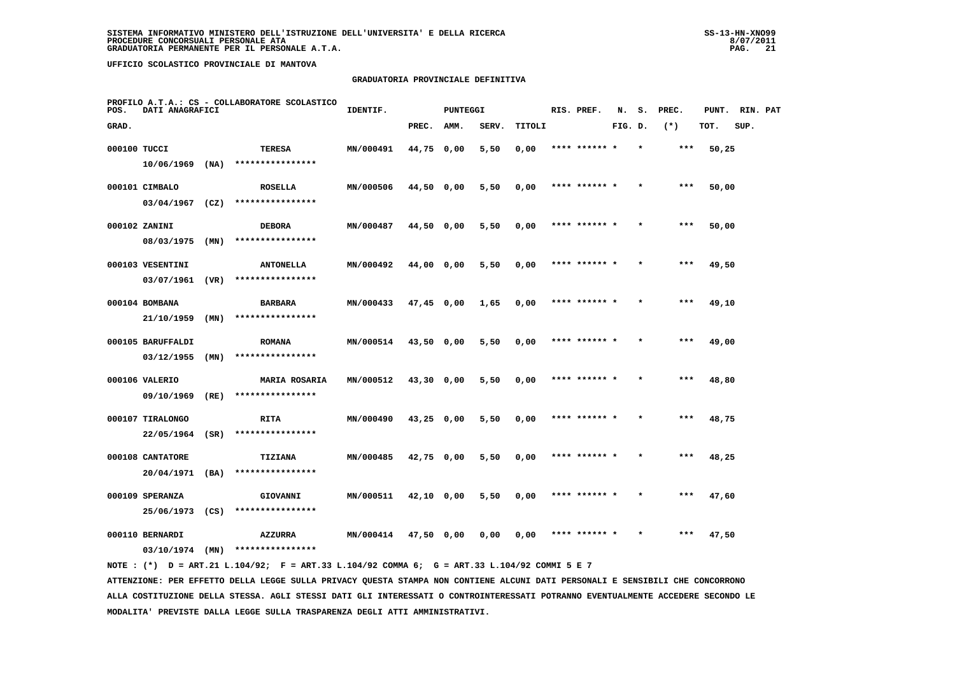#### **GRADUATORIA PROVINCIALE DEFINITIVA**

| POS.         | DATI ANAGRAFICI   |      | PROFILO A.T.A.: CS - COLLABORATORE SCOLASTICO | IDENTIF.         |              | <b>PUNTEGGI</b> |       |        | RIS. PREF.    | N.      | s.      | PREC. | PUNT. | RIN. PAT |  |
|--------------|-------------------|------|-----------------------------------------------|------------------|--------------|-----------------|-------|--------|---------------|---------|---------|-------|-------|----------|--|
| GRAD.        |                   |      |                                               |                  | PREC.        | AMM.            | SERV. | TITOLI |               | FIG. D. |         | $(*)$ | TOT.  | SUP.     |  |
| 000100 TUCCI |                   |      | TERESA                                        | MN/000491        | 44,75 0,00   |                 | 5,50  | 0,00   | **** ****** * |         | $\star$ | ***   | 50,25 |          |  |
|              | 10/06/1969        | (NA) | ****************                              |                  |              |                 |       |        |               |         |         |       |       |          |  |
|              | 000101 CIMBALO    |      | <b>ROSELLA</b>                                | MN/000506        | 44,50 0,00   |                 | 5,50  | 0,00   | **** ******   |         |         | ***   | 50,00 |          |  |
|              | $03/04/1967$ (CZ) |      | ****************                              |                  |              |                 |       |        |               |         |         |       |       |          |  |
|              | 000102 ZANINI     |      | <b>DEBORA</b>                                 | MN/000487        | 44,50 0,00   |                 | 5,50  | 0,00   | **** ****** * |         |         | $***$ | 50,00 |          |  |
|              | 08/03/1975        | (MN) | ****************                              |                  |              |                 |       |        |               |         |         |       |       |          |  |
|              | 000103 VESENTINI  |      | <b>ANTONELLA</b>                              | MN/000492        | 44,00 0,00   |                 | 5,50  | 0,00   | **** ****** * |         |         | ***   | 49,50 |          |  |
|              | 03/07/1961        | (VR) | ****************                              |                  |              |                 |       |        |               |         |         |       |       |          |  |
|              | 000104 BOMBANA    |      | <b>BARBARA</b>                                | MN/000433        | 47,45 0,00   |                 | 1,65  | 0,00   | **** ****** * |         |         | $***$ | 49,10 |          |  |
|              | 21/10/1959        | (MN) | ****************                              |                  |              |                 |       |        |               |         |         |       |       |          |  |
|              | 000105 BARUFFALDI |      | <b>ROMANA</b>                                 | MN/000514        | 43,50 0,00   |                 | 5,50  | 0,00   | **** ****** * |         |         | $***$ | 49,00 |          |  |
|              | 03/12/1955        | (MN) | ****************                              |                  |              |                 |       |        |               |         |         |       |       |          |  |
|              | 000106 VALERIO    |      | <b>MARIA ROSARIA</b>                          | MN/000512        | 43,30 0,00   |                 | 5,50  | 0,00   | **** ****** * |         |         | $***$ | 48,80 |          |  |
|              | 09/10/1969        | (RE) | ****************                              |                  |              |                 |       |        |               |         |         |       |       |          |  |
|              | 000107 TIRALONGO  |      | RITA                                          | MN/000490        | $43,25$ 0,00 |                 | 5,50  | 0,00   | **** ******   |         |         | ***   | 48,75 |          |  |
|              | 22/05/1964        | (SR) | ****************                              |                  |              |                 |       |        |               |         |         |       |       |          |  |
|              | 000108 CANTATORE  |      | TIZIANA                                       | MN/000485        | 42,75 0,00   |                 | 5,50  | 0,00   | **** ****** * |         |         | ***   | 48,25 |          |  |
|              | 20/04/1971        | (BA) | ****************                              |                  |              |                 |       |        |               |         |         |       |       |          |  |
|              | 000109 SPERANZA   |      | GIOVANNI                                      | MN/000511        | 42,10 0,00   |                 | 5,50  | 0,00   | **** ****** * |         |         | $***$ | 47,60 |          |  |
|              | 25/06/1973        | (CS) | ****************                              |                  |              |                 |       |        |               |         |         |       |       |          |  |
|              | 000110 BERNARDI   |      | <b>AZZURRA</b>                                | <b>MN/000414</b> | 47,50 0,00   |                 | 0,00  | 0,00   | **** ****** * |         |         | ***   | 47,50 |          |  |
|              | $03/10/1974$ (MN) |      | ****************                              |                  |              |                 |       |        |               |         |         |       |       |          |  |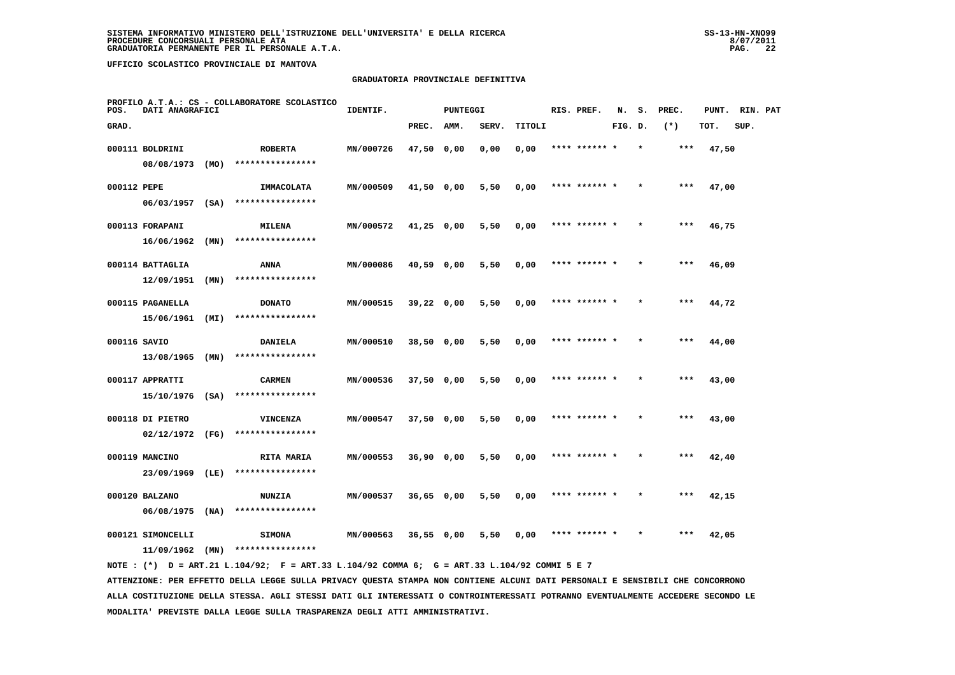#### **GRADUATORIA PROVINCIALE DEFINITIVA**

| POS.         | DATI ANAGRAFICI   |      | PROFILO A.T.A.: CS - COLLABORATORE SCOLASTICO | IDENTIF.  |              | <b>PUNTEGGI</b> |       |        | RIS. PREF.    | N.      | s.      | PREC. | PUNT. | RIN. PAT |  |
|--------------|-------------------|------|-----------------------------------------------|-----------|--------------|-----------------|-------|--------|---------------|---------|---------|-------|-------|----------|--|
| GRAD.        |                   |      |                                               |           | PREC.        | AMM.            | SERV. | TITOLI |               | FIG. D. |         | $(*)$ | TOT.  | SUP.     |  |
|              | 000111 BOLDRINI   |      | <b>ROBERTA</b>                                | MN/000726 | 47,50 0,00   |                 | 0,00  | 0,00   | **** ****** * |         | $\star$ | ***   | 47,50 |          |  |
|              | 08/08/1973        | (MO) | ****************                              |           |              |                 |       |        |               |         |         |       |       |          |  |
| 000112 PEPE  |                   |      | IMMACOLATA                                    | MN/000509 | $41,50$ 0,00 |                 | 5,50  | 0,00   | **** ******   |         |         | ***   | 47,00 |          |  |
|              | $06/03/1957$ (SA) |      | ****************                              |           |              |                 |       |        |               |         |         |       |       |          |  |
|              | 000113 FORAPANI   |      | <b>MILENA</b>                                 | MN/000572 | $41,25$ 0,00 |                 | 5,50  | 0,00   | **** ****** * |         |         | ***   | 46,75 |          |  |
|              | 16/06/1962        | (MN) | ****************                              |           |              |                 |       |        |               |         |         |       |       |          |  |
|              | 000114 BATTAGLIA  |      | ANNA                                          | MN/000086 | 40,59 0,00   |                 | 5,50  | 0,00   | **** ****** * |         |         | ***   | 46,09 |          |  |
|              | 12/09/1951        | (MN) | ****************                              |           |              |                 |       |        |               |         |         |       |       |          |  |
|              | 000115 PAGANELLA  |      | <b>DONATO</b>                                 | MN/000515 | $39,22$ 0,00 |                 | 5,50  | 0,00   | **** ****** * |         |         | ***   | 44,72 |          |  |
|              | 15/06/1961        | (MI) | ****************                              |           |              |                 |       |        |               |         |         |       |       |          |  |
| 000116 SAVIO |                   |      | DANIELA                                       | MN/000510 | 38,50 0,00   |                 | 5,50  | 0,00   | **** ****** * |         |         | ***   | 44,00 |          |  |
|              | 13/08/1965        | (MN) | ****************                              |           |              |                 |       |        |               |         |         |       |       |          |  |
|              | 000117 APPRATTI   |      | <b>CARMEN</b>                                 | MN/000536 | 37,50 0,00   |                 | 5,50  | 0,00   | **** ****** * |         |         | ***   | 43,00 |          |  |
|              | $15/10/1976$ (SA) |      | ****************                              |           |              |                 |       |        |               |         |         |       |       |          |  |
|              | 000118 DI PIETRO  |      | <b>VINCENZA</b>                               | MN/000547 | $37,50$ 0,00 |                 | 5,50  | 0,00   |               |         |         |       | 43,00 |          |  |
|              | 02/12/1972        | (FG) | ****************                              |           |              |                 |       |        |               |         |         |       |       |          |  |
|              | 000119 MANCINO    |      | <b>RITA MARIA</b>                             | MN/000553 | 36,90 0,00   |                 | 5,50  | 0,00   | **** ****** * |         |         | $***$ | 42,40 |          |  |
|              | 23/09/1969        | (LE) | ****************                              |           |              |                 |       |        |               |         |         |       |       |          |  |
|              | 000120 BALZANO    |      | <b>NUNZIA</b>                                 | MN/000537 | $36,65$ 0,00 |                 | 5,50  | 0,00   | **** ****** * |         |         | ***   | 42,15 |          |  |
|              | 06/08/1975        | (NA) | ****************                              |           |              |                 |       |        |               |         |         |       |       |          |  |
|              | 000121 SIMONCELLI |      | <b>SIMONA</b>                                 | MN/000563 | $36,55$ 0,00 |                 | 5,50  | 0,00   | **** ****** * |         |         | ***   | 42,05 |          |  |
|              | 11/09/1962        | (MN) | ****************                              |           |              |                 |       |        |               |         |         |       |       |          |  |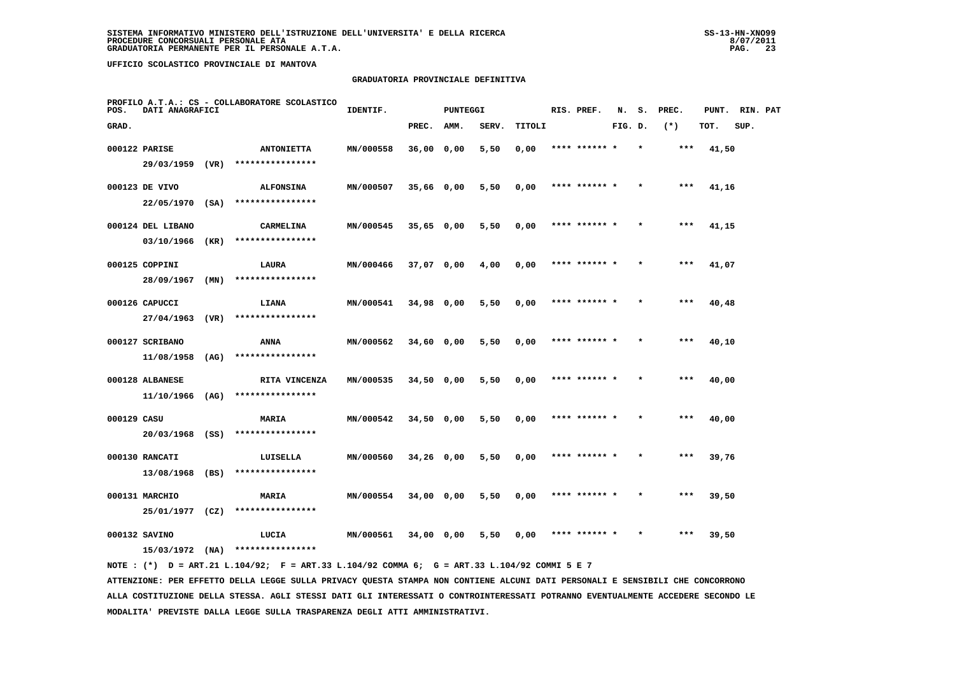#### **GRADUATORIA PROVINCIALE DEFINITIVA**

| POS.        | DATI ANAGRAFICI   |      | PROFILO A.T.A.: CS - COLLABORATORE SCOLASTICO | IDENTIF.  |              | <b>PUNTEGGI</b> |       |        | RIS. PREF.    | N.      | s. | PREC. | PUNT. | RIN. PAT |  |
|-------------|-------------------|------|-----------------------------------------------|-----------|--------------|-----------------|-------|--------|---------------|---------|----|-------|-------|----------|--|
| GRAD.       |                   |      |                                               |           | PREC.        | AMM.            | SERV. | TITOLI |               | FIG. D. |    | $(*)$ | TOT.  | SUP.     |  |
|             | 000122 PARISE     |      | <b>ANTONIETTA</b>                             | MN/000558 | 36,00 0,00   |                 | 5,50  | 0,00   | **** ****** * |         |    | ***   | 41,50 |          |  |
|             | 29/03/1959 (VR)   |      | ****************                              |           |              |                 |       |        |               |         |    |       |       |          |  |
|             | 000123 DE VIVO    |      | <b>ALFONSINA</b>                              | MN/000507 | 35,66 0,00   |                 | 5,50  | 0,00   | **** ****** * |         |    | $***$ | 41,16 |          |  |
|             |                   |      | 22/05/1970 (SA) ****************              |           |              |                 |       |        |               |         |    |       |       |          |  |
|             | 000124 DEL LIBANO |      | CARMELINA                                     | MN/000545 | $35,65$ 0,00 |                 | 5,50  | 0,00   | **** ****** * |         |    | ***   | 41,15 |          |  |
|             | 03/10/1966 (KR)   |      | ****************                              |           |              |                 |       |        |               |         |    |       |       |          |  |
|             | 000125 COPPINI    |      | LAURA                                         | MN/000466 | 37,07 0,00   |                 | 4,00  | 0,00   | **** ****** * |         |    | ***   | 41,07 |          |  |
|             | 28/09/1967        | (MN) | ****************                              |           |              |                 |       |        |               |         |    |       |       |          |  |
|             | 000126 CAPUCCI    |      | LIANA                                         | MN/000541 | 34,98 0,00   |                 | 5,50  | 0,00   | **** ****** * |         |    | ***   | 40,48 |          |  |
|             | 27/04/1963 (VR)   |      | ****************                              |           |              |                 |       |        |               |         |    |       |       |          |  |
|             | 000127 SCRIBANO   |      | ANNA                                          | MN/000562 | 34,60 0,00   |                 | 5,50  | 0,00   | **** ****** * |         |    | $***$ | 40,10 |          |  |
|             | $11/08/1958$ (AG) |      | ****************                              |           |              |                 |       |        |               |         |    |       |       |          |  |
|             | 000128 ALBANESE   |      | RITA VINCENZA                                 | MN/000535 | 34,50 0,00   |                 | 5,50  | 0,00   | **** ****** * |         |    | ***   | 40,00 |          |  |
|             | 11/10/1966 (AG)   |      | ****************                              |           |              |                 |       |        |               |         |    |       |       |          |  |
| 000129 CASU |                   |      | <b>MARIA</b>                                  | MN/000542 | $34,50$ 0,00 |                 | 5,50  | 0,00   | **** ****** * |         |    | ***   | 40,00 |          |  |
|             | 20/03/1968 (SS)   |      | ****************                              |           |              |                 |       |        |               |         |    |       |       |          |  |
|             | 000130 RANCATI    |      | LUISELLA<br>****************                  | MN/000560 | 34,26 0,00   |                 | 5,50  | 0,00   | **** ****** * |         |    | $***$ | 39,76 |          |  |
|             | 13/08/1968 (BS)   |      |                                               |           |              |                 |       |        |               |         |    |       |       |          |  |
|             | 000131 MARCHIO    |      | MARIA<br>****************                     | MN/000554 | 34,00 0,00   |                 | 5,50  | 0,00   | **** ****** * |         |    | ***   | 39,50 |          |  |
|             | 25/01/1977 (CZ)   |      |                                               |           |              |                 |       |        |               |         |    |       |       |          |  |
|             | 000132 SAVINO     |      | LUCIA<br>****************                     | MN/000561 | 34,00 0,00   |                 | 5,50  | 0,00   | **** ****** * |         |    | $***$ | 39,50 |          |  |
|             | $15/03/1972$ (NA) |      |                                               |           |              |                 |       |        |               |         |    |       |       |          |  |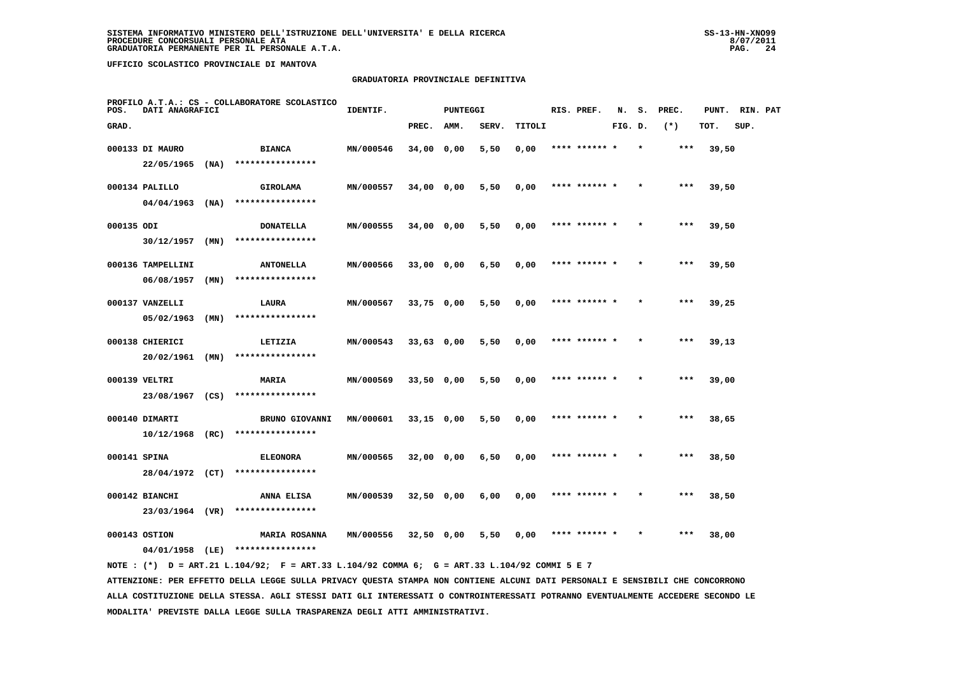#### **GRADUATORIA PROVINCIALE DEFINITIVA**

| POS.         | DATI ANAGRAFICI   |      | PROFILO A.T.A.: CS - COLLABORATORE SCOLASTICO                                               | IDENTIF.  |              | <b>PUNTEGGI</b> |       |        | RIS. PREF.    | N.      | s.      | PREC. | PUNT. | RIN. PAT |  |
|--------------|-------------------|------|---------------------------------------------------------------------------------------------|-----------|--------------|-----------------|-------|--------|---------------|---------|---------|-------|-------|----------|--|
| GRAD.        |                   |      |                                                                                             |           | PREC.        | AMM.            | SERV. | TITOLI |               | FIG. D. |         | $(*)$ | TOT.  | SUP.     |  |
|              | 000133 DI MAURO   |      | <b>BIANCA</b>                                                                               | MN/000546 | 34,00 0,00   |                 | 5,50  | 0,00   | **** ****** * |         | $\star$ | ***   | 39,50 |          |  |
|              | $22/05/1965$ (NA) |      | ****************                                                                            |           |              |                 |       |        |               |         |         |       |       |          |  |
|              | 000134 PALILLO    |      | <b>GIROLAMA</b>                                                                             | MN/000557 | 34,00 0,00   |                 | 5,50  | 0,00   | **** ****** * |         |         | ***   | 39,50 |          |  |
|              | $04/04/1963$ (NA) |      | ****************                                                                            |           |              |                 |       |        |               |         |         |       |       |          |  |
| 000135 ODI   |                   |      | <b>DONATELLA</b>                                                                            | MN/000555 | 34,00 0,00   |                 | 5,50  | 0,00   | **** ****** * |         |         | $***$ | 39,50 |          |  |
|              | $30/12/1957$ (MN) |      | ****************                                                                            |           |              |                 |       |        |               |         |         |       |       |          |  |
|              | 000136 TAMPELLINI |      | <b>ANTONELLA</b>                                                                            | MN/000566 | 33,00 0,00   |                 | 6,50  | 0,00   | **** ******   |         |         | ***   | 39,50 |          |  |
|              | 06/08/1957        | (MN) | ****************                                                                            |           |              |                 |       |        |               |         |         |       |       |          |  |
|              | 000137 VANZELLI   |      | LAURA                                                                                       | MN/000567 | $33,75$ 0,00 |                 | 5,50  | 0,00   | **** ****** * |         |         | ***   | 39,25 |          |  |
|              | 05/02/1963        | (MN) | ****************                                                                            |           |              |                 |       |        |               |         |         |       |       |          |  |
|              | 000138 CHIERICI   |      | LETIZIA                                                                                     | MN/000543 | 33,63 0,00   |                 | 5,50  | 0,00   | **** ****** * |         |         | $***$ | 39,13 |          |  |
|              | 20/02/1961        | (MN) | ****************                                                                            |           |              |                 |       |        |               |         |         |       |       |          |  |
|              | 000139 VELTRI     |      | MARIA                                                                                       | MN/000569 | $33,50$ 0,00 |                 | 5,50  | 0,00   | **** ****** * |         |         | $***$ | 39,00 |          |  |
|              | 23/08/1967 (CS)   |      | ****************                                                                            |           |              |                 |       |        |               |         |         |       |       |          |  |
|              | 000140 DIMARTI    |      | <b>BRUNO GIOVANNI</b>                                                                       | MN/000601 | $33,15$ 0,00 |                 | 5,50  | 0,00   | **** ****** * |         |         | ***   | 38,65 |          |  |
|              | $10/12/1968$ (RC) |      | ****************                                                                            |           |              |                 |       |        |               |         |         |       |       |          |  |
| 000141 SPINA |                   |      | <b>ELEONORA</b>                                                                             | MN/000565 | 32,00 0,00   |                 | 6,50  | 0,00   | **** ****** * |         |         | ***   | 38,50 |          |  |
|              | 28/04/1972 (CT)   |      | ****************                                                                            |           |              |                 |       |        |               |         |         |       |       |          |  |
|              | 000142 BIANCHI    |      | <b>ANNA ELISA</b>                                                                           | MN/000539 | 32,50 0,00   |                 | 6,00  | 0,00   | **** ****** * |         |         | ***   | 38,50 |          |  |
|              | 23/03/1964 (VR)   |      | ****************                                                                            |           |              |                 |       |        |               |         |         |       |       |          |  |
|              | 000143 OSTION     |      | <b>MARIA ROSANNA</b>                                                                        | MN/000556 |              | 32,50 0,00      | 5,50  | 0,00   | **** ****** * |         |         | ***   | 38,00 |          |  |
|              |                   |      | 04/01/1958 (LE) ****************                                                            |           |              |                 |       |        |               |         |         |       |       |          |  |
|              |                   |      | NOTE: (*) D = ART.21 L.104/92; F = ART.33 L.104/92 COMMA 6; G = ART.33 L.104/92 COMMI 5 E 7 |           |              |                 |       |        |               |         |         |       |       |          |  |

 **ATTENZIONE: PER EFFETTO DELLA LEGGE SULLA PRIVACY QUESTA STAMPA NON CONTIENE ALCUNI DATI PERSONALI E SENSIBILI CHE CONCORRONO ALLA COSTITUZIONE DELLA STESSA. AGLI STESSI DATI GLI INTERESSATI O CONTROINTERESSATI POTRANNO EVENTUALMENTE ACCEDERE SECONDO LE MODALITA' PREVISTE DALLA LEGGE SULLA TRASPARENZA DEGLI ATTI AMMINISTRATIVI.**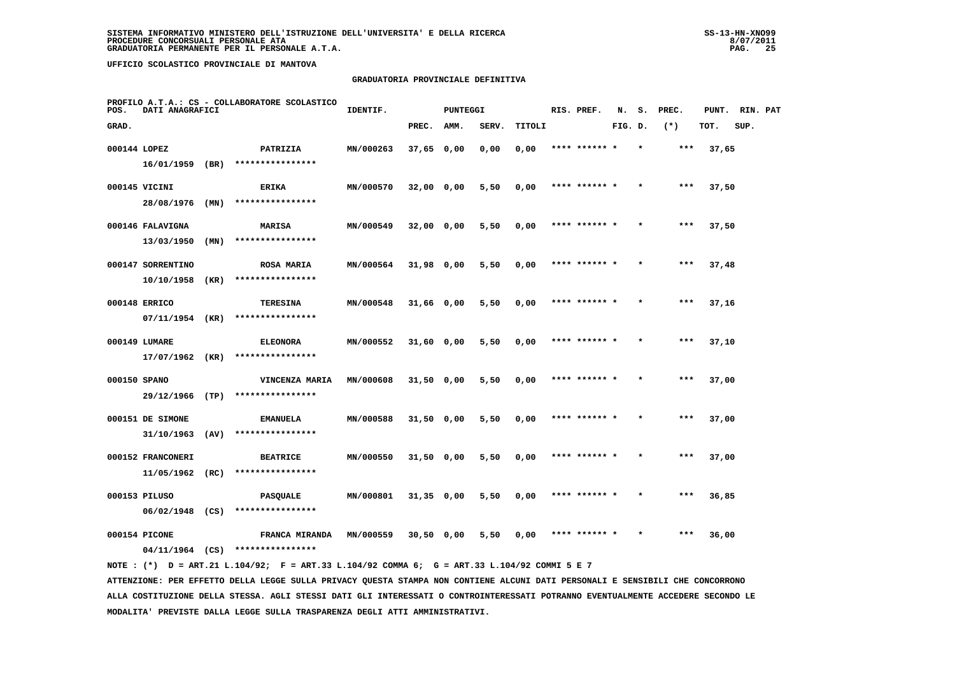#### **GRADUATORIA PROVINCIALE DEFINITIVA**

| POS.         | DATI ANAGRAFICI   |      | PROFILO A.T.A.: CS - COLLABORATORE SCOLASTICO | IDENTIF.  |              | <b>PUNTEGGI</b> |       |        | RIS. PREF.    | N.      | s.      | PREC. | PUNT. | RIN. PAT |  |
|--------------|-------------------|------|-----------------------------------------------|-----------|--------------|-----------------|-------|--------|---------------|---------|---------|-------|-------|----------|--|
| GRAD.        |                   |      |                                               |           | PREC.        | AMM.            | SERV. | TITOLI |               | FIG. D. |         | $(*)$ | TOT.  | SUP.     |  |
| 000144 LOPEZ |                   |      | PATRIZIA                                      | MN/000263 | 37,65 0,00   |                 | 0,00  | 0,00   | **** ****** * |         | $\star$ | ***   | 37,65 |          |  |
|              | 16/01/1959        | (BR) | ****************                              |           |              |                 |       |        |               |         |         |       |       |          |  |
|              | 000145 VICINI     |      | <b>ERIKA</b>                                  | MN/000570 | 32,00 0,00   |                 | 5,50  | 0,00   | **** ******   |         |         | ***   | 37,50 |          |  |
|              | 28/08/1976        | (MN) | ****************                              |           |              |                 |       |        |               |         |         |       |       |          |  |
|              | 000146 FALAVIGNA  |      | <b>MARISA</b>                                 | MN/000549 | $32,00$ 0,00 |                 | 5,50  | 0,00   | **** ****** * |         |         | ***   | 37,50 |          |  |
|              | 13/03/1950        | (MN) | ****************                              |           |              |                 |       |        |               |         |         |       |       |          |  |
|              | 000147 SORRENTINO |      | <b>ROSA MARIA</b>                             | MN/000564 | 31,98 0,00   |                 | 5,50  | 0,00   | **** ****** * |         |         | ***   | 37,48 |          |  |
|              | 10/10/1958        | (KR) | ****************                              |           |              |                 |       |        |               |         |         |       |       |          |  |
|              | 000148 ERRICO     |      | <b>TERESINA</b>                               | MN/000548 | $31,66$ 0,00 |                 | 5,50  | 0,00   | **** ****** * |         |         | $***$ | 37,16 |          |  |
|              | 07/11/1954 (KR)   |      | ****************                              |           |              |                 |       |        |               |         |         |       |       |          |  |
|              | 000149 LUMARE     |      | <b>ELEONORA</b>                               | MN/000552 | 31,60 0,00   |                 | 5,50  | 0,00   | **** ****** * |         |         | ***   | 37,10 |          |  |
|              | 17/07/1962 (KR)   |      | ****************                              |           |              |                 |       |        |               |         |         |       |       |          |  |
| 000150 SPANO |                   |      | VINCENZA MARIA                                | MN/000608 | 31,50 0,00   |                 | 5,50  | 0,00   | **** ****** * |         |         | ***   | 37,00 |          |  |
|              | 29/12/1966 (TP)   |      | ****************                              |           |              |                 |       |        |               |         |         |       |       |          |  |
|              | 000151 DE SIMONE  |      | <b>EMANUELA</b>                               | MN/000588 | $31,50$ 0,00 |                 | 5,50  | 0,00   |               |         |         |       | 37,00 |          |  |
|              | 31/10/1963        | (AV) | ****************                              |           |              |                 |       |        |               |         |         |       |       |          |  |
|              | 000152 FRANCONERI |      | <b>BEATRICE</b>                               | MN/000550 | $31,50$ 0,00 |                 | 5,50  | 0,00   | **** ****** * |         |         | $***$ | 37,00 |          |  |
|              | 11/05/1962 (RC)   |      | ****************                              |           |              |                 |       |        |               |         |         |       |       |          |  |
|              | 000153 PILUSO     |      | <b>PASQUALE</b>                               | MN/000801 | $31,35$ 0,00 |                 | 5,50  | 0,00   | **** ****** * |         |         | ***   | 36,85 |          |  |
|              | $06/02/1948$ (CS) |      | ****************                              |           |              |                 |       |        |               |         |         |       |       |          |  |
|              | 000154 PICONE     |      | FRANCA MIRANDA                                | MN/000559 | $30,50$ 0,00 |                 | 5,50  | 0,00   | **** ****** * |         |         | ***   | 36,00 |          |  |
|              | $04/11/1964$ (CS) |      | ****************                              |           |              |                 |       |        |               |         |         |       |       |          |  |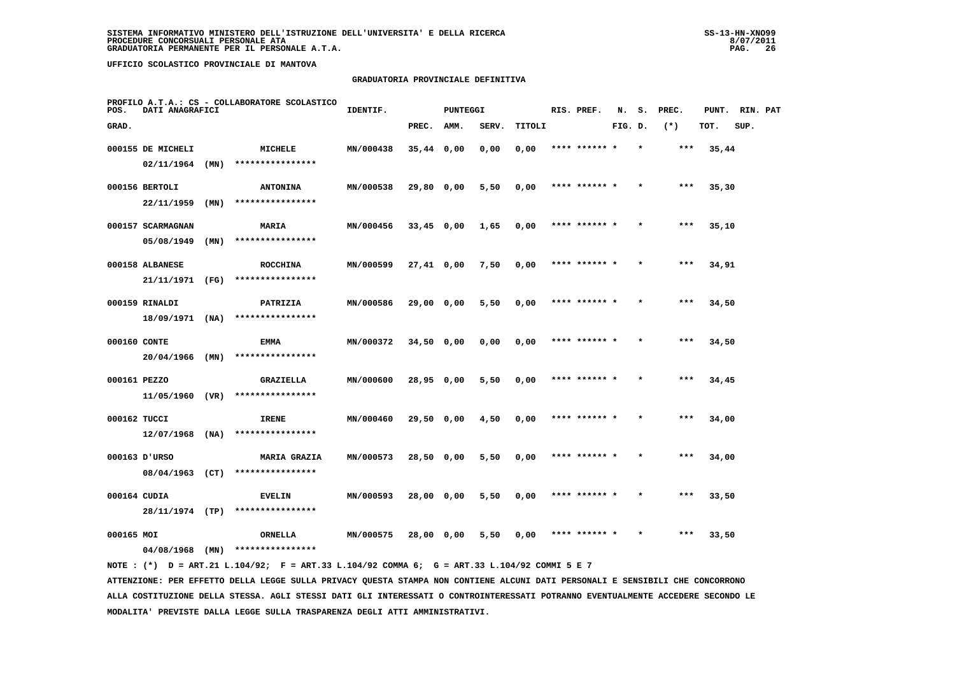#### **GRADUATORIA PROVINCIALE DEFINITIVA**

| POS.         | DATI ANAGRAFICI   |      | PROFILO A.T.A.: CS - COLLABORATORE SCOLASTICO | IDENTIF.  |              | <b>PUNTEGGI</b> |       |        | RIS. PREF.    | N.      | s.      | PREC. | PUNT. | RIN. PAT |  |
|--------------|-------------------|------|-----------------------------------------------|-----------|--------------|-----------------|-------|--------|---------------|---------|---------|-------|-------|----------|--|
| GRAD.        |                   |      |                                               |           | PREC.        | AMM.            | SERV. | TITOLI |               | FIG. D. |         | $(*)$ | TOT.  | SUP.     |  |
|              | 000155 DE MICHELI |      | MICHELE                                       | MN/000438 | $35,44$ 0,00 |                 | 0,00  | 0,00   | **** ****** * |         | $\star$ | $***$ | 35,44 |          |  |
|              | 02/11/1964        | (MN) | ****************                              |           |              |                 |       |        |               |         |         |       |       |          |  |
|              | 000156 BERTOLI    |      | <b>ANTONINA</b>                               | MN/000538 | 29,80 0,00   |                 | 5,50  | 0,00   | **** ****** * |         |         | $***$ | 35,30 |          |  |
|              | 22/11/1959        | (MN) | ****************                              |           |              |                 |       |        |               |         |         |       |       |          |  |
|              | 000157 SCARMAGNAN |      | MARIA                                         | MN/000456 | $33,45$ 0,00 |                 | 1,65  | 0,00   | **** ****** * |         |         | $***$ | 35,10 |          |  |
|              | 05/08/1949        | (MN) | ****************                              |           |              |                 |       |        |               |         |         |       |       |          |  |
|              | 000158 ALBANESE   |      | <b>ROCCHINA</b>                               | MN/000599 | 27,41 0,00   |                 | 7,50  | 0,00   | **** ****** * |         |         | $***$ | 34,91 |          |  |
|              | 21/11/1971 (FG)   |      | ****************                              |           |              |                 |       |        |               |         |         |       |       |          |  |
|              | 000159 RINALDI    |      | PATRIZIA                                      | MN/000586 | 29,00 0,00   |                 | 5,50  | 0,00   | **** ****** * |         |         | $***$ | 34,50 |          |  |
|              | $18/09/1971$ (NA) |      | ****************                              |           |              |                 |       |        |               |         |         |       |       |          |  |
| 000160 CONTE |                   |      | <b>EMMA</b>                                   | MN/000372 | 34,50 0,00   |                 | 0.00  | 0,00   | **** ****** * |         |         | $***$ | 34,50 |          |  |
|              | 20/04/1966        | (MN) | ****************                              |           |              |                 |       |        |               |         |         |       |       |          |  |
| 000161 PEZZO |                   |      | <b>GRAZIELLA</b>                              | MN/000600 | 28,95 0,00   |                 | 5,50  | 0,00   | **** ******   |         |         | ***   | 34,45 |          |  |
|              | 11/05/1960 (VR)   |      | ****************                              |           |              |                 |       |        |               |         |         |       |       |          |  |
| 000162 TUCCI |                   |      | IRENE                                         | MN/000460 | 29,50 0,00   |                 | 4,50  | 0,00   | **** ****** * |         |         | $***$ | 34,00 |          |  |
|              | $12/07/1968$ (NA) |      | ****************                              |           |              |                 |       |        |               |         |         |       |       |          |  |
|              | 000163 D'URSO     |      | <b>MARIA GRAZIA</b>                           | MN/000573 | 28,50 0,00   |                 | 5,50  | 0,00   | **** ****** * |         | $\star$ | ***   | 34,00 |          |  |
|              | 08/04/1963 (CT)   |      | ****************                              |           |              |                 |       |        |               |         |         |       |       |          |  |
| 000164 CUDIA |                   |      | <b>EVELIN</b><br>****************             | MN/000593 | 28,00 0,00   |                 | 5,50  | 0,00   | **** ****** * |         |         | ***   | 33,50 |          |  |
|              | 28/11/1974 (TP)   |      |                                               |           |              |                 |       |        |               |         |         |       |       |          |  |
| 000165 MOI   | 04/08/1968        | (MN) | ORNELLA<br>****************                   | MN/000575 | 28,00 0,00   |                 | 5,50  | 0.00   | **** ****** * |         |         | $***$ | 33,50 |          |  |
|              |                   |      |                                               |           |              |                 |       |        |               |         |         |       |       |          |  |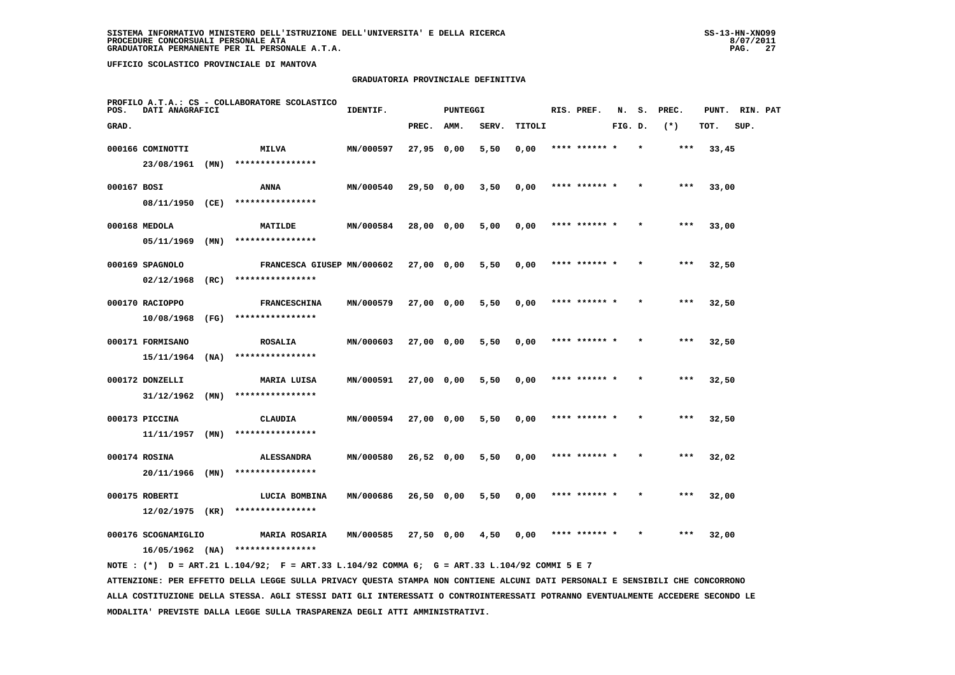#### **GRADUATORIA PROVINCIALE DEFINITIVA**

| POS.        | DATI ANAGRAFICI     |      | PROFILO A.T.A.: CS - COLLABORATORE SCOLASTICO | IDENTIF.  |              | <b>PUNTEGGI</b> |       |        | RIS. PREF.    | N.      | s.      | PREC. | PUNT. | RIN. PAT |  |
|-------------|---------------------|------|-----------------------------------------------|-----------|--------------|-----------------|-------|--------|---------------|---------|---------|-------|-------|----------|--|
| GRAD.       |                     |      |                                               |           | PREC.        | AMM.            | SERV. | TITOLI |               | FIG. D. |         | $(*)$ | TOT.  | SUP.     |  |
|             | 000166 COMINOTTI    |      | MILVA                                         | MN/000597 | 27,95 0,00   |                 | 5,50  | 0,00   | **** ****** * |         | $\star$ | ***   | 33,45 |          |  |
|             | 23/08/1961          | (MN) | ****************                              |           |              |                 |       |        |               |         |         |       |       |          |  |
| 000167 BOSI |                     |      | ANNA                                          | MN/000540 | 29,50 0,00   |                 | 3,50  | 0,00   | **** ******   |         |         | ***   | 33,00 |          |  |
|             | 08/11/1950 (CE)     |      | ****************                              |           |              |                 |       |        |               |         |         |       |       |          |  |
|             | 000168 MEDOLA       |      | MATILDE                                       | MN/000584 | 28,00 0,00   |                 | 5,00  | 0,00   | **** ****** * |         |         | $***$ | 33,00 |          |  |
|             | 05/11/1969          | (MN) | ****************                              |           |              |                 |       |        |               |         |         |       |       |          |  |
|             | 000169 SPAGNOLO     |      | FRANCESCA GIUSEP MN/000602                    |           | 27,00 0,00   |                 | 5,50  | 0,00   | **** ****** * |         | $\star$ | ***   | 32,50 |          |  |
|             | 02/12/1968          | (RC) | ****************                              |           |              |                 |       |        |               |         |         |       |       |          |  |
|             | 000170 RACIOPPO     |      | <b>FRANCESCHINA</b>                           | MN/000579 | 27,00 0,00   |                 | 5,50  | 0,00   | **** ****** * |         |         | $***$ | 32,50 |          |  |
|             | 10/08/1968          | (FG) | ****************                              |           |              |                 |       |        |               |         |         |       |       |          |  |
|             | 000171 FORMISANO    |      | <b>ROSALIA</b>                                | MN/000603 | 27,00 0,00   |                 | 5,50  | 0,00   | **** ****** * |         |         | $***$ | 32,50 |          |  |
|             | 15/11/1964          | (NA) | ****************                              |           |              |                 |       |        |               |         |         |       |       |          |  |
|             | 000172 DONZELLI     |      | <b>MARIA LUISA</b>                            | MN/000591 | 27,00 0,00   |                 | 5,50  | 0,00   | **** ****** * |         |         | ***   | 32,50 |          |  |
|             | 31/12/1962          | (MN) | ****************                              |           |              |                 |       |        |               |         |         |       |       |          |  |
|             | 000173 PICCINA      |      | CLAUDIA                                       | MN/000594 | 27,00 0,00   |                 | 5,50  | 0,00   | **** ******   |         |         | ***   | 32,50 |          |  |
|             | $11/11/1957$ (MN)   |      | ****************                              |           |              |                 |       |        |               |         |         |       |       |          |  |
|             | 000174 ROSINA       |      | <b>ALESSANDRA</b>                             | MN/000580 | $26,52$ 0,00 |                 | 5,50  | 0,00   | **** ****** * |         |         | ***   | 32,02 |          |  |
|             | 20/11/1966          | (MN) | ****************                              |           |              |                 |       |        |               |         |         |       |       |          |  |
|             | 000175 ROBERTI      |      | LUCIA BOMBINA                                 | MN/000686 | 26,50 0,00   |                 | 5,50  | 0,00   | **** ****** * |         |         | $***$ | 32,00 |          |  |
|             | 12/02/1975          | (KR) | ****************                              |           |              |                 |       |        |               |         |         |       |       |          |  |
|             | 000176 SCOGNAMIGLIO |      | <b>MARIA ROSARIA</b>                          | MN/000585 | 27,50 0,00   |                 | 4,50  | 0,00   | **** ****** * |         |         | ***   | 32,00 |          |  |
|             | $16/05/1962$ (NA)   |      | ****************                              |           |              |                 |       |        |               |         |         |       |       |          |  |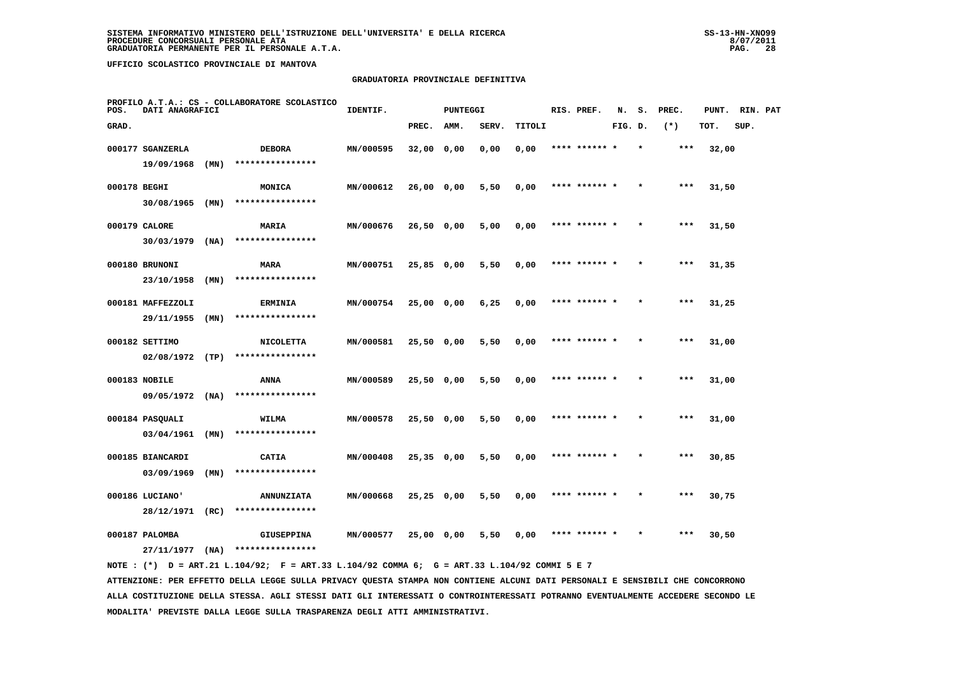#### **GRADUATORIA PROVINCIALE DEFINITIVA**

| POS.         | DATI ANAGRAFICI   |      | PROFILO A.T.A.: CS - COLLABORATORE SCOLASTICO | IDENTIF.  |              | <b>PUNTEGGI</b> |       |        | RIS. PREF.    | N.      | s. | PREC. | PUNT. | RIN. PAT |  |
|--------------|-------------------|------|-----------------------------------------------|-----------|--------------|-----------------|-------|--------|---------------|---------|----|-------|-------|----------|--|
| GRAD.        |                   |      |                                               |           | PREC.        | AMM.            | SERV. | TITOLI |               | FIG. D. |    | $(*)$ | TOT.  | SUP.     |  |
|              | 000177 SGANZERLA  |      | <b>DEBORA</b>                                 | MN/000595 | 32,00 0,00   |                 | 0,00  | 0,00   | **** ****** * |         |    | ***   | 32,00 |          |  |
|              | 19/09/1968        | (MN) | ****************                              |           |              |                 |       |        |               |         |    |       |       |          |  |
| 000178 BEGHI |                   |      | MONICA                                        | MN/000612 | $26,00$ 0,00 |                 | 5,50  | 0,00   | **** ****** * |         |    | $***$ | 31,50 |          |  |
|              | $30/08/1965$ (MN) |      | ****************                              |           |              |                 |       |        |               |         |    |       |       |          |  |
|              | 000179 CALORE     |      | MARIA                                         | MN/000676 | $26,50$ 0,00 |                 | 5,00  | 0,00   | **** ****** * |         |    | $***$ | 31,50 |          |  |
|              | 30/03/1979        | (NA) | ****************                              |           |              |                 |       |        |               |         |    |       |       |          |  |
|              | 000180 BRUNONI    |      | MARA                                          | MN/000751 | $25,85$ 0,00 |                 | 5,50  | 0,00   | **** ****** * |         |    | ***   | 31,35 |          |  |
|              | 23/10/1958        | (MN) | ****************                              |           |              |                 |       |        |               |         |    |       |       |          |  |
|              | 000181 MAFFEZZOLI |      | <b>ERMINIA</b>                                | MN/000754 | 25,00 0,00   |                 | 6,25  | 0,00   | **** ****** * |         |    | $***$ | 31,25 |          |  |
|              | 29/11/1955        | (MN) | ****************                              |           |              |                 |       |        |               |         |    |       |       |          |  |
|              | 000182 SETTIMO    |      | <b>NICOLETTA</b>                              | MN/000581 | 25,50 0,00   |                 | 5,50  | 0,00   | **** ****** * |         |    | $***$ | 31,00 |          |  |
|              | $02/08/1972$ (TP) |      | ****************                              |           |              |                 |       |        |               |         |    |       |       |          |  |
|              | 000183 NOBILE     |      | ANNA                                          | MN/000589 | 25,50 0,00   |                 | 5,50  | 0,00   | **** ****** * |         |    | $***$ | 31,00 |          |  |
|              | $09/05/1972$ (NA) |      | ****************                              |           |              |                 |       |        |               |         |    |       |       |          |  |
|              | 000184 PASQUALI   |      | WILMA                                         | MN/000578 | 25,50 0,00   |                 | 5,50  | 0,00   | **** ******   |         |    | $***$ | 31,00 |          |  |
|              | 03/04/1961        | (MN) | ****************                              |           |              |                 |       |        |               |         |    |       |       |          |  |
|              | 000185 BIANCARDI  |      | <b>CATIA</b>                                  | MN/000408 | $25,35$ 0,00 |                 | 5,50  | 0,00   | **** ****** * |         |    | $***$ | 30,85 |          |  |
|              | 03/09/1969        | (MN) | ****************                              |           |              |                 |       |        |               |         |    |       |       |          |  |
|              | 000186 LUCIANO'   |      | <b>ANNUNZIATA</b>                             | MN/000668 | $25,25$ 0,00 |                 | 5,50  | 0,00   | **** ****** * |         |    | ***   | 30,75 |          |  |
|              | 28/12/1971        | (RC) | ****************                              |           |              |                 |       |        |               |         |    |       |       |          |  |
|              | 000187 PALOMBA    |      | <b>GIUSEPPINA</b>                             | MN/000577 | 25,00 0,00   |                 | 5,50  | 0,00   | **** ****** * |         |    | ***   | 30,50 |          |  |
|              | 27/11/1977        | (NA) | ****************                              |           |              |                 |       |        |               |         |    |       |       |          |  |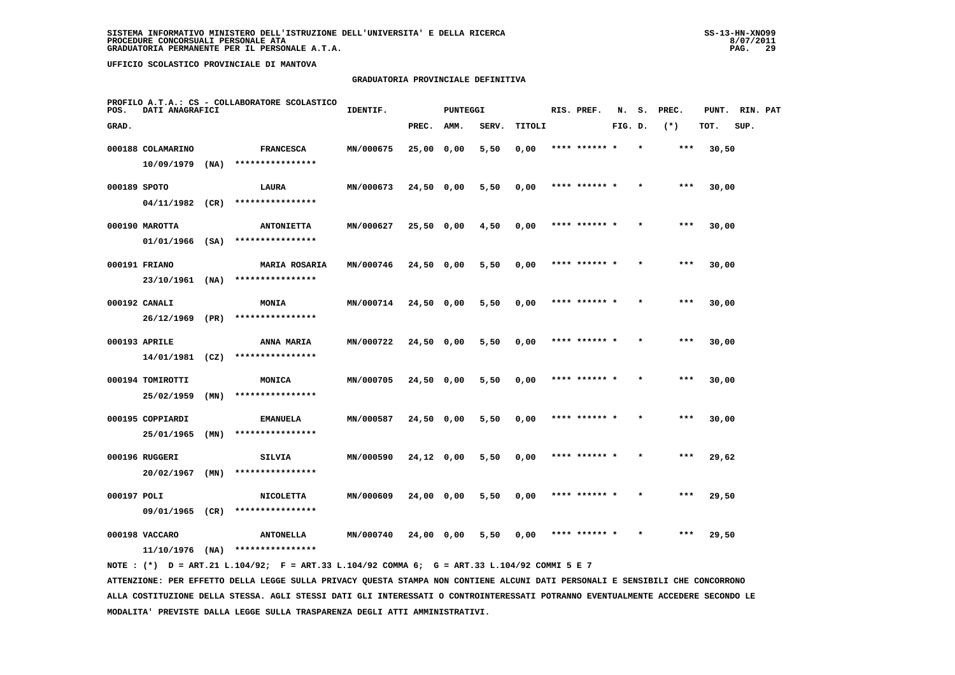#### **GRADUATORIA PROVINCIALE DEFINITIVA**

| POS.         | DATI ANAGRAFICI   |      | PROFILO A.T.A.: CS - COLLABORATORE SCOLASTICO | IDENTIF.  |              | <b>PUNTEGGI</b> |       |        | RIS. PREF.    | N.      | s. | PREC. | PUNT. | RIN. PAT |  |
|--------------|-------------------|------|-----------------------------------------------|-----------|--------------|-----------------|-------|--------|---------------|---------|----|-------|-------|----------|--|
| GRAD.        |                   |      |                                               |           | PREC.        | AMM.            | SERV. | TITOLI |               | FIG. D. |    | $(*)$ | TOT.  | SUP.     |  |
|              | 000188 COLAMARINO |      | <b>FRANCESCA</b>                              | MN/000675 | 25,00 0,00   |                 | 5,50  | 0,00   | **** ****** * |         |    | $***$ | 30,50 |          |  |
|              | 10/09/1979        | (MA) | ****************                              |           |              |                 |       |        |               |         |    |       |       |          |  |
| 000189 SPOTO |                   |      | LAURA                                         | MN/000673 | 24,50 0,00   |                 | 5,50  | 0,00   | **** ****** * |         |    | $***$ | 30,00 |          |  |
|              | 04/11/1982 (CR)   |      | ****************                              |           |              |                 |       |        |               |         |    |       |       |          |  |
|              | 000190 MAROTTA    |      | <b>ANTONIETTA</b>                             | MN/000627 | 25,50 0,00   |                 | 4,50  | 0,00   | **** ****** * |         |    | $***$ | 30,00 |          |  |
|              | $01/01/1966$ (SA) |      | ****************                              |           |              |                 |       |        |               |         |    |       |       |          |  |
|              | 000191 FRIANO     |      | <b>MARIA ROSARIA</b>                          | MN/000746 | $24,50$ 0,00 |                 | 5,50  | 0,00   | **** ****** * |         |    | $***$ | 30,00 |          |  |
|              | 23/10/1961        | (NA) | ****************                              |           |              |                 |       |        |               |         |    |       |       |          |  |
|              | 000192 CANALI     |      | MONIA                                         | MN/000714 | 24,50 0,00   |                 | 5,50  | 0,00   | **** ****** * |         |    | $***$ | 30,00 |          |  |
|              | 26/12/1969 (PR)   |      | ****************                              |           |              |                 |       |        |               |         |    |       |       |          |  |
|              | 000193 APRILE     |      | ANNA MARIA                                    | MN/000722 | 24,50 0,00   |                 | 5,50  | 0,00   | **** ****** * |         |    | $***$ | 30,00 |          |  |
|              | 14/01/1981 (CZ)   |      | ****************                              |           |              |                 |       |        |               |         |    |       |       |          |  |
|              | 000194 TOMIROTTI  |      | MONICA                                        | MN/000705 | 24,50 0,00   |                 | 5,50  | 0,00   | **** ******   |         |    | ***   | 30,00 |          |  |
|              | 25/02/1959        | (MN) | ****************                              |           |              |                 |       |        |               |         |    |       |       |          |  |
|              | 000195 COPPIARDI  |      | <b>EMANUELA</b>                               | MN/000587 | $24,50$ 0,00 |                 | 5,50  | 0,00   | **** ****** * |         |    | ***   | 30,00 |          |  |
|              | 25/01/1965        | (MN) | ****************                              |           |              |                 |       |        |               |         |    |       |       |          |  |
|              | 000196 RUGGERI    |      | SILVIA<br>****************                    | MN/000590 | 24,12 0,00   |                 | 5,50  | 0,00   | **** ****** * |         |    | $***$ | 29,62 |          |  |
|              | 20/02/1967        | (MN) |                                               |           |              |                 |       |        |               |         |    |       |       |          |  |
| 000197 POLI  | 09/01/1965        | (CR) | <b>NICOLETTA</b><br>****************          | MN/000609 | 24,00 0,00   |                 | 5,50  | 0,00   | **** ****** * |         |    | $***$ | 29,50 |          |  |
|              |                   |      |                                               |           |              |                 |       |        |               |         |    |       |       |          |  |
|              | 000198 VACCARO    |      | <b>ANTONELLA</b>                              | MN/000740 | 24,00 0,00   |                 | 5,50  | 0,00   | **** ****** * |         |    | ***   | 29,50 |          |  |
|              | $11/10/1976$ (NA) |      | ****************                              |           |              |                 |       |        |               |         |    |       |       |          |  |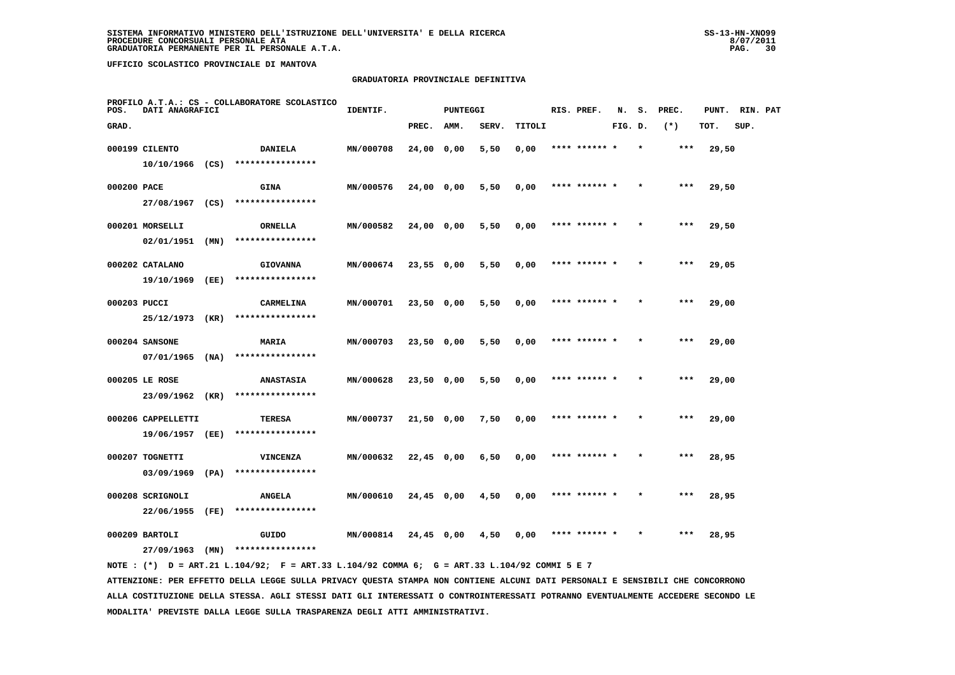#### **GRADUATORIA PROVINCIALE DEFINITIVA**

| POS.         | DATI ANAGRAFICI    |      | PROFILO A.T.A.: CS - COLLABORATORE SCOLASTICO | IDENTIF.         |              | <b>PUNTEGGI</b> |       |        | RIS. PREF.    | N.      | s. | PREC. | PUNT. | RIN. PAT |  |
|--------------|--------------------|------|-----------------------------------------------|------------------|--------------|-----------------|-------|--------|---------------|---------|----|-------|-------|----------|--|
| GRAD.        |                    |      |                                               |                  | PREC.        | AMM.            | SERV. | TITOLI |               | FIG. D. |    | $(*)$ | TOT.  | SUP.     |  |
|              | 000199 CILENTO     |      | <b>DANIELA</b>                                | MN/000708        | 24,00 0,00   |                 | 5,50  | 0,00   | **** ****** * |         |    | ***   | 29,50 |          |  |
|              | $10/10/1966$ (CS)  |      | ****************                              |                  |              |                 |       |        |               |         |    |       |       |          |  |
| 000200 PACE  |                    |      | <b>GINA</b>                                   | MN/000576        | 24,00 0,00   |                 | 5,50  | 0,00   | **** ****** * |         |    | ***   | 29,50 |          |  |
|              | 27/08/1967 (CS)    |      | ****************                              |                  |              |                 |       |        |               |         |    |       |       |          |  |
|              | 000201 MORSELLI    |      | ORNELLA                                       | MN/000582        | 24,00 0,00   |                 | 5,50  | 0,00   | **** ****** * |         |    | $***$ | 29,50 |          |  |
|              | 02/01/1951         | (MN) | ****************                              |                  |              |                 |       |        |               |         |    |       |       |          |  |
|              | 000202 CATALANO    |      | <b>GIOVANNA</b>                               | MN/000674        | $23,55$ 0,00 |                 | 5,50  | 0,00   | **** ****** * |         |    | ***   | 29,05 |          |  |
|              | 19/10/1969         | (EE) | ****************                              |                  |              |                 |       |        |               |         |    |       |       |          |  |
| 000203 PUCCI |                    |      | CARMELINA                                     | MN/000701        | 23,50 0,00   |                 | 5,50  | 0,00   | **** ****** * |         |    | $***$ | 29,00 |          |  |
|              | 25/12/1973 (KR)    |      | ****************                              |                  |              |                 |       |        |               |         |    |       |       |          |  |
|              | 000204 SANSONE     |      | MARIA                                         | MN/000703        | 23,50 0,00   |                 | 5,50  | 0,00   | **** ****** * |         |    | $***$ | 29,00 |          |  |
|              | $07/01/1965$ (NA)  |      | ****************                              |                  |              |                 |       |        |               |         |    |       |       |          |  |
|              | 000205 LE ROSE     |      | <b>ANASTASIA</b>                              | MN/000628        | 23,50 0,00   |                 | 5,50  | 0,00   | **** ****** * |         |    | $***$ | 29,00 |          |  |
|              | 23/09/1962 (KR)    |      | ****************                              |                  |              |                 |       |        |               |         |    |       |       |          |  |
|              | 000206 CAPPELLETTI |      | TERESA                                        | MN/000737        | 21,50 0,00   |                 | 7,50  | 0,00   | **** ******   |         |    | ***   | 29,00 |          |  |
|              | 19/06/1957         | (EE) | ****************                              |                  |              |                 |       |        |               |         |    |       |       |          |  |
|              | 000207 TOGNETTI    |      | VINCENZA<br>****************                  | MN/000632        | $22,45$ 0,00 |                 | 6,50  | 0,00   | **** ****** * |         |    | $***$ | 28,95 |          |  |
|              | 03/09/1969         | (PA) |                                               |                  |              |                 |       |        |               |         |    |       |       |          |  |
|              | 000208 SCRIGNOLI   |      | <b>ANGELA</b>                                 | <b>MN/000610</b> | 24,45 0,00   |                 | 4,50  | 0,00   | **** ****** * |         |    | ***   | 28,95 |          |  |
|              | 22/06/1955         | (FE) | ****************                              |                  |              |                 |       |        |               |         |    |       |       |          |  |
|              | 000209 BARTOLI     |      | GUIDO                                         | MN/000814        | 24,45 0,00   |                 | 4,50  | 0,00   |               |         |    | ***   | 28,95 |          |  |
|              | 27/09/1963         | (MN) | ****************                              |                  |              |                 |       |        |               |         |    |       |       |          |  |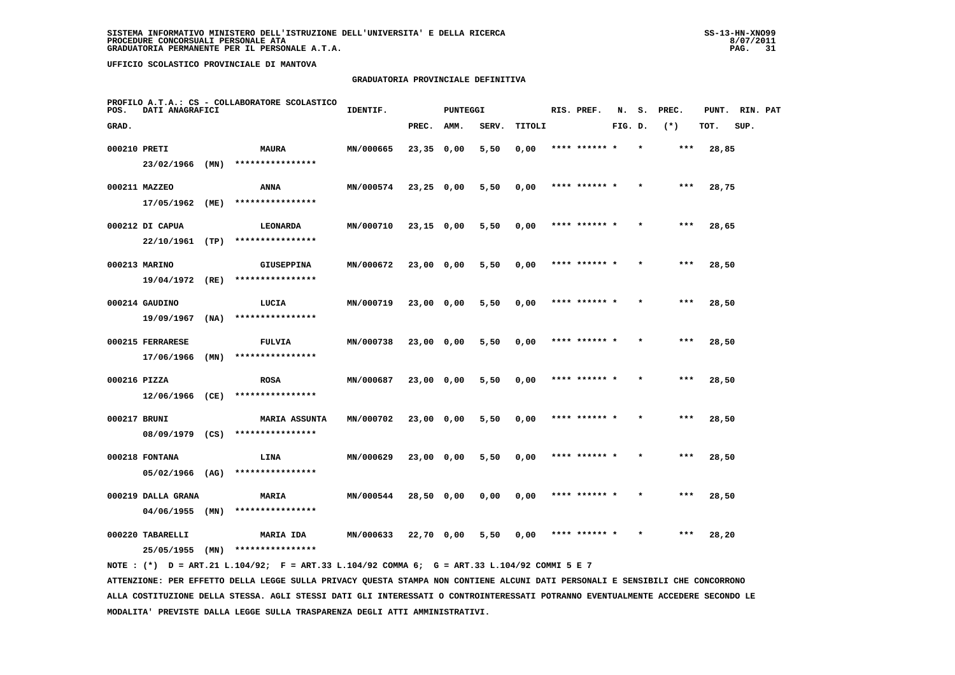#### **GRADUATORIA PROVINCIALE DEFINITIVA**

| POS.         | DATI ANAGRAFICI                         |      | PROFILO A.T.A.: CS - COLLABORATORE SCOLASTICO | IDENTIF.  |              | <b>PUNTEGGI</b> |       |        | RIS. PREF.    | N.      | s.      | PREC. | PUNT. | RIN. PAT |  |
|--------------|-----------------------------------------|------|-----------------------------------------------|-----------|--------------|-----------------|-------|--------|---------------|---------|---------|-------|-------|----------|--|
| GRAD.        |                                         |      |                                               |           | PREC.        | AMM.            | SERV. | TITOLI |               | FIG. D. |         | $(*)$ | TOT.  | SUP.     |  |
| 000210 PRETI |                                         |      | <b>MAURA</b>                                  | MN/000665 | 23,35 0,00   |                 | 5,50  | 0,00   | **** ****** * |         | $\star$ | $***$ | 28,85 |          |  |
|              | $23/02/1966$ (MN)                       |      | ****************                              |           |              |                 |       |        |               |         |         |       |       |          |  |
|              | 000211 MAZZEO                           |      | ANNA                                          | MN/000574 | 23,25 0,00   |                 | 5,50  | 0,00   | **** ****** * |         |         | ***   | 28,75 |          |  |
|              | 17/05/1962 (ME)                         |      | ****************                              |           |              |                 |       |        |               |         |         |       |       |          |  |
|              | 000212 DI CAPUA                         |      | LEONARDA                                      | MN/000710 | $23,15$ 0,00 |                 | 5,50  | 0,00   | **** ****** * |         |         | $***$ | 28,65 |          |  |
|              | $22/10/1961$ (TP)                       |      | ****************                              |           |              |                 |       |        |               |         |         |       |       |          |  |
|              | 000213 MARINO                           |      | <b>GIUSEPPINA</b>                             | MN/000672 | 23,00 0,00   |                 | 5,50  | 0,00   | **** ****** * |         | $\star$ | ***   | 28,50 |          |  |
|              | 19/04/1972                              | (RE) | ****************                              |           |              |                 |       |        |               |         |         |       |       |          |  |
|              | 000214 GAUDINO                          |      | LUCIA                                         | MN/000719 | 23,00 0,00   |                 | 5,50  | 0,00   | **** ****** * |         |         | ***   | 28,50 |          |  |
|              | 19/09/1967                              | (NA) | ****************                              |           |              |                 |       |        |               |         |         |       |       |          |  |
|              | 000215 FERRARESE                        |      | <b>FULVIA</b>                                 | MN/000738 | 23,00 0,00   |                 | 5,50  | 0,00   | **** ****** * |         |         | $***$ | 28,50 |          |  |
|              | 17/06/1966                              | (MN) | ****************                              |           |              |                 |       |        |               |         |         |       |       |          |  |
| 000216 PIZZA |                                         |      | <b>ROSA</b>                                   | MN/000687 | 23,00 0,00   |                 | 5,50  | 0.00   | **** ****** * |         |         | $***$ | 28,50 |          |  |
|              | 12/06/1966 (CE)                         |      | ****************                              |           |              |                 |       |        |               |         |         |       |       |          |  |
| 000217 BRUNI |                                         |      | <b>MARIA ASSUNTA</b><br>****************      | MN/000702 | 23,00 0,00   |                 | 5,50  | 0,00   | **** ****** * |         |         | ***   | 28,50 |          |  |
|              | 08/09/1979 (CS)                         |      |                                               |           |              |                 |       |        |               |         |         |       |       |          |  |
|              | 000218 FONTANA                          |      | <b>LINA</b><br>****************               | MN/000629 | 23,00 0,00   |                 | 5,50  | 0,00   | **** ****** * |         |         | $***$ | 28,50 |          |  |
|              | 05/02/1966 (AG)                         |      |                                               |           |              |                 |       |        |               |         |         |       |       |          |  |
|              | 000219 DALLA GRANA<br>$04/06/1955$ (MN) |      | <b>MARIA</b><br>****************              | MN/000544 | 28,50 0,00   |                 | 0,00  | 0,00   | **** ****** * |         |         | $***$ | 28,50 |          |  |
|              |                                         |      |                                               |           |              |                 |       |        |               |         |         |       |       |          |  |
|              | 000220 TABARELLI<br>25/05/1955          | (MN) | MARIA IDA<br>****************                 | MN/000633 | 22,70 0,00   |                 | 5,50  | 0,00   | **** ****** * |         |         | ***   | 28,20 |          |  |
|              |                                         |      |                                               |           |              |                 |       |        |               |         |         |       |       |          |  |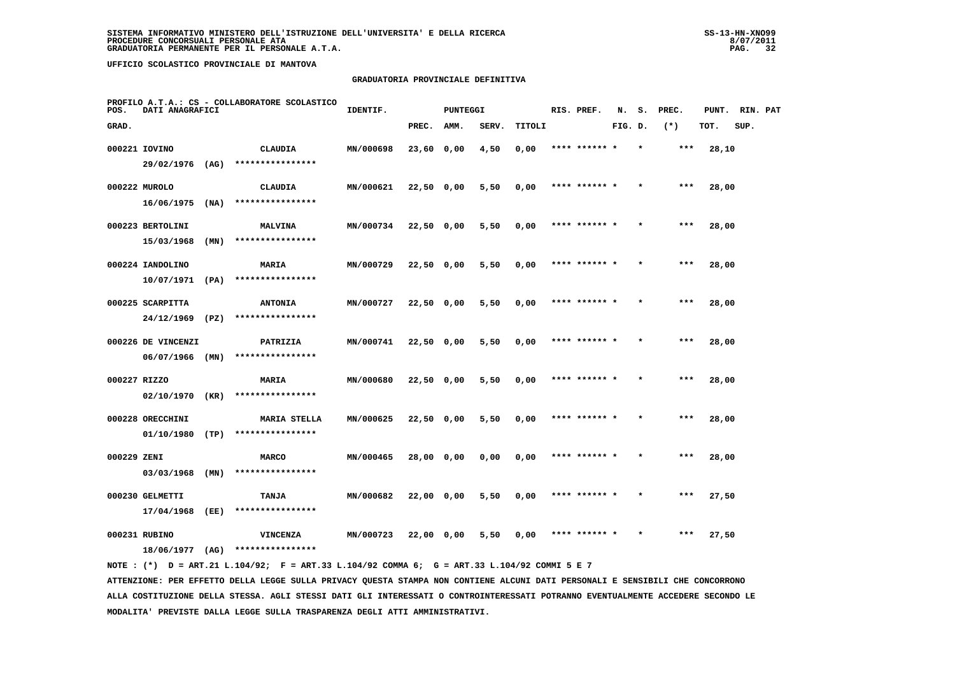#### **GRADUATORIA PROVINCIALE DEFINITIVA**

| POS.         | DATI ANAGRAFICI                  |      | PROFILO A.T.A.: CS - COLLABORATORE SCOLASTICO | IDENTIF.  |              | <b>PUNTEGGI</b> |       |        | RIS. PREF.    | N.      | s.      | PREC. | PUNT. | RIN. PAT |  |
|--------------|----------------------------------|------|-----------------------------------------------|-----------|--------------|-----------------|-------|--------|---------------|---------|---------|-------|-------|----------|--|
| GRAD.        |                                  |      |                                               |           | PREC.        | AMM.            | SERV. | TITOLI |               | FIG. D. |         | $(*)$ | TOT.  | SUP.     |  |
|              | 000221 IOVINO                    |      | CLAUDIA                                       | MN/000698 | 23,60 0,00   |                 | 4,50  | 0,00   | **** ****** * |         |         | $***$ | 28,10 |          |  |
|              | 29/02/1976 (AG)                  |      | ****************                              |           |              |                 |       |        |               |         |         |       |       |          |  |
|              | 000222 MUROLO                    |      | <b>CLAUDIA</b>                                | MN/000621 | $22,50$ 0,00 |                 | 5,50  | 0,00   | **** ****** * |         |         | ***   | 28,00 |          |  |
|              | 16/06/1975                       | (NA) | ****************                              |           |              |                 |       |        |               |         |         |       |       |          |  |
|              | 000223 BERTOLINI                 |      | <b>MALVINA</b>                                | MN/000734 | 22,50 0,00   |                 | 5,50  | 0,00   | **** ****** * |         |         | $***$ | 28,00 |          |  |
|              | 15/03/1968                       | (MN) | ****************                              |           |              |                 |       |        |               |         |         |       |       |          |  |
|              | 000224 IANDOLINO                 |      | MARIA                                         | MN/000729 | $22,50$ 0,00 |                 | 5,50  | 0,00   | **** ****** * |         | $\star$ | ***   | 28,00 |          |  |
|              | 10/07/1971                       | (PA) | ****************                              |           |              |                 |       |        |               |         |         |       |       |          |  |
|              | 000225 SCARPITTA                 |      | <b>ANTONIA</b>                                | MN/000727 | 22,50 0,00   |                 | 5,50  | 0,00   | **** ****** * |         |         | ***   | 28,00 |          |  |
|              | 24/12/1969                       | (PZ) | ****************                              |           |              |                 |       |        |               |         |         |       |       |          |  |
|              | 000226 DE VINCENZI               |      | PATRIZIA                                      | MN/000741 | 22,50 0,00   |                 | 5,50  | 0,00   | **** ****** * |         |         | $***$ | 28,00 |          |  |
|              | $06/07/1966$ (MN)                |      | ****************                              |           |              |                 |       |        |               |         |         |       |       |          |  |
| 000227 RIZZO |                                  |      | <b>MARIA</b>                                  | MN/000680 | $22,50$ 0,00 |                 | 5,50  | 0,00   | **** ****** * |         |         | $***$ | 28,00 |          |  |
|              | 02/10/1970 (KR)                  |      | ****************                              |           |              |                 |       |        |               |         |         |       |       |          |  |
|              | 000228 ORECCHINI                 |      | <b>MARIA STELLA</b><br>****************       | MN/000625 | 22,50 0,00   |                 | 5,50  | 0,00   |               |         |         | ***   | 28,00 |          |  |
|              | 01/10/1980                       | (TP) |                                               |           |              |                 |       |        |               |         |         |       |       |          |  |
| 000229 ZENI  | 03/03/1968                       | (MN) | <b>MARCO</b><br>****************              | MN/000465 | 28,00 0,00   |                 | 0,00  | 0,00   | **** ****** * |         |         | ***   | 28,00 |          |  |
|              |                                  |      |                                               |           |              |                 |       |        |               |         |         |       |       |          |  |
|              | 000230 GELMETTI<br>17/04/1968    | (EE) | TANJA<br>****************                     | MN/000682 | 22,00 0,00   |                 | 5,50  | 0,00   | **** ****** * |         | $\star$ | $***$ | 27,50 |          |  |
|              |                                  |      |                                               |           |              |                 |       |        |               |         |         |       |       |          |  |
|              | 000231 RUBINO<br>18/06/1977 (AG) |      | <b>VINCENZA</b><br>****************           | MN/000723 | 22,00 0,00   |                 | 5,50  | 0,00   | **** ****** * |         |         | ***   | 27,50 |          |  |
|              |                                  |      |                                               |           |              |                 |       |        |               |         |         |       |       |          |  |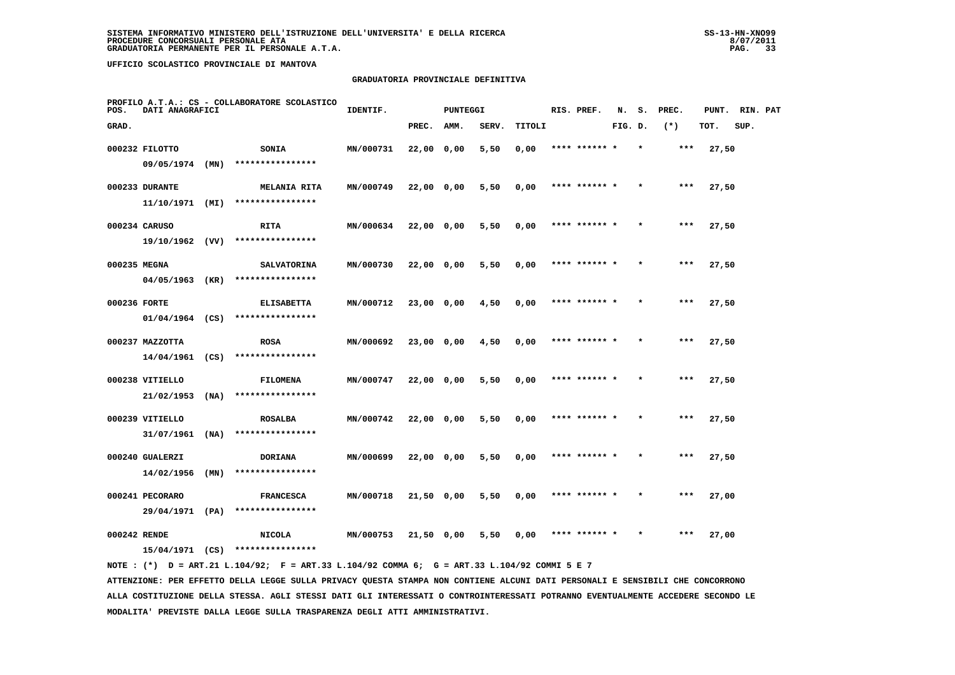#### **GRADUATORIA PROVINCIALE DEFINITIVA**

| POS.         | DATI ANAGRAFICI   |      | PROFILO A.T.A.: CS - COLLABORATORE SCOLASTICO | IDENTIF.  |              | <b>PUNTEGGI</b> |       |        | RIS. PREF.    | N.      | s.      | PREC. | PUNT. | RIN. PAT |  |
|--------------|-------------------|------|-----------------------------------------------|-----------|--------------|-----------------|-------|--------|---------------|---------|---------|-------|-------|----------|--|
| GRAD.        |                   |      |                                               |           | PREC.        | AMM.            | SERV. | TITOLI |               | FIG. D. |         | $(*)$ | TOT.  | SUP.     |  |
|              | 000232 FILOTTO    |      | <b>SONIA</b>                                  | MN/000731 | 22,00 0,00   |                 | 5,50  | 0,00   | **** ****** * |         | $\star$ | $***$ | 27,50 |          |  |
|              | $09/05/1974$ (MN) |      | ****************                              |           |              |                 |       |        |               |         |         |       |       |          |  |
|              | 000233 DURANTE    |      | <b>MELANIA RITA</b>                           | MN/000749 | 22,00 0,00   |                 | 5,50  | 0,00   | **** ****** * |         |         | ***   | 27,50 |          |  |
|              | $11/10/1971$ (MI) |      | ****************                              |           |              |                 |       |        |               |         |         |       |       |          |  |
|              | 000234 CARUSO     |      | RITA                                          | MN/000634 | $22,00$ 0,00 |                 | 5,50  | 0,00   | **** ****** * |         |         | $***$ | 27,50 |          |  |
|              | 19/10/1962 (VV)   |      | ****************                              |           |              |                 |       |        |               |         |         |       |       |          |  |
| 000235 MEGNA |                   |      | <b>SALVATORINA</b>                            | MN/000730 | $22,00$ 0,00 |                 | 5,50  | 0,00   | **** ****** * |         |         | $***$ | 27,50 |          |  |
|              | 04/05/1963 (KR)   |      | ****************                              |           |              |                 |       |        |               |         |         |       |       |          |  |
| 000236 FORTE |                   |      | <b>ELISABETTA</b>                             | MN/000712 | 23,00 0,00   |                 | 4,50  | 0,00   | **** ****** * |         |         | $***$ | 27,50 |          |  |
|              | $01/04/1964$ (CS) |      | ****************                              |           |              |                 |       |        |               |         |         |       |       |          |  |
|              | 000237 MAZZOTTA   |      | <b>ROSA</b>                                   | MN/000692 | 23,00 0,00   |                 | 4,50  | 0,00   | **** ****** * |         |         | ***   | 27,50 |          |  |
|              | $14/04/1961$ (CS) |      | ****************                              |           |              |                 |       |        |               |         |         |       |       |          |  |
|              | 000238 VITIELLO   |      | <b>FILOMENA</b>                               | MN/000747 | 22,00 0,00   |                 | 5,50  | 0,00   | **** ******   |         |         | ***   | 27,50 |          |  |
|              | $21/02/1953$ (NA) |      | ****************                              |           |              |                 |       |        |               |         |         |       |       |          |  |
|              | 000239 VITIELLO   |      | <b>ROSALBA</b>                                | MN/000742 | 22,00 0,00   |                 | 5,50  | 0,00   | **** ****** * |         |         | $***$ | 27,50 |          |  |
|              | 31/07/1961        | (NA) | ****************                              |           |              |                 |       |        |               |         |         |       |       |          |  |
|              | 000240 GUALERZI   |      | <b>DORIANA</b>                                | MN/000699 | 22,00 0,00   |                 | 5,50  | 0,00   | **** ****** * |         | $\star$ | ***   | 27,50 |          |  |
|              | 14/02/1956        | (MN) | ****************                              |           |              |                 |       |        |               |         |         |       |       |          |  |
|              | 000241 PECORARO   |      | <b>FRANCESCA</b>                              | MN/000718 | 21,50 0,00   |                 | 5,50  | 0,00   | **** ****** * |         |         | ***   | 27,00 |          |  |
|              | 29/04/1971 (PA)   |      | ****************                              |           |              |                 |       |        |               |         |         |       |       |          |  |
| 000242 RENDE |                   |      | <b>NICOLA</b><br>****************             | MN/000753 | 21,50 0,00   |                 | 5,50  | 0.00   | **** ****** * |         |         | $***$ | 27,00 |          |  |
|              | 15/04/1971 (CS)   |      |                                               |           |              |                 |       |        |               |         |         |       |       |          |  |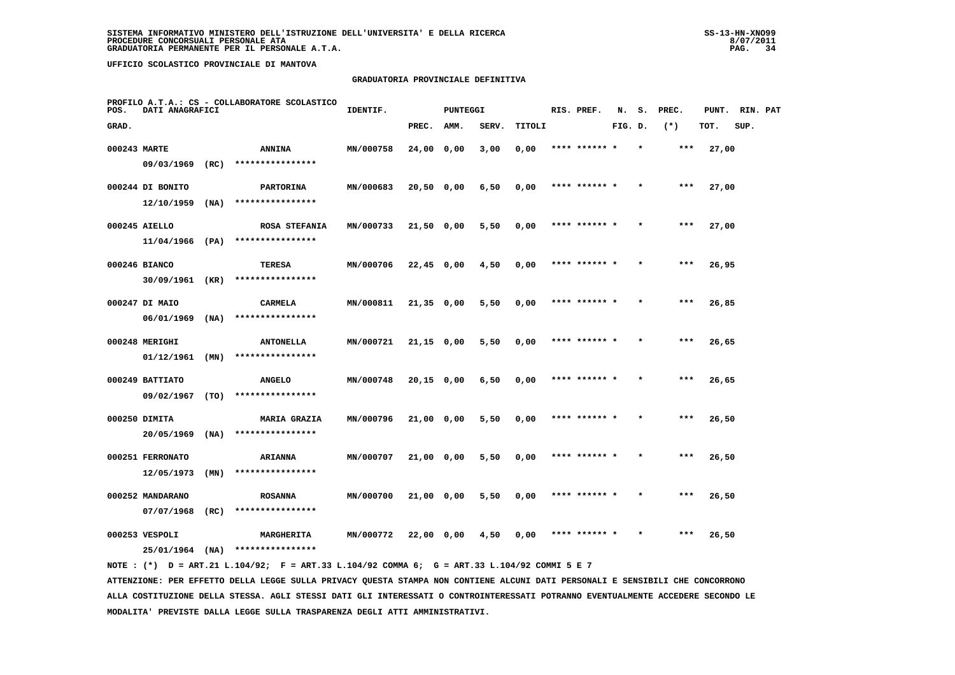#### **GRADUATORIA PROVINCIALE DEFINITIVA**

| POS.         | DATI ANAGRAFICI   |      | PROFILO A.T.A.: CS - COLLABORATORE SCOLASTICO | IDENTIF.  |              | <b>PUNTEGGI</b> |       |        | RIS. PREF.    | N.      | s.      | PREC. | PUNT. | RIN. PAT |  |
|--------------|-------------------|------|-----------------------------------------------|-----------|--------------|-----------------|-------|--------|---------------|---------|---------|-------|-------|----------|--|
| GRAD.        |                   |      |                                               |           | PREC.        | AMM.            | SERV. | TITOLI |               | FIG. D. |         | $(*)$ | TOT.  | SUP.     |  |
| 000243 MARTE |                   |      | <b>ANNINA</b>                                 | MN/000758 | 24,00 0,00   |                 | 3,00  | 0,00   | **** ****** * |         | $\star$ | ***   | 27,00 |          |  |
|              | 09/03/1969        | (RC) | ****************                              |           |              |                 |       |        |               |         |         |       |       |          |  |
|              | 000244 DI BONITO  |      | <b>PARTORINA</b>                              | MN/000683 | 20,50 0,00   |                 | 6,50  | 0,00   | **** ******   |         |         | ***   | 27,00 |          |  |
|              | 12/10/1959        | (NA) | ****************                              |           |              |                 |       |        |               |         |         |       |       |          |  |
|              | 000245 AIELLO     |      | ROSA STEFANIA                                 | MN/000733 | $21,50$ 0,00 |                 | 5,50  | 0,00   | **** ****** * |         |         | $***$ | 27,00 |          |  |
|              | $11/04/1966$ (PA) |      | ****************                              |           |              |                 |       |        |               |         |         |       |       |          |  |
|              | 000246 BIANCO     |      | TERESA                                        | MN/000706 | 22,45 0,00   |                 | 4,50  | 0,00   | **** ****** * |         | $\star$ | ***   | 26,95 |          |  |
|              | 30/09/1961        | (KR) | ****************                              |           |              |                 |       |        |               |         |         |       |       |          |  |
|              | 000247 DI MAIO    |      | CARMELA                                       | MN/000811 | $21,35$ 0,00 |                 | 5,50  | 0,00   | **** ****** * |         |         | $***$ | 26,85 |          |  |
|              | 06/01/1969        | (NA) | ****************                              |           |              |                 |       |        |               |         |         |       |       |          |  |
|              | 000248 MERIGHI    |      | <b>ANTONELLA</b>                              | MN/000721 | $21,15$ 0,00 |                 | 5,50  | 0,00   | **** ****** * |         |         | $***$ | 26,65 |          |  |
|              | 01/12/1961        | (MN) | ****************                              |           |              |                 |       |        |               |         |         |       |       |          |  |
|              | 000249 BATTIATO   |      | <b>ANGELO</b>                                 | MN/000748 | $20,15$ 0,00 |                 | 6,50  | 0.00   | **** ****** * |         |         | $***$ | 26,65 |          |  |
|              | 09/02/1967 (TO)   |      | ****************                              |           |              |                 |       |        |               |         |         |       |       |          |  |
|              | 000250 DIMITA     |      | <b>MARIA GRAZIA</b>                           | MN/000796 | 21,00 0,00   |                 | 5,50  | 0,00   | **** ****** * |         |         | ***   | 26,50 |          |  |
|              | 20/05/1969        | (NA) | ****************                              |           |              |                 |       |        |               |         |         |       |       |          |  |
|              | 000251 FERRONATO  |      | <b>ARIANNA</b>                                | MN/000707 | $21,00$ 0,00 |                 | 5,50  | 0,00   | **** ****** * |         |         | ***   | 26,50 |          |  |
|              | 12/05/1973        | (MN) | ****************                              |           |              |                 |       |        |               |         |         |       |       |          |  |
|              | 000252 MANDARANO  |      | <b>ROSANNA</b>                                | MN/000700 | 21,00 0,00   |                 | 5,50  | 0,00   | **** ****** * |         |         | $***$ | 26,50 |          |  |
|              | 07/07/1968        | (RC) | ****************                              |           |              |                 |       |        |               |         |         |       |       |          |  |
|              | 000253 VESPOLI    |      | MARGHERITA                                    | MN/000772 | 22,00 0,00   |                 | 4,50  | 0,00   | **** ****** * |         |         | ***   | 26,50 |          |  |
|              | 25/01/1964        | (NA) | ****************                              |           |              |                 |       |        |               |         |         |       |       |          |  |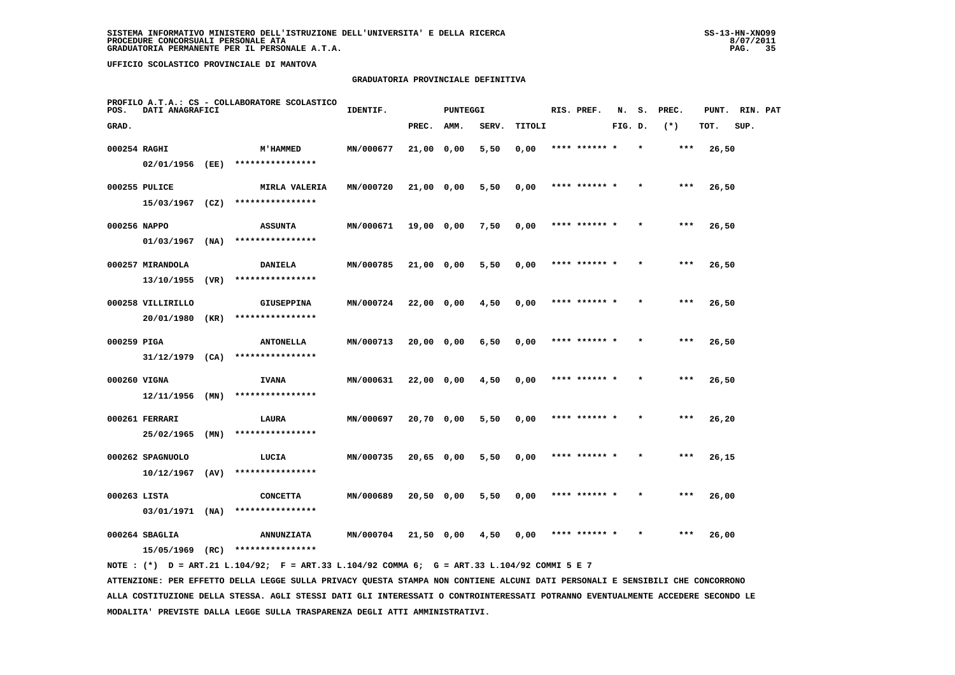#### **GRADUATORIA PROVINCIALE DEFINITIVA**

| POS.         | DATI ANAGRAFICI   |      | PROFILO A.T.A.: CS - COLLABORATORE SCOLASTICO | IDENTIF.  |              | <b>PUNTEGGI</b> |       |        | RIS. PREF.    | N.      | s. | PREC. | PUNT. | RIN. PAT |  |
|--------------|-------------------|------|-----------------------------------------------|-----------|--------------|-----------------|-------|--------|---------------|---------|----|-------|-------|----------|--|
| GRAD.        |                   |      |                                               |           | PREC.        | <b>AMM.</b>     | SERV. | TITOLI |               | FIG. D. |    | $(*)$ | TOT.  | SUP.     |  |
| 000254 RAGHI |                   |      | <b>M'HAMMED</b>                               | MN/000677 | 21,00 0,00   |                 | 5,50  | 0,00   | **** ****** * |         |    | $***$ | 26,50 |          |  |
|              | 02/01/1956 (EE)   |      | ****************                              |           |              |                 |       |        |               |         |    |       |       |          |  |
|              | 000255 PULICE     |      | MIRLA VALERIA                                 | MN/000720 | 21,00 0,00   |                 | 5,50  | 0,00   | **** ****** * |         |    | $***$ | 26,50 |          |  |
|              |                   |      | $15/03/1967$ (CZ) ****************            |           |              |                 |       |        |               |         |    |       |       |          |  |
| 000256 NAPPO |                   |      | <b>ASSUNTA</b>                                | MN/000671 | 19,00 0,00   |                 | 7,50  | 0,00   | **** ****** * |         |    | ***   | 26,50 |          |  |
|              | 01/03/1967        | (NA) | ****************                              |           |              |                 |       |        |               |         |    |       |       |          |  |
|              | 000257 MIRANDOLA  |      | <b>DANIELA</b>                                | MN/000785 | 21,00 0,00   |                 | 5,50  | 0,00   | **** ****** * |         |    | ***   | 26,50 |          |  |
|              | 13/10/1955        | (VR) | ****************                              |           |              |                 |       |        |               |         |    |       |       |          |  |
|              | 000258 VILLIRILLO |      | <b>GIUSEPPINA</b>                             | MN/000724 | $22,00$ 0,00 |                 | 4,50  | 0,00   | **** ****** * |         |    | $***$ | 26,50 |          |  |
|              | 20/01/1980        | (KR) | ****************                              |           |              |                 |       |        |               |         |    |       |       |          |  |
| 000259 PIGA  |                   |      | <b>ANTONELLA</b>                              | MN/000713 | 20,00 0,00   |                 | 6,50  | 0,00   | **** ****** * |         |    | $***$ | 26,50 |          |  |
|              | $31/12/1979$ (CA) |      | ****************                              |           |              |                 |       |        |               |         |    |       |       |          |  |
| 000260 VIGNA |                   |      | <b>IVANA</b>                                  | MN/000631 | 22,00 0,00   |                 | 4,50  | 0,00   | **** ****** * |         |    | $***$ | 26,50 |          |  |
|              | $12/11/1956$ (MN) |      | ****************                              |           |              |                 |       |        |               |         |    |       |       |          |  |
|              | 000261 FERRARI    |      | LAURA                                         | MN/000697 | 20,70 0,00   |                 | 5,50  | 0,00   |               |         |    | $***$ | 26,20 |          |  |
|              | 25/02/1965        | (MN) | ****************                              |           |              |                 |       |        |               |         |    |       |       |          |  |
|              | 000262 SPAGNUOLO  |      | LUCIA<br>****************                     | MN/000735 | $20,65$ 0,00 |                 | 5,50  | 0,00   | **** ****** * |         |    | ***   | 26,15 |          |  |
|              | 10/12/1967        | (AV) |                                               |           |              |                 |       |        |               |         |    |       |       |          |  |
| 000263 LISTA |                   |      | <b>CONCETTA</b><br>****************           | MN/000689 | 20,50 0,00   |                 | 5,50  | 0,00   | **** ****** * |         |    | $***$ | 26,00 |          |  |
|              | $03/01/1971$ (NA) |      |                                               |           |              |                 |       |        |               |         |    |       |       |          |  |
|              | 000264 SBAGLIA    |      | <b>ANNUNZIATA</b><br>****************         | MN/000704 | 21,50 0,00   |                 | 4,50  | 0,00   | **** ****** * |         |    | ***   | 26,00 |          |  |
|              | 15/05/1969 (RC)   |      |                                               |           |              |                 |       |        |               |         |    |       |       |          |  |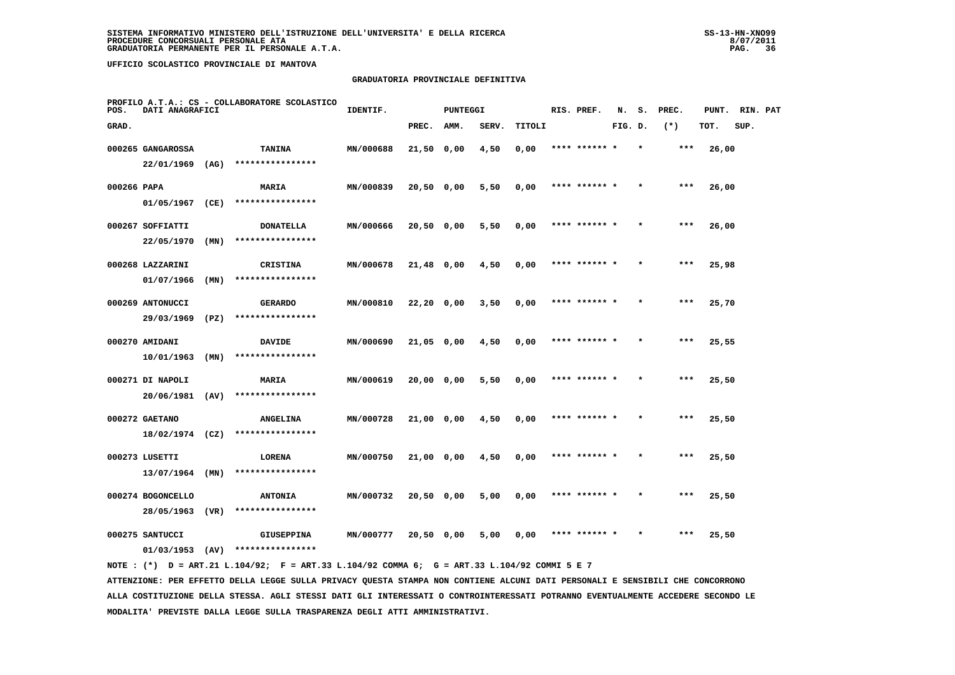#### **GRADUATORIA PROVINCIALE DEFINITIVA**

| POS.        | DATI ANAGRAFICI   |      | PROFILO A.T.A.: CS - COLLABORATORE SCOLASTICO | IDENTIF.  |              | <b>PUNTEGGI</b> |       |        | RIS. PREF.    | N.      | s.      | PREC. | PUNT. | RIN. PAT |  |
|-------------|-------------------|------|-----------------------------------------------|-----------|--------------|-----------------|-------|--------|---------------|---------|---------|-------|-------|----------|--|
| GRAD.       |                   |      |                                               |           | PREC.        | AMM.            | SERV. | TITOLI |               | FIG. D. |         | $(*)$ | TOT.  | SUP.     |  |
|             | 000265 GANGAROSSA |      | <b>TANINA</b>                                 | MN/000688 | $21,50$ 0,00 |                 | 4,50  | 0,00   | **** ****** * |         | $\star$ | ***   | 26,00 |          |  |
|             | 22/01/1969        | (AG) | ****************                              |           |              |                 |       |        |               |         |         |       |       |          |  |
| 000266 PAPA |                   |      | MARIA                                         | MN/000839 | $20,50$ 0,00 |                 | 5,50  | 0,00   | **** ****** * |         |         | ***   | 26,00 |          |  |
|             | 01/05/1967        | (CE) | ****************                              |           |              |                 |       |        |               |         |         |       |       |          |  |
|             | 000267 SOFFIATTI  |      | <b>DONATELLA</b>                              | MN/000666 | 20,50 0,00   |                 | 5,50  | 0,00   | **** ****** * |         |         | ***   | 26,00 |          |  |
|             | 22/05/1970        | (MN) | ****************                              |           |              |                 |       |        |               |         |         |       |       |          |  |
|             | 000268 LAZZARINI  |      | <b>CRISTINA</b>                               | MN/000678 | 21,48 0,00   |                 | 4,50  | 0,00   | **** ****** * |         |         | ***   | 25,98 |          |  |
|             | 01/07/1966        | (MN) | ****************                              |           |              |                 |       |        |               |         |         |       |       |          |  |
|             | 000269 ANTONUCCI  |      | <b>GERARDO</b>                                | MN/000810 | 22,20 0,00   |                 | 3,50  | 0,00   | **** ****** * |         |         | $***$ | 25,70 |          |  |
|             | 29/03/1969        | (PZ) | ****************                              |           |              |                 |       |        |               |         |         |       |       |          |  |
|             | 000270 AMIDANI    |      | <b>DAVIDE</b>                                 | MN/000690 | 21,05 0,00   |                 | 4,50  | 0,00   | **** ****** * |         |         | $***$ | 25,55 |          |  |
|             | 10/01/1963        | (MN) | ****************                              |           |              |                 |       |        |               |         |         |       |       |          |  |
|             | 000271 DI NAPOLI  |      | MARIA                                         | MN/000619 | 20,00 0,00   |                 | 5,50  | 0,00   | **** ****** * |         |         | $***$ | 25,50 |          |  |
|             | 20/06/1981        | (AV) | ****************                              |           |              |                 |       |        |               |         |         |       |       |          |  |
|             | 000272 GAETANO    |      | <b>ANGELINA</b>                               | MN/000728 | 21,00 0,00   |                 | 4,50  | 0,00   | **** ****** * |         |         | ***   | 25,50 |          |  |
|             | $18/02/1974$ (CZ) |      | ****************                              |           |              |                 |       |        |               |         |         |       |       |          |  |
|             | 000273 LUSETTI    |      | LORENA                                        | MN/000750 | 21,00 0,00   |                 | 4,50  | 0,00   | **** ****** * |         |         | $***$ | 25,50 |          |  |
|             | 13/07/1964        | (MN) | ****************                              |           |              |                 |       |        |               |         |         |       |       |          |  |
|             | 000274 BOGONCELLO |      | <b>ANTONIA</b>                                | MN/000732 | 20,50 0,00   |                 | 5,00  | 0,00   | **** ****** * |         |         | $***$ | 25,50 |          |  |
|             | 28/05/1963        | (VR) | ****************                              |           |              |                 |       |        |               |         |         |       |       |          |  |
|             | 000275 SANTUCCI   |      | <b>GIUSEPPINA</b>                             | MN/000777 | 20,50 0,00   |                 | 5,00  | 0,00   | **** ****** * |         |         | $***$ | 25,50 |          |  |
|             | 01/03/1953        | (AV) | ****************                              |           |              |                 |       |        |               |         |         |       |       |          |  |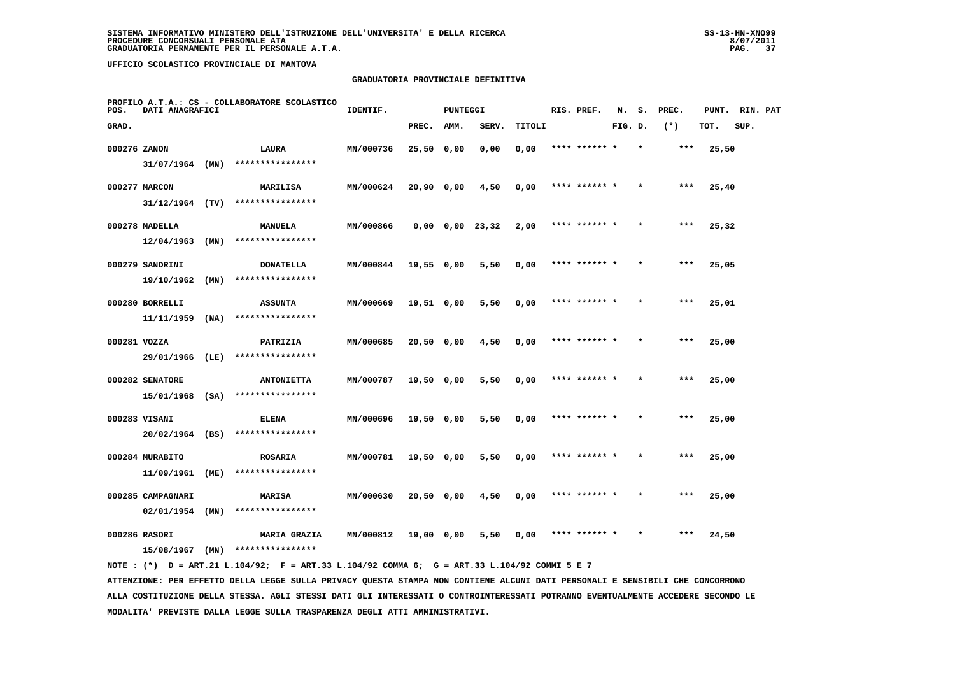#### **GRADUATORIA PROVINCIALE DEFINITIVA**

| POS.         | DATI ANAGRAFICI   |      | PROFILO A.T.A.: CS - COLLABORATORE SCOLASTICO | IDENTIF.  |              | <b>PUNTEGGI</b> |                       |        | RIS. PREF.    | N.      | s.      | PREC. | PUNT. | RIN. PAT |  |
|--------------|-------------------|------|-----------------------------------------------|-----------|--------------|-----------------|-----------------------|--------|---------------|---------|---------|-------|-------|----------|--|
| GRAD.        |                   |      |                                               |           | PREC.        | AMM.            | SERV.                 | TITOLI |               | FIG. D. |         | $(*)$ | TOT.  | SUP.     |  |
| 000276 ZANON |                   |      | LAURA                                         | MN/000736 | $25,50$ 0,00 |                 | 0,00                  | 0,00   | **** ****** * |         | $\star$ | ***   | 25,50 |          |  |
|              | $31/07/1964$ (MN) |      | ****************                              |           |              |                 |                       |        |               |         |         |       |       |          |  |
|              | 000277 MARCON     |      | <b>MARILISA</b>                               | MN/000624 | $20,90$ 0,00 |                 | 4,50                  | 0,00   | **** ****** * |         |         | ***   | 25,40 |          |  |
|              | $31/12/1964$ (TV) |      | ****************                              |           |              |                 |                       |        |               |         |         |       |       |          |  |
|              | 000278 MADELLA    |      | <b>MANUELA</b>                                | MN/000866 |              |                 | $0,00$ $0,00$ $23,32$ | 2,00   | **** ****** * |         |         | $***$ | 25,32 |          |  |
|              | 12/04/1963        | (MN) | ****************                              |           |              |                 |                       |        |               |         |         |       |       |          |  |
|              | 000279 SANDRINI   |      | <b>DONATELLA</b>                              | MN/000844 | $19,55$ 0,00 |                 | 5,50                  | 0,00   | **** ****** * |         |         | $***$ | 25,05 |          |  |
|              | 19/10/1962        | (MN) | ****************                              |           |              |                 |                       |        |               |         |         |       |       |          |  |
|              | 000280 BORRELLI   |      | <b>ASSUNTA</b>                                | MN/000669 | 19,51 0,00   |                 | 5,50                  | 0,00   | **** ****** * |         |         | $***$ | 25,01 |          |  |
|              | 11/11/1959        | (NA) | ****************                              |           |              |                 |                       |        |               |         |         |       |       |          |  |
| 000281 VOZZA |                   |      | PATRIZIA                                      | MN/000685 | $20,50$ 0,00 |                 | 4,50                  | 0,00   | **** ****** * |         |         | $***$ | 25,00 |          |  |
|              | 29/01/1966 (LE)   |      | ****************                              |           |              |                 |                       |        |               |         |         |       |       |          |  |
|              | 000282 SENATORE   |      | <b>ANTONIETTA</b>                             | MN/000787 | 19,50 0,00   |                 | 5,50                  | 0,00   | **** ****** * |         |         | $***$ | 25,00 |          |  |
|              | 15/01/1968 (SA)   |      | ****************                              |           |              |                 |                       |        |               |         |         |       |       |          |  |
|              | 000283 VISANI     |      | <b>ELENA</b>                                  | MN/000696 | 19,50 0,00   |                 | 5,50                  | 0,00   | **** ****** * |         |         | ***   | 25,00 |          |  |
|              | $20/02/1964$ (BS) |      | ****************                              |           |              |                 |                       |        |               |         |         |       |       |          |  |
|              | 000284 MURABITO   |      | <b>ROSARIA</b>                                | MN/000781 | 19,50 0,00   |                 | 5,50                  | 0,00   | **** ****** * |         |         | $***$ | 25,00 |          |  |
|              | 11/09/1961        | (ME) | ****************                              |           |              |                 |                       |        |               |         |         |       |       |          |  |
|              | 000285 CAMPAGNARI |      | <b>MARISA</b>                                 | MN/000630 | 20,50 0,00   |                 | 4,50                  | 0,00   | **** ****** * |         |         | $***$ | 25,00 |          |  |
|              | $02/01/1954$ (MN) |      | ****************                              |           |              |                 |                       |        |               |         |         |       |       |          |  |
|              | 000286 RASORI     |      | <b>MARIA GRAZIA</b>                           | MN/000812 | 19,00 0,00   |                 | 5,50                  | 0.00   | **** ****** * |         |         | ***   | 24,50 |          |  |
|              | 15/08/1967 (MN)   |      | ****************                              |           |              |                 |                       |        |               |         |         |       |       |          |  |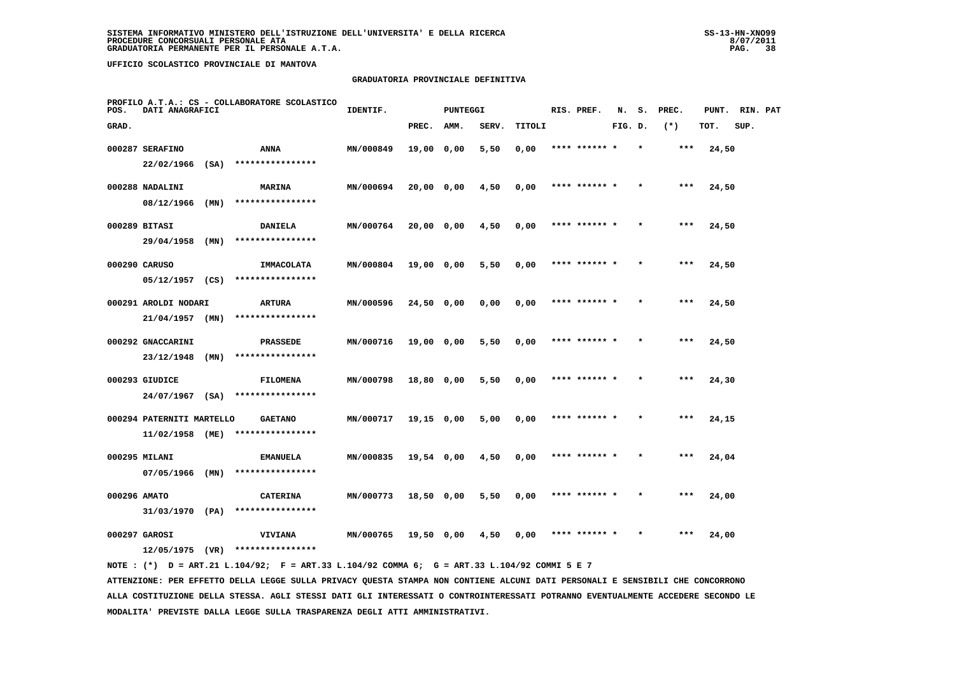#### **GRADUATORIA PROVINCIALE DEFINITIVA**

| POS.         | DATI ANAGRAFICI                    |      | PROFILO A.T.A.: CS - COLLABORATORE SCOLASTICO | IDENTIF.  |            | PUNTEGGI |       |        | RIS. PREF.    | N.      | s.      | PREC. | PUNT. | RIN. PAT |  |
|--------------|------------------------------------|------|-----------------------------------------------|-----------|------------|----------|-------|--------|---------------|---------|---------|-------|-------|----------|--|
| GRAD.        |                                    |      |                                               |           | PREC.      | AMM.     | SERV. | TITOLI |               | FIG. D. |         | $(*)$ | TOT.  | SUP.     |  |
|              | 000287 SERAFINO                    |      | ANNA                                          | MN/000849 | 19,00 0,00 |          | 5,50  | 0,00   | **** ****** * |         | $\star$ | $***$ | 24,50 |          |  |
|              | 22/02/1966                         | (SA) | ****************                              |           |            |          |       |        |               |         |         |       |       |          |  |
|              | 000288 NADALINI                    |      | <b>MARINA</b>                                 | MN/000694 | 20,00 0,00 |          | 4,50  | 0,00   | **** ****** * |         |         | ***   | 24,50 |          |  |
|              | 08/12/1966                         | (MN) | ****************                              |           |            |          |       |        |               |         |         |       |       |          |  |
|              | 000289 BITASI                      |      | DANIELA                                       | MN/000764 | 20,00 0,00 |          | 4,50  | 0,00   | **** ******   |         |         | $***$ | 24,50 |          |  |
|              | 29/04/1958                         | (MN) | ****************                              |           |            |          |       |        |               |         |         |       |       |          |  |
|              | 000290 CARUSO                      |      | IMMACOLATA                                    | MN/000804 | 19,00 0,00 |          | 5,50  | 0,00   | **** ****** * |         |         | $***$ | 24,50 |          |  |
|              | $05/12/1957$ (CS)                  |      | ****************                              |           |            |          |       |        |               |         |         |       |       |          |  |
|              | 000291 AROLDI NODARI               |      | <b>ARTURA</b>                                 | MN/000596 | 24,50 0,00 |          | 0,00  | 0,00   | **** ****** * |         |         | $***$ | 24,50 |          |  |
|              | $21/04/1957$ (MN)                  |      | ****************                              |           |            |          |       |        |               |         |         |       |       |          |  |
|              | 000292 GNACCARINI                  |      | <b>PRASSEDE</b>                               | MN/000716 | 19,00 0,00 |          | 5,50  | 0,00   | **** ****** * |         | $\star$ | ***   | 24,50 |          |  |
|              | 23/12/1948                         | (MN) | ****************                              |           |            |          |       |        |               |         |         |       |       |          |  |
|              | 000293 GIUDICE                     |      | <b>FILOMENA</b>                               | MN/000798 | 18,80 0,00 |          | 5,50  | 0,00   |               |         |         | ***   | 24,30 |          |  |
|              | $24/07/1967$ (SA)                  |      | ****************                              |           |            |          |       |        |               |         |         |       |       |          |  |
|              | 000294 PATERNITI MARTELLO          |      | <b>GAETANO</b>                                | MN/000717 | 19,15 0,00 |          | 5,00  | 0,00   | **** ****** * |         |         | $***$ | 24,15 |          |  |
|              | 11/02/1958 (ME)                    |      | ****************                              |           |            |          |       |        |               |         |         |       |       |          |  |
|              | 000295 MILANI                      |      | <b>EMANUELA</b>                               | MN/000835 | 19,54 0,00 |          | 4,50  | 0,00   | **** ****** * |         | $\star$ | $***$ | 24,04 |          |  |
|              | 07/05/1966                         | (MN) | ****************                              |           |            |          |       |        |               |         |         |       |       |          |  |
| 000296 AMATO |                                    |      | <b>CATERINA</b>                               | MN/000773 | 18,50 0,00 |          | 5,50  | 0,00   | **** ****** * |         |         | ***   | 24,00 |          |  |
|              | 31/03/1970 (PA)                    |      | ****************                              |           |            |          |       |        |               |         |         |       |       |          |  |
|              | 000297 GAROSI<br>$12/05/1975$ (VR) |      | <b>VIVIANA</b><br>****************            | MN/000765 | 19,50 0,00 |          | 4,50  | 0,00   |               |         |         | ***   | 24,00 |          |  |
|              |                                    |      |                                               |           |            |          |       |        |               |         |         |       |       |          |  |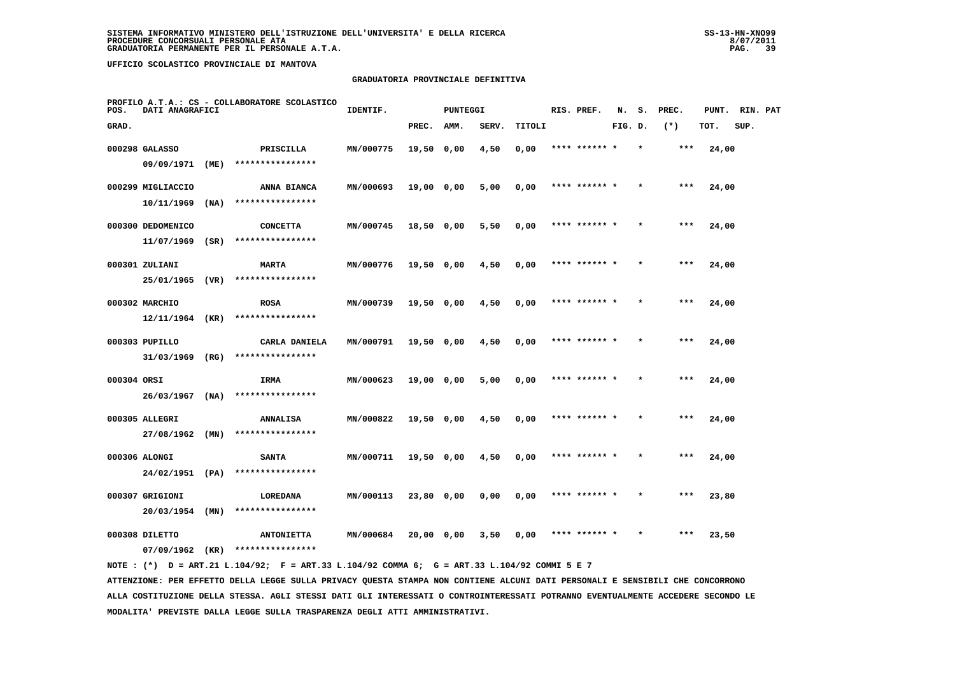#### **GRADUATORIA PROVINCIALE DEFINITIVA**

| POS.        | DATI ANAGRAFICI                  |      | PROFILO A.T.A.: CS - COLLABORATORE SCOLASTICO | IDENTIF.  |              | <b>PUNTEGGI</b> |       |        | RIS. PREF.    | N.      | s. | PREC. | PUNT. | RIN. PAT |  |
|-------------|----------------------------------|------|-----------------------------------------------|-----------|--------------|-----------------|-------|--------|---------------|---------|----|-------|-------|----------|--|
| GRAD.       |                                  |      |                                               |           | PREC.        | AMM.            | SERV. | TITOLI |               | FIG. D. |    | $(*)$ | TOT.  | SUP.     |  |
|             | 000298 GALASSO                   |      | PRISCILLA                                     | MN/000775 | 19,50 0,00   |                 | 4,50  | 0,00   | **** ****** * |         |    | $***$ | 24,00 |          |  |
|             | 09/09/1971                       | (ME) | ****************                              |           |              |                 |       |        |               |         |    |       |       |          |  |
|             | 000299 MIGLIACCIO                |      | ANNA BIANCA                                   | MN/000693 | 19,00 0,00   |                 | 5,00  | 0,00   | **** ****** * |         |    | ***   | 24,00 |          |  |
|             | 10/11/1969                       | (NA) | ****************                              |           |              |                 |       |        |               |         |    |       |       |          |  |
|             | 000300 DEDOMENICO                |      | <b>CONCETTA</b>                               | MN/000745 | 18,50 0,00   |                 | 5,50  | 0,00   | **** ****** * |         |    | $***$ | 24,00 |          |  |
|             | 11/07/1969                       | (SR) | ****************                              |           |              |                 |       |        |               |         |    |       |       |          |  |
|             | 000301 ZULIANI                   |      | <b>MARTA</b>                                  | MN/000776 | $19,50$ 0,00 |                 | 4,50  | 0,00   | **** ****** * |         |    | ***   | 24,00 |          |  |
|             | 25/01/1965                       | (VR) | ****************                              |           |              |                 |       |        |               |         |    |       |       |          |  |
|             | 000302 MARCHIO                   |      | <b>ROSA</b>                                   | MN/000739 | 19,50 0,00   |                 | 4,50  | 0,00   | **** ****** * |         |    | $***$ | 24,00 |          |  |
|             | $12/11/1964$ (KR)                |      | ****************                              |           |              |                 |       |        |               |         |    |       |       |          |  |
|             | 000303 PUPILLO                   |      | CARLA DANIELA                                 | MN/000791 | 19,50 0,00   |                 | 4,50  | 0,00   | **** ****** * |         |    | $***$ | 24,00 |          |  |
|             | 31/03/1969 (RG)                  |      | ****************                              |           |              |                 |       |        |               |         |    |       |       |          |  |
| 000304 ORSI |                                  |      | IRMA                                          | MN/000623 | 19,00 0,00   |                 | 5,00  | 0,00   | **** ******   |         |    | ***   | 24,00 |          |  |
|             | $26/03/1967$ (NA)                |      | ****************                              |           |              |                 |       |        |               |         |    |       |       |          |  |
|             | 000305 ALLEGRI                   |      | <b>ANNALISA</b><br>****************           | MN/000822 | 19,50 0,00   |                 | 4,50  | 0,00   | **** ****** * |         |    | ***   | 24,00 |          |  |
|             | 27/08/1962 (MN)                  |      |                                               |           |              |                 |       |        |               |         |    |       |       |          |  |
|             | 000306 ALONGI<br>24/02/1951 (PA) |      | <b>SANTA</b><br>****************              | MN/000711 | 19,50 0,00   |                 | 4,50  | 0,00   | **** ****** * |         |    | $***$ | 24,00 |          |  |
|             |                                  |      |                                               |           |              |                 |       |        |               |         |    |       |       |          |  |
|             | 000307 GRIGIONI<br>20/03/1954    | (MN) | LOREDANA<br>****************                  | MN/000113 | 23,80 0,00   |                 | 0,00  | 0,00   | **** ****** * |         |    | ***   | 23,80 |          |  |
|             |                                  |      |                                               |           |              |                 |       |        |               |         |    |       |       |          |  |
|             | 000308 DILETTO                   |      | <b>ANTONIETTA</b>                             | MN/000684 | 20,00 0,00   |                 | 3,50  | 0,00   | **** ****** * |         |    | ***   | 23,50 |          |  |
|             | $07/09/1962$ (KR)                |      | ****************                              |           |              |                 |       |        |               |         |    |       |       |          |  |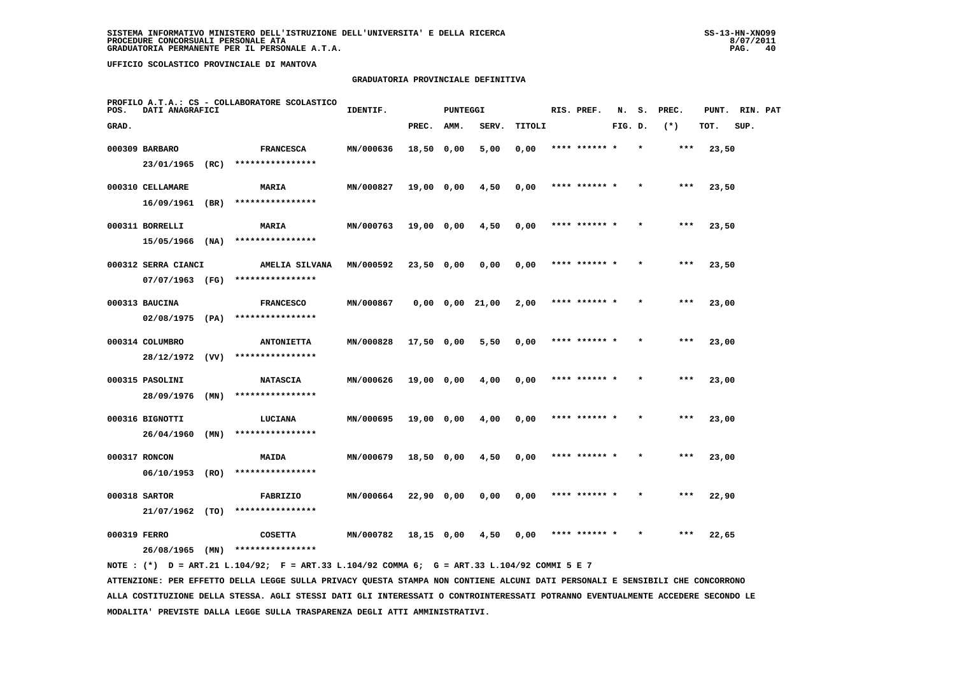#### **GRADUATORIA PROVINCIALE DEFINITIVA**

| POS.         | DATI ANAGRAFICI     |      | PROFILO A.T.A.: CS - COLLABORATORE SCOLASTICO | IDENTIF.  |            | <b>PUNTEGGI</b> |                       |        | RIS. PREF.    | N.      | s.      | PREC. | PUNT. | RIN. PAT |  |
|--------------|---------------------|------|-----------------------------------------------|-----------|------------|-----------------|-----------------------|--------|---------------|---------|---------|-------|-------|----------|--|
| GRAD.        |                     |      |                                               |           | PREC.      | AMM.            | SERV.                 | TITOLI |               | FIG. D. |         | $(*)$ | TOT.  | SUP.     |  |
|              | 000309 BARBARO      |      | <b>FRANCESCA</b>                              | MN/000636 | 18,50 0,00 |                 | 5,00                  | 0,00   | **** ****** * |         | $\star$ | $***$ | 23,50 |          |  |
|              | 23/01/1965          | (RC) | ****************                              |           |            |                 |                       |        |               |         |         |       |       |          |  |
|              | 000310 CELLAMARE    |      | MARIA                                         | MN/000827 | 19,00 0,00 |                 | 4,50                  | 0,00   | **** ****** * |         |         | $***$ | 23,50 |          |  |
|              | 16/09/1961          | (BR) | ****************                              |           |            |                 |                       |        |               |         |         |       |       |          |  |
|              | 000311 BORRELLI     |      | <b>MARIA</b>                                  | MN/000763 | 19,00 0,00 |                 | 4,50                  | 0,00   | **** ****** * |         |         | $***$ | 23,50 |          |  |
|              | 15/05/1966          | (NA) | ****************                              |           |            |                 |                       |        |               |         |         |       |       |          |  |
|              | 000312 SERRA CIANCI |      | AMELIA SILVANA                                | MN/000592 | 23,50 0,00 |                 | 0,00                  | 0,00   | **** ****** * |         | $\star$ | $***$ | 23,50 |          |  |
|              | 07/07/1963 (FG)     |      | ****************                              |           |            |                 |                       |        |               |         |         |       |       |          |  |
|              | 000313 BAUCINA      |      | <b>FRANCESCO</b>                              | MN/000867 |            |                 | $0,00$ $0,00$ $21,00$ | 2,00   | **** ****** * |         |         | $***$ | 23,00 |          |  |
|              | $02/08/1975$ (PA)   |      | ****************                              |           |            |                 |                       |        |               |         |         |       |       |          |  |
|              | 000314 COLUMBRO     |      | <b>ANTONIETTA</b>                             | MN/000828 | 17,50 0,00 |                 | 5,50                  | 0,00   |               |         |         | $***$ | 23,00 |          |  |
|              | 28/12/1972 (VV)     |      | ****************                              |           |            |                 |                       |        |               |         |         |       |       |          |  |
|              | 000315 PASOLINI     |      | <b>NATASCIA</b>                               | MN/000626 | 19,00 0,00 |                 | 4,00                  | 0,00   | **** ****** * |         |         | $***$ | 23,00 |          |  |
|              | 28/09/1976          | (MN) | ****************                              |           |            |                 |                       |        |               |         |         |       |       |          |  |
|              | 000316 BIGNOTTI     |      | LUCIANA                                       | MN/000695 | 19,00 0,00 |                 | 4,00                  | 0,00   | **** ****** * |         |         | $***$ | 23,00 |          |  |
|              | 26/04/1960          | (MN) | ****************                              |           |            |                 |                       |        |               |         |         |       |       |          |  |
|              | 000317 RONCON       |      | MAIDA                                         | MN/000679 | 18,50 0,00 |                 | 4,50                  | 0,00   | **** ****** * |         |         | ***   | 23,00 |          |  |
|              | 06/10/1953          | (RO) | ****************                              |           |            |                 |                       |        |               |         |         |       |       |          |  |
|              | 000318 SARTOR       |      | FABRIZIO                                      | MN/000664 | 22,90 0,00 |                 | 0,00                  | 0,00   | **** ****** * |         |         | $***$ | 22,90 |          |  |
|              | 21/07/1962 (TO)     |      | ****************                              |           |            |                 |                       |        |               |         |         |       |       |          |  |
| 000319 FERRO |                     |      | <b>COSETTA</b>                                | MN/000782 | 18,15 0,00 |                 | 4,50                  | 0.00   |               |         |         | ***   | 22,65 |          |  |
|              | 26/08/1965          | (MN) | ****************                              |           |            |                 |                       |        |               |         |         |       |       |          |  |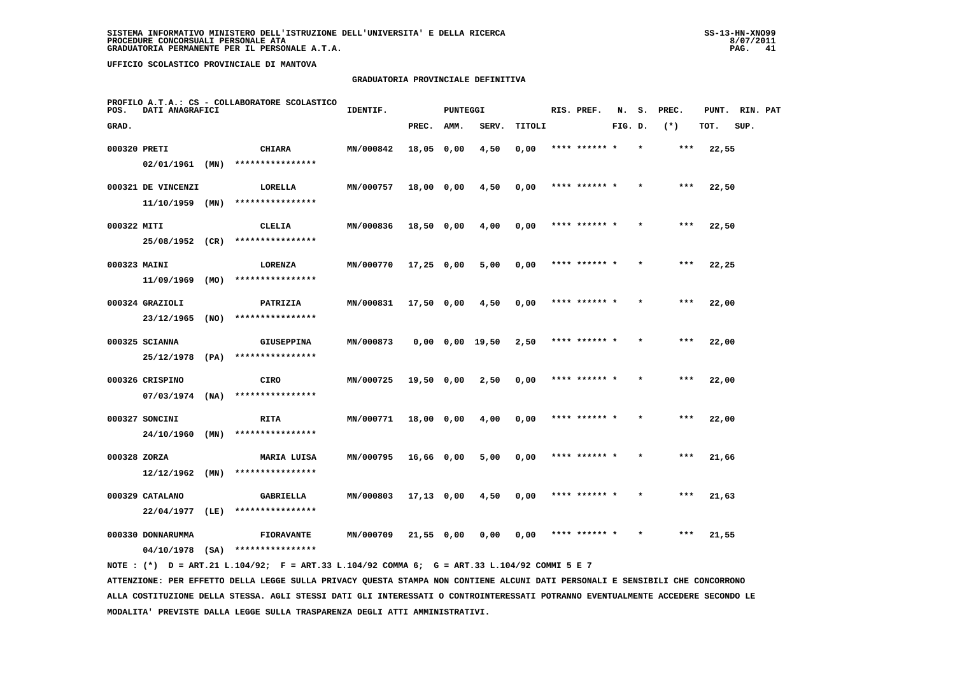#### **GRADUATORIA PROVINCIALE DEFINITIVA**

| POS.         | DATI ANAGRAFICI    |      | PROFILO A.T.A.: CS - COLLABORATORE SCOLASTICO | IDENTIF.  |              | <b>PUNTEGGI</b> |                       |        | RIS. PREF.    | N.      | s.      | PREC. | PUNT. | RIN. PAT |  |
|--------------|--------------------|------|-----------------------------------------------|-----------|--------------|-----------------|-----------------------|--------|---------------|---------|---------|-------|-------|----------|--|
| GRAD.        |                    |      |                                               |           | PREC.        | AMM.            | SERV.                 | TITOLI |               | FIG. D. |         | $(*)$ | TOT.  | SUP.     |  |
| 000320 PRETI |                    |      | CHIARA                                        | MN/000842 | 18,05 0,00   |                 | 4,50                  | 0,00   | **** ****** * |         | $\star$ | ***   | 22,55 |          |  |
|              | $02/01/1961$ (MN)  |      | ****************                              |           |              |                 |                       |        |               |         |         |       |       |          |  |
|              | 000321 DE VINCENZI |      | LORELLA                                       | MN/000757 | 18,00 0,00   |                 | 4,50                  | 0,00   | **** ****** * |         |         | $***$ | 22,50 |          |  |
|              | $11/10/1959$ (MN)  |      | ****************                              |           |              |                 |                       |        |               |         |         |       |       |          |  |
| 000322 MITI  |                    |      | CLELIA                                        | MN/000836 | 18,50 0,00   |                 | 4,00                  | 0,00   | **** ****** * |         |         | $***$ | 22,50 |          |  |
|              | 25/08/1952 (CR)    |      | ****************                              |           |              |                 |                       |        |               |         |         |       |       |          |  |
| 000323 MAINI |                    |      | LORENZA                                       | MN/000770 | $17,25$ 0,00 |                 | 5,00                  | 0,00   | **** ****** * |         | $\star$ | $***$ | 22,25 |          |  |
|              | 11/09/1969         | (MO) | ****************                              |           |              |                 |                       |        |               |         |         |       |       |          |  |
|              | 000324 GRAZIOLI    |      | PATRIZIA                                      | MN/000831 | 17,50 0,00   |                 | 4,50                  | 0,00   | **** ****** * |         |         | $***$ | 22,00 |          |  |
|              | 23/12/1965         | (NO) | ****************                              |           |              |                 |                       |        |               |         |         |       |       |          |  |
|              | 000325 SCIANNA     |      | <b>GIUSEPPINA</b>                             | MN/000873 |              |                 | $0,00$ $0,00$ $19,50$ | 2,50   | **** ****** * |         |         | ***   | 22,00 |          |  |
|              | 25/12/1978 (PA)    |      | ****************                              |           |              |                 |                       |        |               |         |         |       |       |          |  |
|              | 000326 CRISPINO    |      | CIRO                                          | MN/000725 | 19,50 0,00   |                 | 2,50                  | 0,00   | **** ******   |         |         | ***   | 22,00 |          |  |
|              | $07/03/1974$ (NA)  |      | ****************                              |           |              |                 |                       |        |               |         |         |       |       |          |  |
|              | 000327 SONCINI     |      | RITA                                          | MN/000771 | 18,00 0,00   |                 | 4,00                  | 0,00   | **** ****** * |         |         | $***$ | 22,00 |          |  |
|              | 24/10/1960         | (MN) | ****************                              |           |              |                 |                       |        |               |         |         |       |       |          |  |
| 000328 ZORZA |                    |      | MARIA LUISA                                   | MN/000795 | 16,66 0,00   |                 | 5,00                  | 0,00   | **** ****** * |         | $\star$ | ***   | 21,66 |          |  |
|              | 12/12/1962         | (MN) | ****************                              |           |              |                 |                       |        |               |         |         |       |       |          |  |
|              | 000329 CATALANO    |      | GABRIELLA                                     | MN/000803 | $17,13$ 0,00 |                 | 4,50                  | 0,00   | **** ****** * |         |         | $***$ | 21,63 |          |  |
|              | $22/04/1977$ (LE)  |      | ****************                              |           |              |                 |                       |        |               |         |         |       |       |          |  |
|              | 000330 DONNARUMMA  |      | <b>FIORAVANTE</b>                             | MN/000709 | $21,55$ 0,00 |                 | 0,00                  | 0,00   |               |         |         | ***   | 21,55 |          |  |
|              | $04/10/1978$ (SA)  |      | ****************                              |           |              |                 |                       |        |               |         |         |       |       |          |  |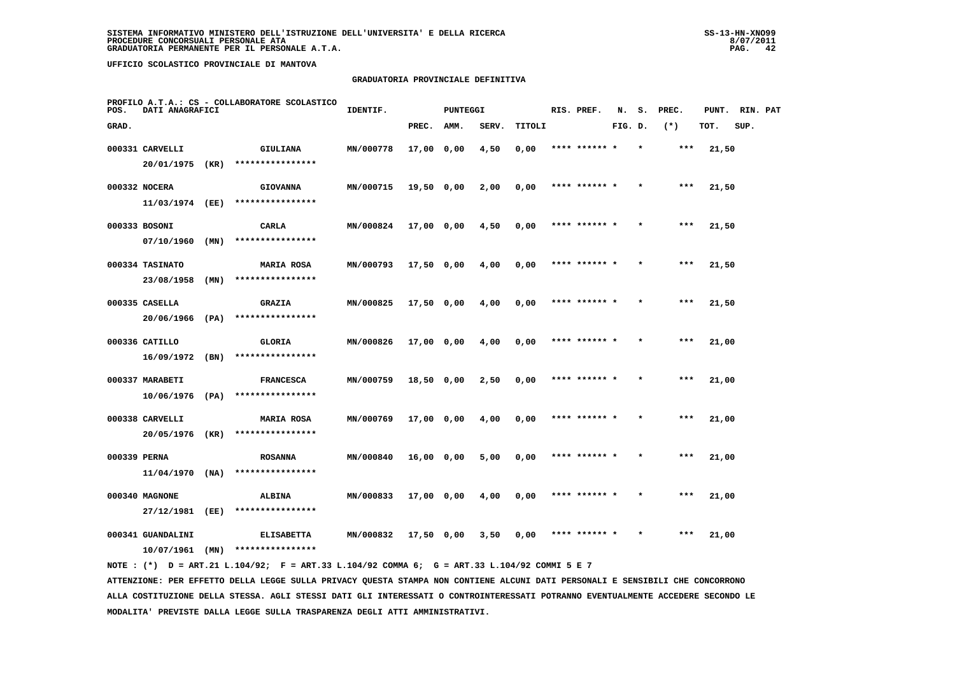#### **GRADUATORIA PROVINCIALE DEFINITIVA**

| POS.         | DATI ANAGRAFICI                        |      | PROFILO A.T.A.: CS - COLLABORATORE SCOLASTICO | IDENTIF.  |              | <b>PUNTEGGI</b> |       |        | RIS. PREF.    | N.      | s.      | PREC. | PUNT. | RIN. PAT |  |
|--------------|----------------------------------------|------|-----------------------------------------------|-----------|--------------|-----------------|-------|--------|---------------|---------|---------|-------|-------|----------|--|
| GRAD.        |                                        |      |                                               |           | PREC.        | AMM.            | SERV. | TITOLI |               | FIG. D. |         | $(*)$ | TOT.  | SUP.     |  |
|              | 000331 CARVELLI                        |      | GIULIANA                                      | MN/000778 | $17,00$ 0,00 |                 | 4,50  | 0,00   | **** ****** * |         | $\star$ | ***   | 21,50 |          |  |
|              | 20/01/1975 (KR)                        |      | ****************                              |           |              |                 |       |        |               |         |         |       |       |          |  |
|              | 000332 NOCERA                          |      | <b>GIOVANNA</b>                               | MN/000715 | 19,50 0,00   |                 | 2,00  | 0,00   | **** ****** * |         |         | ***   | 21,50 |          |  |
|              | 11/03/1974 (EE)                        |      | ****************                              |           |              |                 |       |        |               |         |         |       |       |          |  |
|              | 000333 BOSONI                          |      | CARLA                                         | MN/000824 | 17,00 0,00   |                 | 4,50  | 0,00   | **** ****** * |         |         | $***$ | 21,50 |          |  |
|              | 07/10/1960                             | (MN) | ****************                              |           |              |                 |       |        |               |         |         |       |       |          |  |
|              | 000334 TASINATO                        |      | <b>MARIA ROSA</b>                             | MN/000793 | 17,50 0,00   |                 | 4,00  | 0,00   | **** ****** * |         |         | ***   | 21,50 |          |  |
|              | 23/08/1958                             | (MN) | ****************                              |           |              |                 |       |        |               |         |         |       |       |          |  |
|              | 000335 CASELLA                         |      | <b>GRAZIA</b>                                 | MN/000825 | 17,50 0,00   |                 | 4,00  | 0,00   | **** ****** * |         |         | $***$ | 21,50 |          |  |
|              | $20/06/1966$ (PA)                      |      | ****************                              |           |              |                 |       |        |               |         |         |       |       |          |  |
|              | 000336 CATILLO                         |      | <b>GLORIA</b>                                 | MN/000826 | 17,00 0,00   |                 | 4,00  | 0,00   | **** ****** * |         |         | ***   | 21,00 |          |  |
|              | $16/09/1972$ (BN)                      |      | ****************                              |           |              |                 |       |        |               |         |         |       |       |          |  |
|              | 000337 MARABETI                        |      | <b>FRANCESCA</b>                              | MN/000759 | 18,50 0,00   |                 | 2,50  | 0,00   | **** ****** * |         |         | ***   | 21,00 |          |  |
|              | 10/06/1976 (PA)                        |      | ****************                              |           |              |                 |       |        |               |         |         |       |       |          |  |
|              | 000338 CARVELLI<br>20/05/1976 (KR)     |      | <b>MARIA ROSA</b><br>****************         | MN/000769 | 17,00 0,00   |                 | 4,00  | 0,00   | **** ****** * |         |         | ***   | 21,00 |          |  |
|              |                                        |      |                                               |           |              |                 |       |        |               |         |         |       |       |          |  |
| 000339 PERNA | $11/04/1970$ (NA)                      |      | <b>ROSANNA</b><br>****************            | MN/000840 | 16,00 0,00   |                 | 5,00  | 0,00   | **** ****** * |         |         | $***$ | 21,00 |          |  |
|              |                                        |      |                                               |           |              |                 |       |        |               |         |         |       |       |          |  |
|              | 000340 MAGNONE<br>27/12/1981           | (EE) | <b>ALBINA</b><br>****************             | MN/000833 | 17,00 0,00   |                 | 4,00  | 0,00   | **** ****** * |         |         | ***   | 21,00 |          |  |
|              |                                        |      |                                               |           |              |                 |       |        |               |         |         |       |       |          |  |
|              | 000341 GUANDALINI<br>$10/07/1961$ (MN) |      | <b>ELISABETTA</b><br>****************         | MN/000832 | 17,50 0,00   |                 | 3,50  | 0,00   | **** ****** * |         |         | $***$ | 21,00 |          |  |
|              |                                        |      |                                               |           |              |                 |       |        |               |         |         |       |       |          |  |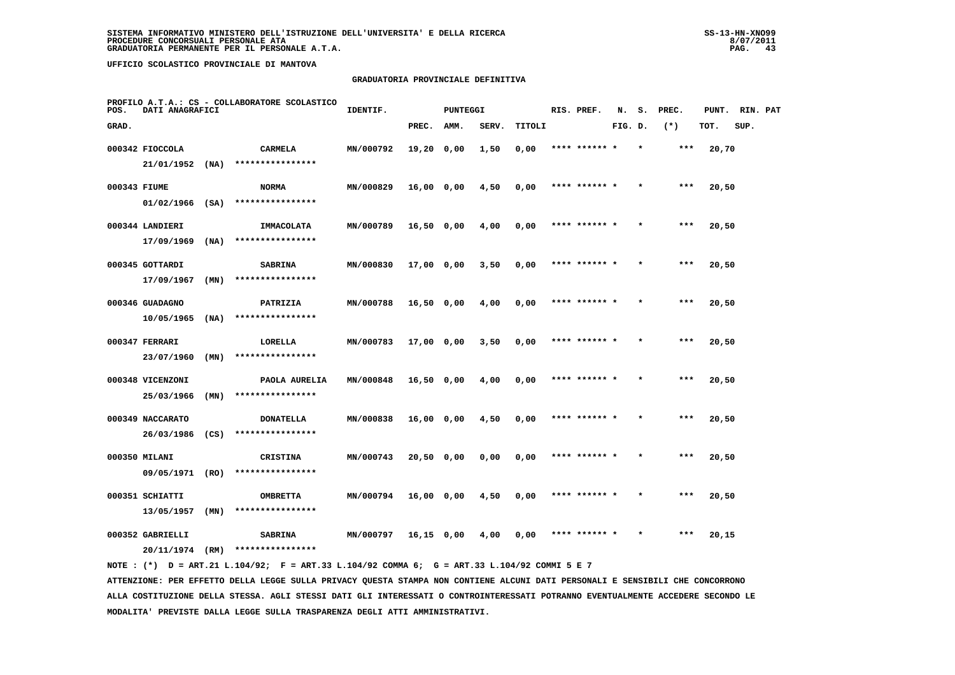#### **GRADUATORIA PROVINCIALE DEFINITIVA**

| POS.         | DATI ANAGRAFICI   |      | PROFILO A.T.A.: CS - COLLABORATORE SCOLASTICO | IDENTIF.  |              | <b>PUNTEGGI</b> |       |        | RIS. PREF.    | N.      | s. | PREC. | PUNT. | RIN. PAT |  |
|--------------|-------------------|------|-----------------------------------------------|-----------|--------------|-----------------|-------|--------|---------------|---------|----|-------|-------|----------|--|
| GRAD.        |                   |      |                                               |           | PREC.        | AMM.            | SERV. | TITOLI |               | FIG. D. |    | $(*)$ | TOT.  | SUP.     |  |
|              | 000342 FIOCCOLA   |      | <b>CARMELA</b>                                | MN/000792 | 19,20 0,00   |                 | 1,50  | 0,00   | **** ****** * |         |    | $***$ | 20,70 |          |  |
|              | 21/01/1952        | (MA) | ****************                              |           |              |                 |       |        |               |         |    |       |       |          |  |
| 000343 FIUME |                   |      | <b>NORMA</b>                                  | MN/000829 | 16,00 0,00   |                 | 4,50  | 0,00   | **** ****** * |         |    | $***$ | 20,50 |          |  |
|              | $01/02/1966$ (SA) |      | ****************                              |           |              |                 |       |        |               |         |    |       |       |          |  |
|              | 000344 LANDIERI   |      | IMMACOLATA                                    | MN/000789 | 16,50 0,00   |                 | 4,00  | 0,00   | **** ****** * |         |    | $***$ | 20,50 |          |  |
|              | 17/09/1969        | (NA) | ****************                              |           |              |                 |       |        |               |         |    |       |       |          |  |
|              | 000345 GOTTARDI   |      | <b>SABRINA</b>                                | MN/000830 | $17,00$ 0,00 |                 | 3,50  | 0,00   | **** ****** * |         |    | ***   | 20,50 |          |  |
|              | 17/09/1967        | (MN) | ****************                              |           |              |                 |       |        |               |         |    |       |       |          |  |
|              | 000346 GUADAGNO   |      | PATRIZIA                                      | MN/000788 | 16,50 0,00   |                 | 4,00  | 0,00   | **** ****** * |         |    | $***$ | 20,50 |          |  |
|              | 10/05/1965        | (NA) | ****************                              |           |              |                 |       |        |               |         |    |       |       |          |  |
|              | 000347 FERRARI    |      | LORELLA                                       | MN/000783 | 17,00 0,00   |                 | 3,50  | 0,00   | **** ****** * |         |    | $***$ | 20,50 |          |  |
|              | 23/07/1960        | (MN) | ****************                              |           |              |                 |       |        |               |         |    |       |       |          |  |
|              | 000348 VICENZONI  |      | PAOLA AURELIA                                 | MN/000848 | $16,50$ 0,00 |                 | 4,00  | 0,00   | **** ******   |         |    | ***   | 20,50 |          |  |
|              | 25/03/1966        | (MN) | ****************                              |           |              |                 |       |        |               |         |    |       |       |          |  |
|              | 000349 NACCARATO  |      | <b>DONATELLA</b>                              | MN/000838 | $16,00$ 0,00 |                 | 4,50  | 0,00   | **** ****** * |         |    | ***   | 20,50 |          |  |
|              | 26/03/1986        | (CS) | ****************                              |           |              |                 |       |        |               |         |    |       |       |          |  |
|              | 000350 MILANI     |      | <b>CRISTINA</b>                               | MN/000743 | 20,50 0,00   |                 | 0,00  | 0,00   | **** ****** * |         |    | $***$ | 20,50 |          |  |
|              | 09/05/1971        | (RO) | ****************                              |           |              |                 |       |        |               |         |    |       |       |          |  |
|              | 000351 SCHIATTI   |      | <b>OMBRETTA</b>                               | MN/000794 | 16,00 0,00   |                 | 4,50  | 0,00   | **** ****** * |         |    | $***$ | 20,50 |          |  |
|              | 13/05/1957        | (MN) | ****************                              |           |              |                 |       |        |               |         |    |       |       |          |  |
|              | 000352 GABRIELLI  |      | <b>SABRINA</b>                                | MN/000797 | $16,15$ 0,00 |                 | 4,00  | 0,00   | **** ****** * |         |    | ***   | 20,15 |          |  |
|              | 20/11/1974        | (RM) | ****************                              |           |              |                 |       |        |               |         |    |       |       |          |  |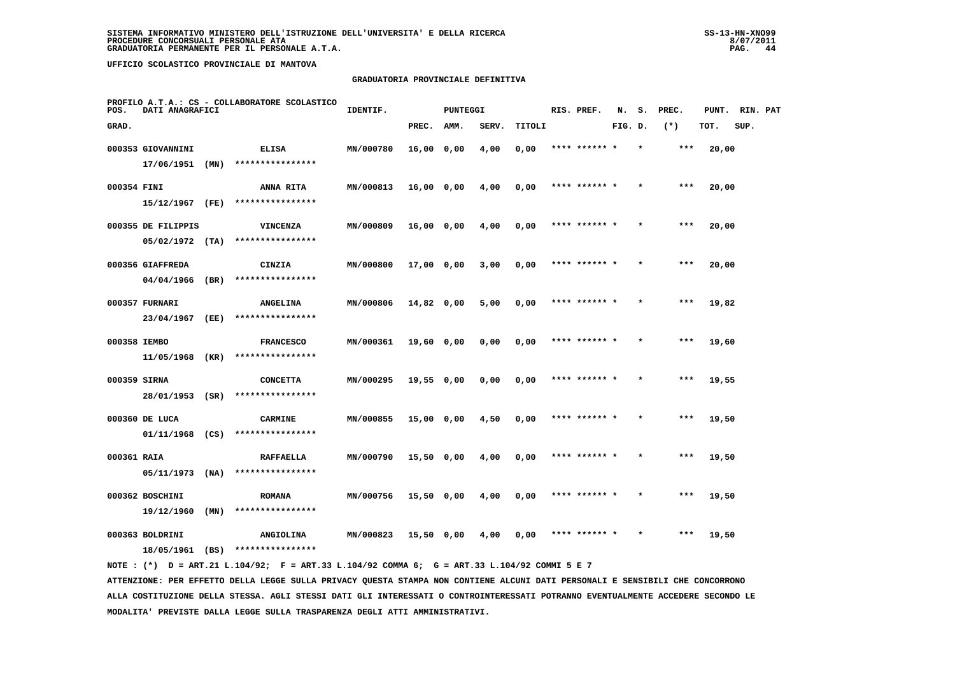#### **GRADUATORIA PROVINCIALE DEFINITIVA**

| POS.         | DATI ANAGRAFICI    |      | PROFILO A.T.A.: CS - COLLABORATORE SCOLASTICO | IDENTIF.  |              | <b>PUNTEGGI</b> |       |        | RIS. PREF.    | N.      | s.      | PREC. | PUNT. | RIN. PAT |  |
|--------------|--------------------|------|-----------------------------------------------|-----------|--------------|-----------------|-------|--------|---------------|---------|---------|-------|-------|----------|--|
| GRAD.        |                    |      |                                               |           | PREC.        | AMM.            | SERV. | TITOLI |               | FIG. D. |         | $(*)$ | TOT.  | SUP.     |  |
|              | 000353 GIOVANNINI  |      | <b>ELISA</b>                                  | MN/000780 | $16,00$ 0,00 |                 | 4,00  | 0,00   | **** ****** * |         | $\star$ | ***   | 20,00 |          |  |
|              | 17/06/1951 (MN)    |      | ****************                              |           |              |                 |       |        |               |         |         |       |       |          |  |
| 000354 FINI  |                    |      | <b>ANNA RITA</b>                              | MN/000813 | 16,00 0,00   |                 | 4,00  | 0,00   | **** ****** * |         |         | ***   | 20,00 |          |  |
|              | 15/12/1967 (FE)    |      | ****************                              |           |              |                 |       |        |               |         |         |       |       |          |  |
|              | 000355 DE FILIPPIS |      | <b>VINCENZA</b>                               | MN/000809 | 16,00 0,00   |                 | 4,00  | 0,00   | **** ****** * |         |         | ***   | 20,00 |          |  |
|              | $05/02/1972$ (TA)  |      | ****************                              |           |              |                 |       |        |               |         |         |       |       |          |  |
|              | 000356 GIAFFREDA   |      | CINZIA                                        | MN/000800 | 17,00 0,00   |                 | 3,00  | 0,00   | **** ****** * |         |         | ***   | 20,00 |          |  |
|              | 04/04/1966         | (BR) | ****************                              |           |              |                 |       |        |               |         |         |       |       |          |  |
|              | 000357 FURNARI     |      | <b>ANGELINA</b>                               | MN/000806 | 14,82 0,00   |                 | 5,00  | 0,00   | **** ****** * |         |         | $***$ | 19,82 |          |  |
|              | 23/04/1967         | (EE) | ****************                              |           |              |                 |       |        |               |         |         |       |       |          |  |
| 000358 IEMBO |                    |      | <b>FRANCESCO</b>                              | MN/000361 | 19,60 0,00   |                 | 0,00  | 0,00   | **** ****** * |         |         | $***$ | 19,60 |          |  |
|              | 11/05/1968 (KR)    |      | ****************                              |           |              |                 |       |        |               |         |         |       |       |          |  |
| 000359 SIRNA |                    |      | <b>CONCETTA</b>                               | MN/000295 | 19,55 0,00   |                 | 0,00  | 0,00   | **** ****** * |         |         | $***$ | 19,55 |          |  |
|              | 28/01/1953 (SR)    |      | ****************                              |           |              |                 |       |        |               |         |         |       |       |          |  |
|              | 000360 DE LUCA     |      | <b>CARMINE</b>                                | MN/000855 | 15,00 0,00   |                 | 4,50  | 0,00   | **** ****** * |         |         | ***   | 19,50 |          |  |
|              | 01/11/1968 (CS)    |      | ****************                              |           |              |                 |       |        |               |         |         |       |       |          |  |
| 000361 RAIA  |                    |      | <b>RAFFAELLA</b>                              | MN/000790 | $15,50$ 0,00 |                 | 4,00  | 0,00   | **** ****** * |         |         | $***$ | 19,50 |          |  |
|              | 05/11/1973         | (NA) | ****************                              |           |              |                 |       |        |               |         |         |       |       |          |  |
|              | 000362 BOSCHINI    |      | <b>ROMANA</b>                                 | MN/000756 | 15,50 0,00   |                 | 4,00  | 0,00   | **** ****** * |         |         | $***$ | 19,50 |          |  |
|              | 19/12/1960         | (MN) | ****************                              |           |              |                 |       |        |               |         |         |       |       |          |  |
|              | 000363 BOLDRINI    |      | <b>ANGIOLINA</b>                              | MN/000823 | $15,50$ 0,00 |                 | 4,00  | 0,00   | **** ****** * |         |         | $***$ | 19,50 |          |  |
|              | 18/05/1961 (BS)    |      | ****************                              |           |              |                 |       |        |               |         |         |       |       |          |  |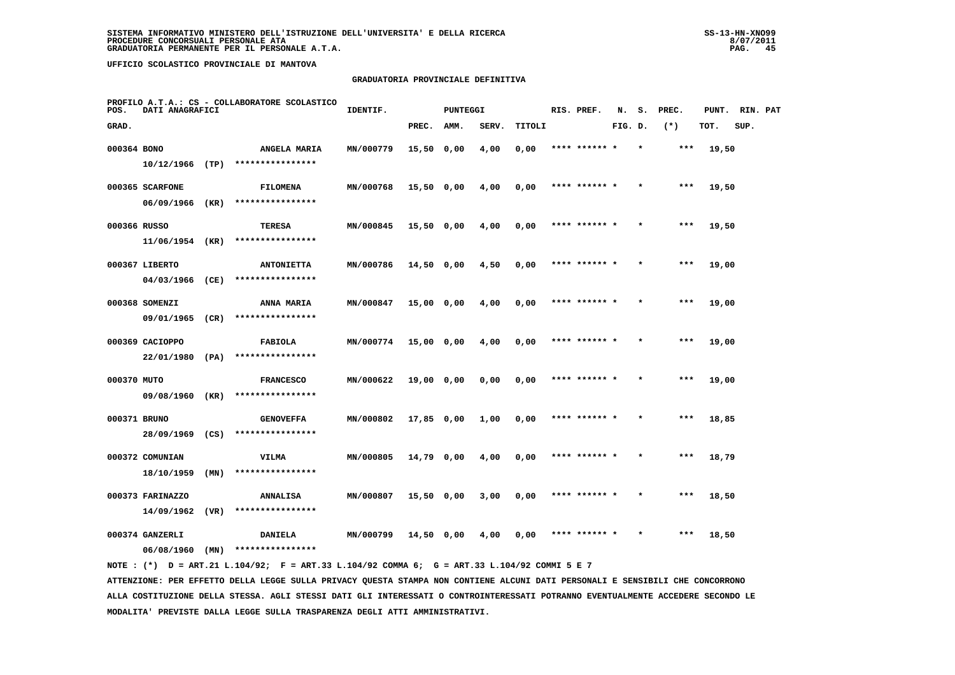#### **GRADUATORIA PROVINCIALE DEFINITIVA**

| POS.        | DATI ANAGRAFICI   |      | PROFILO A.T.A.: CS - COLLABORATORE SCOLASTICO | IDENTIF.  |              | <b>PUNTEGGI</b> |       |        | RIS. PREF.    | N.      | s.      | PREC.  | PUNT. | RIN. PAT |  |
|-------------|-------------------|------|-----------------------------------------------|-----------|--------------|-----------------|-------|--------|---------------|---------|---------|--------|-------|----------|--|
| GRAD.       |                   |      |                                               |           | PREC.        | AMM.            | SERV. | TITOLI |               | FIG. D. |         | $(* )$ | TOT.  | SUP.     |  |
| 000364 BONO |                   |      | ANGELA MARIA                                  | MN/000779 | 15,50 0,00   |                 | 4,00  | 0,00   | **** ******   |         |         | ***    | 19,50 |          |  |
|             | $10/12/1966$ (TP) |      | ****************                              |           |              |                 |       |        |               |         |         |        |       |          |  |
|             | 000365 SCARFONE   |      | <b>FILOMENA</b>                               | MN/000768 | $15,50$ 0,00 |                 | 4,00  | 0,00   | **** ****** * |         |         | $***$  | 19,50 |          |  |
|             | 06/09/1966        | (KR) | ****************                              |           |              |                 |       |        |               |         |         |        |       |          |  |
|             | 000366 RUSSO      |      | <b>TERESA</b>                                 | MN/000845 | $15,50$ 0,00 |                 | 4,00  | 0,00   | **** ****** * |         |         | $***$  | 19,50 |          |  |
|             | 11/06/1954 (KR)   |      | ****************                              |           |              |                 |       |        |               |         |         |        |       |          |  |
|             | 000367 LIBERTO    |      | <b>ANTONIETTA</b>                             | MN/000786 | 14,50 0,00   |                 | 4,50  | 0,00   | **** ****** * |         |         | $***$  | 19,00 |          |  |
|             | 04/03/1966        | (CE) | ****************                              |           |              |                 |       |        |               |         |         |        |       |          |  |
|             | 000368 SOMENZI    |      | ANNA MARIA                                    | MN/000847 | 15,00 0,00   |                 | 4,00  | 0,00   | **** ****** * |         |         | $***$  | 19,00 |          |  |
|             | 09/01/1965        | (CR) | ****************                              |           |              |                 |       |        |               |         |         |        |       |          |  |
|             | 000369 CACIOPPO   |      | FABIOLA                                       | MN/000774 | 15,00 0,00   |                 | 4,00  | 0,00   |               |         |         | $***$  | 19,00 |          |  |
|             | 22/01/1980        | (PA) | ****************                              |           |              |                 |       |        |               |         |         |        |       |          |  |
| 000370 MUTO |                   |      | <b>FRANCESCO</b>                              | MN/000622 | 19,00 0,00   |                 | 0,00  | 0,00   | **** ******   |         |         | ***    | 19,00 |          |  |
|             | 09/08/1960 (KR)   |      | ****************                              |           |              |                 |       |        |               |         |         |        |       |          |  |
|             | 000371 BRUNO      |      | <b>GENOVEFFA</b>                              | MN/000802 | 17,85 0,00   |                 | 1,00  | 0,00   | **** ******   |         |         | $***$  | 18,85 |          |  |
|             | 28/09/1969        | (CS) | ****************                              |           |              |                 |       |        |               |         |         |        |       |          |  |
|             | 000372 COMUNIAN   |      | VILMA                                         | MN/000805 | 14,79 0,00   |                 | 4,00  | 0,00   | **** ****** * |         | $\star$ | $***$  | 18,79 |          |  |
|             | 18/10/1959        | (MN) | ****************                              |           |              |                 |       |        |               |         |         |        |       |          |  |
|             | 000373 FARINAZZO  |      | <b>ANNALISA</b>                               | MN/000807 | 15,50 0,00   |                 | 3,00  | 0,00   | **** ****** * |         |         | ***    | 18,50 |          |  |
|             | 14/09/1962        | (VR) | ****************                              |           |              |                 |       |        |               |         |         |        |       |          |  |
|             | 000374 GANZERLI   | (MN) | <b>DANIELA</b><br>****************            | MN/000799 | 14,50 0,00   |                 | 4,00  | 0,00   | **** ****** * |         |         | $***$  | 18,50 |          |  |
|             | 06/08/1960        |      |                                               |           |              |                 |       |        |               |         |         |        |       |          |  |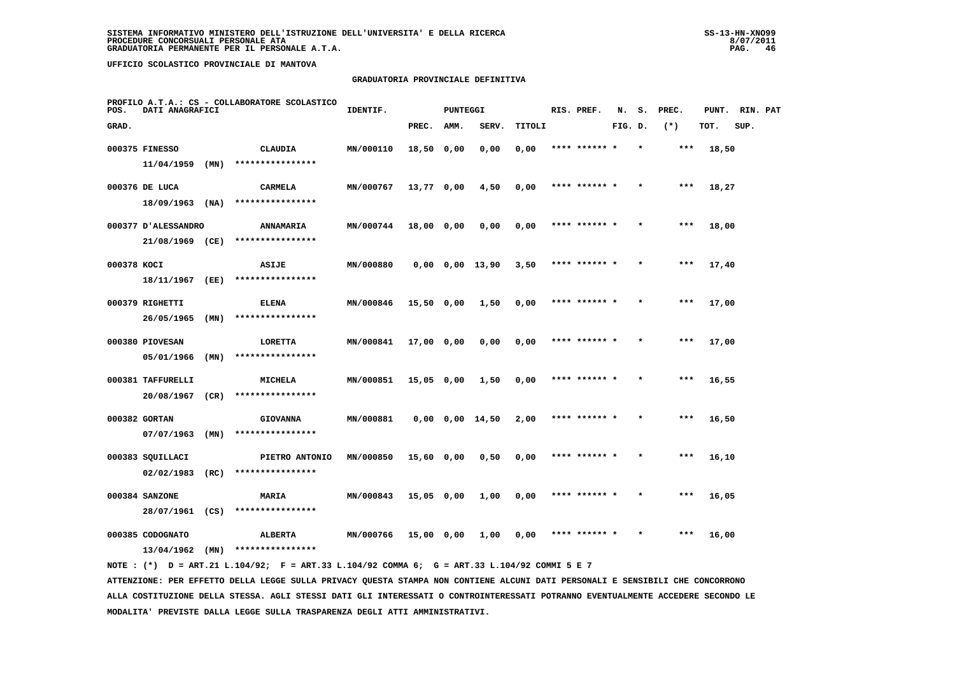#### **GRADUATORIA PROVINCIALE DEFINITIVA**

| POS.        | DATI ANAGRAFICI                |      | PROFILO A.T.A.: CS - COLLABORATORE SCOLASTICO | IDENTIF.  |              | <b>PUNTEGGI</b> |                       |        | RIS. PREF.    | N.      | s.      | PREC. | PUNT. | RIN. PAT |  |
|-------------|--------------------------------|------|-----------------------------------------------|-----------|--------------|-----------------|-----------------------|--------|---------------|---------|---------|-------|-------|----------|--|
| GRAD.       |                                |      |                                               |           | PREC.        | AMM.            | SERV.                 | TITOLI |               | FIG. D. |         | $(*)$ | TOT.  | SUP.     |  |
|             | 000375 FINESSO                 |      | CLAUDIA                                       | MN/000110 | 18,50 0,00   |                 | 0,00                  | 0,00   | **** ****** * |         | $\star$ | ***   | 18,50 |          |  |
|             | 11/04/1959                     | (MN) | ****************                              |           |              |                 |                       |        |               |         |         |       |       |          |  |
|             | 000376 DE LUCA                 |      | CARMELA                                       | MN/000767 | 13,77 0,00   |                 | 4,50                  | 0,00   | **** ******   |         |         | ***   | 18,27 |          |  |
|             | $18/09/1963$ (NA)              |      | ****************                              |           |              |                 |                       |        |               |         |         |       |       |          |  |
|             | 000377 D'ALESSANDRO            |      | <b>ANNAMARIA</b>                              | MN/000744 | 18,00 0,00   |                 | 0,00                  | 0,00   | **** ****** * |         |         | $***$ | 18,00 |          |  |
|             | 21/08/1969 (CE)                |      | ****************                              |           |              |                 |                       |        |               |         |         |       |       |          |  |
| 000378 KOCI |                                |      | <b>ASIJE</b>                                  | MN/000880 |              |                 | $0,00$ $0,00$ $13,90$ | 3,50   | **** ****** * |         |         | ***   | 17,40 |          |  |
|             | 18/11/1967                     | (EE) | ****************                              |           |              |                 |                       |        |               |         |         |       |       |          |  |
|             | 000379 RIGHETTI                |      | <b>ELENA</b>                                  | MN/000846 | $15,50$ 0,00 |                 | 1,50                  | 0,00   | **** ****** * |         |         | ***   | 17,00 |          |  |
|             | 26/05/1965                     | (MN) | ****************                              |           |              |                 |                       |        |               |         |         |       |       |          |  |
|             | 000380 PIOVESAN                |      | LORETTA                                       | MN/000841 | 17,00 0,00   |                 | 0,00                  | 0,00   | **** ****** * |         |         | ***   | 17,00 |          |  |
|             | 05/01/1966                     | (MN) | ****************                              |           |              |                 |                       |        |               |         |         |       |       |          |  |
|             | 000381 TAFFURELLI              |      | MICHELA                                       | MN/000851 | 15,05 0,00   |                 | 1,50                  | 0,00   | **** ****** * |         |         | ***   | 16,55 |          |  |
|             | 20/08/1967                     | (CR) | ****************                              |           |              |                 |                       |        |               |         |         |       |       |          |  |
|             | 000382 GORTAN                  |      | <b>GIOVANNA</b><br>****************           | MN/000881 |              |                 | $0,00$ $0,00$ $14,50$ | 2,00   |               |         |         |       | 16,50 |          |  |
|             | 07/07/1963                     | (MN) |                                               |           |              |                 |                       |        |               |         |         |       |       |          |  |
|             | 000383 SQUILLACI<br>02/02/1983 | (RC) | PIETRO ANTONIO<br>****************            | MN/000850 | 15,60 0,00   |                 | 0,50                  | 0,00   | **** ****** * |         |         | $***$ | 16,10 |          |  |
|             |                                |      |                                               |           |              |                 |                       |        |               |         |         |       |       |          |  |
|             | 000384 SANZONE<br>28/07/1961   | (CS) | MARIA<br>****************                     | MN/000843 | 15,05 0,00   |                 | 1,00                  | 0,00   | **** ****** * |         |         | ***   | 16,05 |          |  |
|             |                                |      |                                               |           |              |                 |                       |        |               |         |         |       |       |          |  |
|             | 000385 CODOGNATO               |      | <b>ALBERTA</b><br>****************            | MN/000766 | 15,00 0,00   |                 | 1,00                  | 0,00   | **** ****** * |         |         | ***   | 16,00 |          |  |
|             | 13/04/1962                     | (MN) |                                               |           |              |                 |                       |        |               |         |         |       |       |          |  |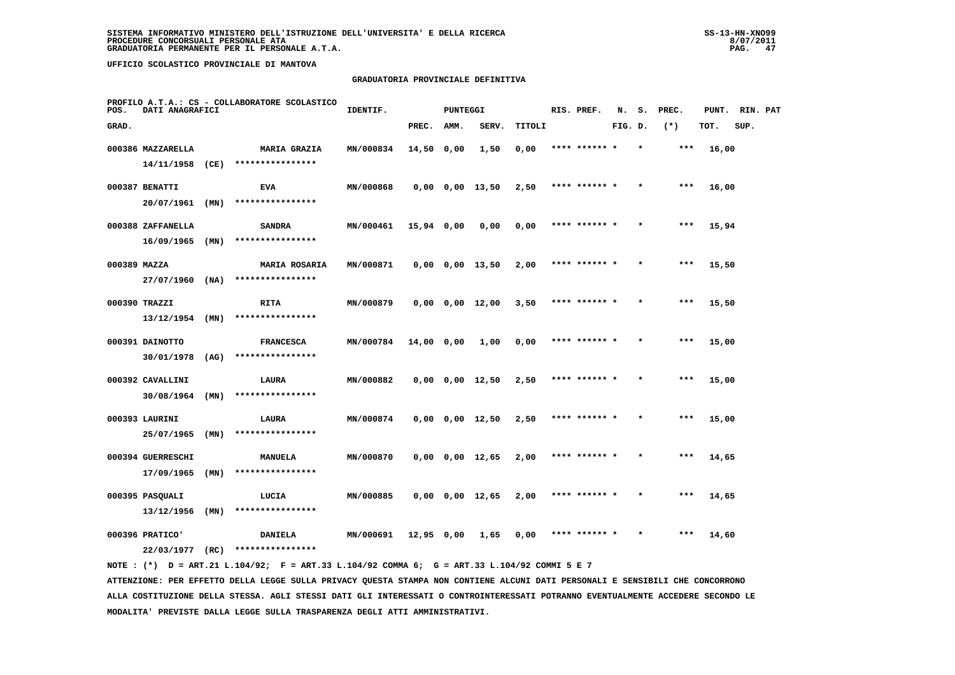#### **GRADUATORIA PROVINCIALE DEFINITIVA**

| POS.         | DATI ANAGRAFICI   |      | PROFILO A.T.A.: CS - COLLABORATORE SCOLASTICO | IDENTIF.  |              | <b>PUNTEGGI</b> |                       |        | RIS. PREF.    | N.      | s.      | PREC. | PUNT. | RIN. PAT |  |
|--------------|-------------------|------|-----------------------------------------------|-----------|--------------|-----------------|-----------------------|--------|---------------|---------|---------|-------|-------|----------|--|
| GRAD.        |                   |      |                                               |           | PREC.        | AMM.            | SERV.                 | TITOLI |               | FIG. D. |         | $(*)$ | TOT.  | SUP.     |  |
|              | 000386 MAZZARELLA |      | <b>MARIA GRAZIA</b>                           | MN/000834 | 14,50 0,00   |                 | 1,50                  | 0,00   | **** ****** * |         |         | ***   | 16,00 |          |  |
|              | 14/11/1958        | (CE) | ****************                              |           |              |                 |                       |        |               |         |         |       |       |          |  |
|              | 000387 BENATTI    |      | <b>EVA</b>                                    | MN/000868 |              |                 | $0,00$ $0,00$ $13,50$ | 2,50   | **** ****** * |         |         | $***$ | 16,00 |          |  |
|              | 20/07/1961        | (MN) | ****************                              |           |              |                 |                       |        |               |         |         |       |       |          |  |
|              | 000388 ZAFFANELLA |      | <b>SANDRA</b>                                 | MN/000461 | $15,94$ 0,00 |                 | 0,00                  | 0,00   | **** ****** * |         |         | ***   | 15,94 |          |  |
|              | 16/09/1965        | (MN) | ****************                              |           |              |                 |                       |        |               |         |         |       |       |          |  |
| 000389 MAZZA |                   |      | <b>MARIA ROSARIA</b>                          | MN/000871 |              |                 | $0,00$ $0,00$ $13,50$ | 2,00   | **** ****** * |         |         | ***   | 15,50 |          |  |
|              | 27/07/1960        | (NA) | ****************                              |           |              |                 |                       |        |               |         |         |       |       |          |  |
|              | 000390 TRAZZI     |      | <b>RITA</b>                                   | MN/000879 |              |                 | $0,00$ $0,00$ $12,00$ | 3,50   | **** ****** * |         |         | $***$ | 15,50 |          |  |
|              | 13/12/1954        | (MN) | ****************                              |           |              |                 |                       |        |               |         |         |       |       |          |  |
|              | 000391 DAINOTTO   |      | <b>FRANCESCA</b>                              | MN/000784 | 14,00 0,00   |                 | 1,00                  | 0,00   | **** ****** * |         |         | $***$ | 15,00 |          |  |
|              | 30/01/1978        | (AG) | ****************                              |           |              |                 |                       |        |               |         |         |       |       |          |  |
|              | 000392 CAVALLINI  |      | LAURA                                         | MN/000882 |              |                 | $0,00$ $0,00$ $12,50$ | 2,50   | **** ****** * |         |         | ***   | 15,00 |          |  |
|              | 30/08/1964        | (MN) | ****************                              |           |              |                 |                       |        |               |         |         |       |       |          |  |
|              | 000393 LAURINI    |      | LAURA                                         | MN/000874 |              |                 | $0,00$ $0,00$ $12,50$ | 2,50   |               |         |         | ***   | 15,00 |          |  |
|              | 25/07/1965        | (MN) | ****************                              |           |              |                 |                       |        |               |         |         |       |       |          |  |
|              | 000394 GUERRESCHI |      | MANUELA                                       | MN/000870 |              |                 | $0,00$ $0,00$ $12,65$ | 2,00   | **** ****** * |         |         | $***$ | 14,65 |          |  |
|              | 17/09/1965        | (MN) | ****************                              |           |              |                 |                       |        |               |         |         |       |       |          |  |
|              | 000395 PASQUALI   |      | LUCIA                                         | MN/000885 |              |                 | 0,00 0,00 12,65       | 2,00   | **** ****** * |         | $\star$ | ***   | 14,65 |          |  |
|              | 13/12/1956        | (MN) | ****************                              |           |              |                 |                       |        |               |         |         |       |       |          |  |
|              | 000396 PRATICO'   |      | <b>DANIELA</b>                                | MN/000691 | 12,95 0,00   |                 | 1,65                  | 0,00   | **** ****** * |         |         | $***$ | 14,60 |          |  |
|              | 22/03/1977        | (RC) | ****************                              |           |              |                 |                       |        |               |         |         |       |       |          |  |